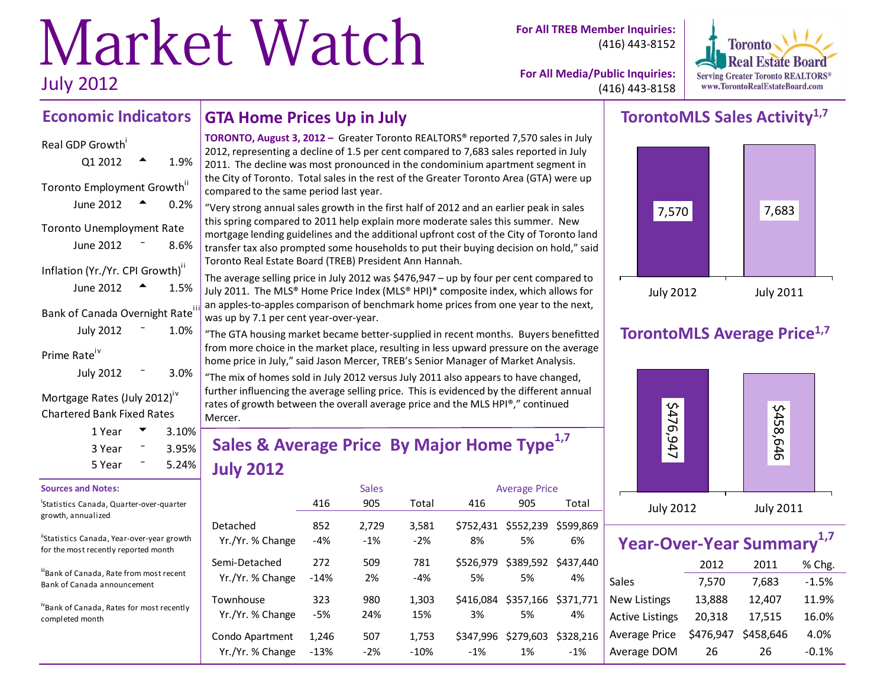# Market Watch July 2012

**For All TREB Member Inquiries:** (416) 443-8152



**For All Media/Public Inquiries:** (416) 443-8158

#### **Economic Indicators GTA Home Prices Up in July**

# Real GDP Growth  $Q1 2012$  <sup>4</sup> 1.9% Toronto Employment Growth<sup>ii</sup> June 2012  $\bullet$  0.2% Toronto Unemployment Rate June  $2012 - 8.6%$

| Inflation (Yr./Yr. CPI Growth) <sup>ii</sup> |  |      |  |  |  |  |  |  |  |  |
|----------------------------------------------|--|------|--|--|--|--|--|--|--|--|
| June 2012                                    |  | 1.5% |  |  |  |  |  |  |  |  |
| Bank of Canada Overnight Rate <sup>iii</sup> |  |      |  |  |  |  |  |  |  |  |
| <b>July 2012</b>                             |  | 1.0% |  |  |  |  |  |  |  |  |
| $D_{\text{m}}$ is a $D_{\text{m}}$ is $N$    |  |      |  |  |  |  |  |  |  |  |

Prime Rate

| 3.0% |
|------|
|      |

Mortgage Rates (July 2012)<sup>iv</sup> Chartered Bank Fixed Rates

| 1 Year | $3.10\%$ |  |
|--------|----------|--|
| 3 Year | 3.95%    |  |
| 5 Year | 5.24%    |  |

#### **Sources and Notes:**

i Statistics Canada, Quarter-over-quarter growth, annualized

"Statistics Canada, Year-over-year growth for the most recently reported month

iii<br>Bank of Canada, Rate from most recent Bank of Canada announcement

ivBank of Canada, Rates for most recently completed month

**TORONTO, August 3, 2012 –** Greater Toronto REALTORS® reported 7,570 sales in July 2012, representing a decline of 1.5 per cent compared to 7,683 sales reported in July 2011. The decline was most pronounced in the condominium apartment segment in the City of Toronto. Total sales in the rest of the Greater Toronto Area (GTA) were up compared to the same period last year.

"Very strong annual sales growth in the first half of 2012 and an earlier peak in sales this spring compared to 2011 help explain more moderate sales this summer. New mortgage lending guidelines and the additional upfront cost of the City of Toronto land transfer tax also prompted some households to put their buying decision on hold," said Toronto Real Estate Board (TREB) President Ann Hannah.

The average selling price in July 2012 was \$476,947 – up by four per cent compared to July 2011. The MLS® Home Price Index (MLS® HPI)\* composite index, which allows for an apples-to-apples comparison of benchmark home prices from one year to the next, was up by 7.1 per cent year-over-year.

"The GTA housing market became better-supplied in recent months. Buyers benefitted from more choice in the market place, resulting in less upward pressure on the average home price in July," said Jason Mercer, TREB's Senior Manager of Market Analysis.

"The mix of homes sold in July 2012 versus July 2011 also appears to have changed, further influencing the average selling price. This is evidenced by the different annual rates of growth between the overall average price and the MLS HPI®," continued Mercer.

# **Sales & Average Price By Major Home Type1,7 July 2012**

|                               |              | <b>Sales</b> |              | <b>Average Price</b> |                           |           |  |  |
|-------------------------------|--------------|--------------|--------------|----------------------|---------------------------|-----------|--|--|
|                               | 416          | 905          | Total        | 416                  | 905                       | Total     |  |  |
| Detached                      | 852          | 2,729        | 3,581        | \$752.431            | \$552,239                 | \$599,869 |  |  |
| Yr./Yr. % Change              | $-4%$        | $-1%$        | $-2%$        | 8%                   | 5%                        | 6%        |  |  |
| Semi-Detached                 | 272          | 509          | 781          | \$526.979            | \$389,592                 | \$437,440 |  |  |
| Yr./Yr. % Change              | $-14%$       | 2%           | $-4%$        | 5%                   | 5%                        | 4%        |  |  |
| Townhouse<br>Yr./Yr. % Change | 323<br>$-5%$ | 980<br>24%   | 1,303<br>15% | \$416.084<br>3%      | \$357,166 \$371,771<br>5% | 4%        |  |  |
| Condo Apartment               | 1.246        | 507          | 1,753        | \$347,996            | \$279,603                 | \$328,216 |  |  |
| Yr./Yr. % Change              | $-13%$       | $-2%$        | $-10%$       | $-1\%$               | 1%                        | $-1\%$    |  |  |

# **TorontoMLS Sales Activity1,7**



# **TorontoMLS Average Price1,7**



| Year-Over-Year Summary <sup>1,7</sup> |           |           |         |  |  |  |  |  |  |  |  |
|---------------------------------------|-----------|-----------|---------|--|--|--|--|--|--|--|--|
|                                       | 2012      | 2011      | % Chg.  |  |  |  |  |  |  |  |  |
| <b>Sales</b>                          | 7,570     | 7,683     | $-1.5%$ |  |  |  |  |  |  |  |  |
| <b>New Listings</b>                   | 13,888    | 12,407    | 11.9%   |  |  |  |  |  |  |  |  |
| <b>Active Listings</b>                | 20,318    | 17,515    | 16.0%   |  |  |  |  |  |  |  |  |
| Average Price                         | \$476,947 | \$458,646 | 4.0%    |  |  |  |  |  |  |  |  |
| Average DOM                           | 26        | 26        | $-0.1%$ |  |  |  |  |  |  |  |  |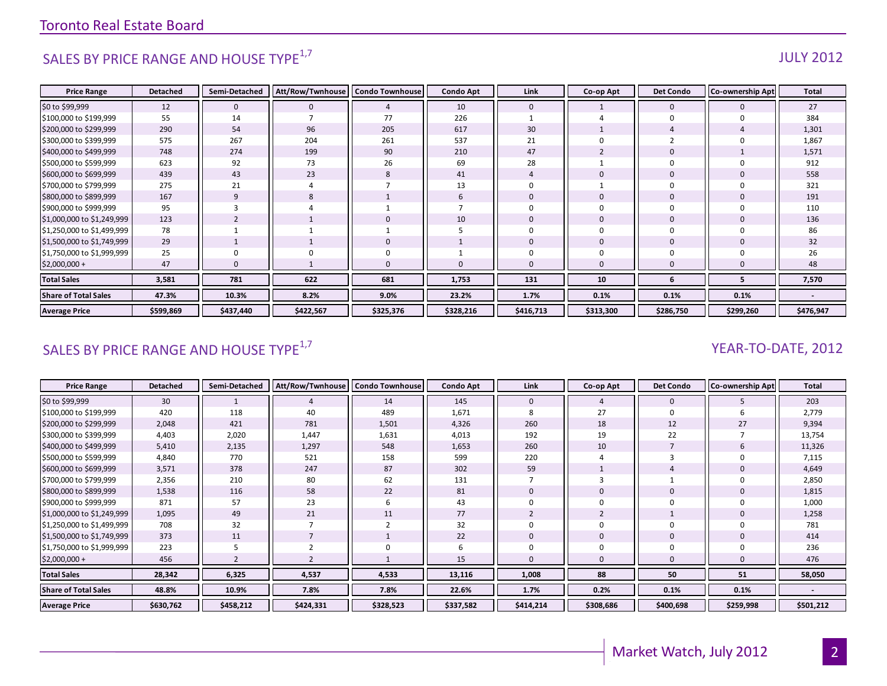# SALES BY PRICE RANGE AND HOUSE TYPE $^{1,7}$  and the set of the set of the set of the set of the set of the set of the set of the set of the set of the set of the set of the set of the set of the set of the set of the set o

| <b>Price Range</b>          | <b>Detached</b> | Semi-Detached  | Att/Row/Twnhouse   Condo Townhouse |             | <b>Condo Apt</b> | Link         | Co-op Apt      | <b>Det Condo</b> | <b>Co-ownership Apt</b> | <b>Total</b> |
|-----------------------------|-----------------|----------------|------------------------------------|-------------|------------------|--------------|----------------|------------------|-------------------------|--------------|
| \$0 to \$99,999             | 12              | $\mathbf 0$    | $\mathbf{0}$                       | 4           | 10               | $\mathbf{0}$ |                | $\mathbf 0$      | $\mathbf 0$             | 27           |
| \$100,000 to \$199,999      | 55              | 14             |                                    | 77          | 226              |              |                | $\Omega$         | ŋ                       | 384          |
| \$200,000 to \$299,999      | 290             | 54             | 96                                 | 205         | 617              | 30           |                |                  |                         | 1,301        |
| \$300,000 to \$399,999      | 575             | 267            | 204                                | 261         | 537              | 21           |                |                  |                         | 1,867        |
| \$400,000 to \$499,999      | 748             | 274            | 199                                | 90          | 210              | 47           |                |                  |                         | 1,571        |
| \$500,000 to \$599,999      | 623             | 92             | 73                                 | 26          | 69               | 28           |                |                  |                         | 912          |
| \$600,000 to \$699,999      | 439             | 43             | 23                                 | 8           | 41               |              | 0              | $\mathbf 0$      |                         | 558          |
| \$700,000 to \$799,999      | 275             | 21             |                                    |             | 13               |              |                |                  |                         | 321          |
| \$800,000 to \$899,999      | 167             | 9              | 8                                  |             | $\mathbf b$      | $\mathbf 0$  | $\overline{0}$ | $\mathbf 0$      | 0                       | 191          |
| \$900,000 to \$999,999      | 95              |                |                                    |             |                  |              | $\Omega$       |                  |                         | 110          |
| \$1,000,000 to \$1,249,999  | 123             | $\overline{2}$ |                                    | $\mathbf 0$ | 10               | $\Omega$     | $\overline{0}$ | $\Omega$         | $\Omega$                | 136          |
| \$1,250,000 to \$1,499,999  | 78              |                |                                    |             |                  |              | $\mathbf 0$    | $\Omega$         |                         | 86           |
| \$1,500,000 to \$1,749,999  | 29              |                |                                    | 0           |                  | $\mathbf{0}$ | $\mathbf 0$    | $\mathbf 0$      | 0                       | 32           |
| \$1,750,000 to \$1,999,999  | 25              | 0              |                                    | 0           |                  |              |                |                  |                         | 26           |
| $$2,000,000+$               | 47              | $\Omega$       |                                    | $\Omega$    |                  | $\Omega$     | $\Omega$       |                  | O                       | 48           |
| <b>Total Sales</b>          | 3,581           | 781            | 622                                | 681         | 1,753            | 131          | 10             | -6               |                         | 7,570        |
| <b>Share of Total Sales</b> | 47.3%           | 10.3%          | 8.2%                               | 9.0%        | 23.2%            | 1.7%         | 0.1%           | 0.1%             | 0.1%                    |              |
| <b>Average Price</b>        | \$599,869       | \$437,440      | \$422,567                          | \$325,376   | \$328,216        | \$416,713    | \$313,300      | \$286,750        | \$299,260               | \$476,947    |

# SALES BY PRICE RANGE AND HOUSE TYPE<sup>1,7</sup>  $\sqrt{2}$  and  $\sqrt{2}$  and  $\sqrt{2}$  and  $\sqrt{2}$  and  $\sqrt{2}$  and  $\sqrt{2}$  and  $\sqrt{2}$  and  $\sqrt{2}$  and  $\sqrt{2}$  and  $\sqrt{2}$  and  $\sqrt{2}$  and  $\sqrt{2}$  and  $\sqrt{2}$  and  $\sqrt{2}$  and  $\sqrt{2}$  and

| <b>Price Range</b>          | <b>Detached</b> | Semi-Detached | Att/Row/Twnhouse   Condo Townhouse |                | <b>Condo Apt</b> | Link      | Co-op Apt | <b>Det Condo</b> | <b>Co-ownership Apt</b> | <b>Total</b> |
|-----------------------------|-----------------|---------------|------------------------------------|----------------|------------------|-----------|-----------|------------------|-------------------------|--------------|
| \$0 to \$99,999             | 30              |               |                                    | 14             | 145              | 0         | 4         | $\mathbf 0$      |                         | 203          |
| \$100,000 to \$199,999      | 420             | 118           | 40                                 | 489            | 1,671            | 8         | 27        | 0                |                         | 2,779        |
| \$200,000 to \$299,999      | 2,048           | 421           | 781                                | 1,501          | 4,326            | 260       | 18        | 12               | 27                      | 9,394        |
| \$300,000 to \$399,999      | 4,403           | 2,020         | 1,447                              | 1,631          | 4,013            | 192       | 19        | 22               |                         | 13,754       |
| \$400,000 to \$499,999      | 5,410           | 2,135         | 1,297                              | 548            | 1,653            | 260       | 10        |                  | 6                       | 11,326       |
| \$500,000 to \$599,999      | 4,840           | 770           | 521                                | 158            | 599              | 220       |           | 3                |                         | 7,115        |
| \$600,000 to \$699,999      | 3,571           | 378           | 247                                | 87             | 302              | 59        |           |                  |                         | 4,649        |
| \$700,000 to \$799,999      | 2,356           | 210           | 80                                 | 62             | 131              |           |           |                  |                         | 2,850        |
| \$800,000 to \$899,999      | 1,538           | 116           | 58                                 | 22             | 81               | 0         |           | 0                |                         | 1,815        |
| \$900,000 to \$999,999      | 871             | 57            | 23                                 | 6              | 43               |           |           | $\Omega$         |                         | 1,000        |
| \$1,000,000 to \$1,249,999  | 1,095           | 49            | 21                                 | 11             | 77               |           | 2         |                  |                         | 1,258        |
| \$1,250,000 to \$1,499,999  | 708             | 32            |                                    | $\overline{2}$ | 32               |           | 0         | $\mathbf 0$      | U                       | 781          |
| \$1,500,000 to \$1,749,999  | 373             | 11            |                                    |                | 22               | 0         | 0         | 0                | 0                       | 414          |
| \$1,750,000 to \$1,999,999  | 223             |               |                                    | $\mathbf 0$    | 6                |           |           | 0                |                         | 236          |
| $$2,000,000+$               | 456             |               |                                    |                | 15               | $\Omega$  |           | $\Omega$         |                         | 476          |
| <b>Total Sales</b>          | 28,342          | 6,325         | 4,537                              | 4,533          | 13,116           | 1,008     | 88        | 50               | 51                      | 58,050       |
| <b>Share of Total Sales</b> | 48.8%           | 10.9%         | 7.8%                               | 7.8%           | 22.6%            | 1.7%      | 0.2%      | 0.1%             | 0.1%                    |              |
| <b>Average Price</b>        | \$630,762       | \$458,212     | \$424,331                          | \$328,523      | \$337,582        | \$414,214 | \$308,686 | \$400,698        | \$259,998               | \$501,212    |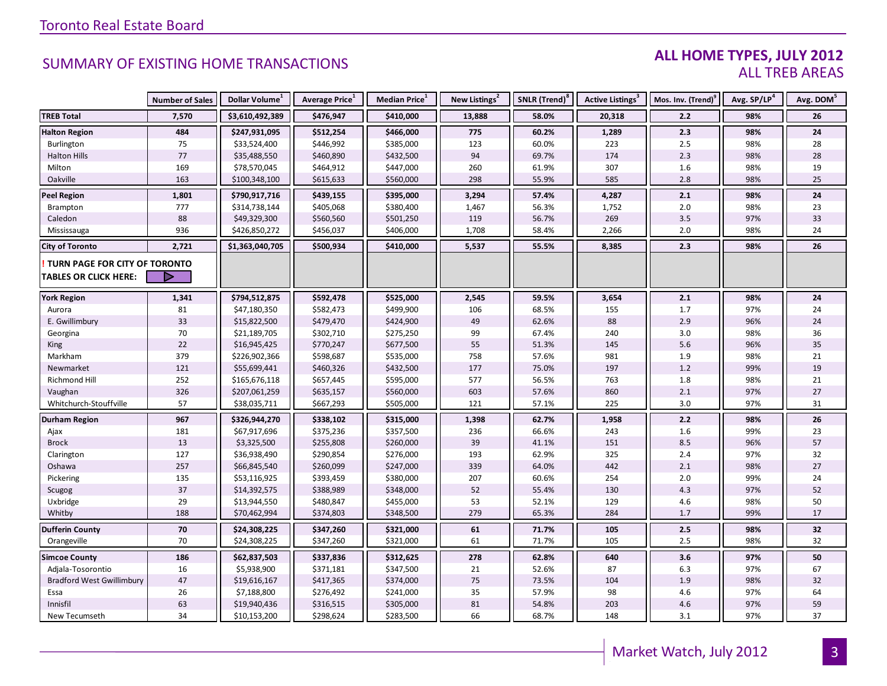#### **ALL HOME TYPES, JULY 2012** ALL TREB AREAS

|                                  | <b>Number of Sales</b> | Dollar Volume <sup>1</sup> | Average Price <sup>1</sup> | Median Price <sup>1</sup> | New Listings <sup>2</sup> | SNLR (Trend) <sup>8</sup> | Active Listings <sup>3</sup> | Mos. Inv. (Trend) <sup>9</sup> | Avg. SP/LP <sup>4</sup> | Avg. DOM <sup>5</sup> |
|----------------------------------|------------------------|----------------------------|----------------------------|---------------------------|---------------------------|---------------------------|------------------------------|--------------------------------|-------------------------|-----------------------|
| <b>TREB Total</b>                | 7,570                  | \$3,610,492,389            | \$476,947                  | \$410,000                 | 13,888                    | 58.0%                     | 20,318                       | 2.2                            | 98%                     | 26                    |
| <b>Halton Region</b>             | 484                    | \$247,931,095              | \$512,254                  | \$466,000                 | 775                       | 60.2%                     | 1,289                        | 2.3                            | 98%                     | 24                    |
| Burlington                       | 75                     | \$33,524,400               | \$446,992                  | \$385,000                 | 123                       | 60.0%                     | 223                          | 2.5                            | 98%                     | 28                    |
| <b>Halton Hills</b>              | 77                     | \$35,488,550               | \$460,890                  | \$432,500                 | 94                        | 69.7%                     | 174                          | 2.3                            | 98%                     | 28                    |
| Milton                           | 169                    | \$78,570,045               | \$464,912                  | \$447,000                 | 260                       | 61.9%                     | 307                          | 1.6                            | 98%                     | 19                    |
| Oakville                         | 163                    | \$100,348,100              | \$615,633                  | \$560,000                 | 298                       | 55.9%                     | 585                          | 2.8                            | 98%                     | 25                    |
| <b>Peel Region</b>               | 1,801                  | \$790,917,716              | \$439,155                  | \$395,000                 | 3,294                     | 57.4%                     | 4,287                        | 2.1                            | 98%                     | 24                    |
| Brampton                         | 777                    | \$314,738,144              | \$405,068                  | \$380,400                 | 1,467                     | 56.3%                     | 1,752                        | 2.0                            | 98%                     | 23                    |
| Caledon                          | 88                     | \$49,329,300               | \$560,560                  | \$501,250                 | 119                       | 56.7%                     | 269                          | 3.5                            | 97%                     | 33                    |
| Mississauga                      | 936                    | \$426,850,272              | \$456,037                  | \$406,000                 | 1,708                     | 58.4%                     | 2,266                        | 2.0                            | 98%                     | 24                    |
| <b>City of Toronto</b>           | 2,721                  | \$1,363,040,705            | \$500,934                  | \$410,000                 | 5,537                     | 55.5%                     | 8,385                        | 2.3                            | 98%                     | 26                    |
| TURN PAGE FOR CITY OF TORONTO    |                        |                            |                            |                           |                           |                           |                              |                                |                         |                       |
| <b>TABLES OR CLICK HERE:</b>     |                        |                            |                            |                           |                           |                           |                              |                                |                         |                       |
|                                  |                        |                            |                            |                           |                           |                           |                              |                                |                         |                       |
| <b>York Region</b>               | 1,341                  | \$794,512,875              | \$592,478                  | \$525,000                 | 2,545                     | 59.5%                     | 3,654                        | 2.1                            | 98%                     | 24                    |
| Aurora                           | 81                     | \$47,180,350               | \$582,473                  | \$499,900                 | 106                       | 68.5%                     | 155                          | 1.7                            | 97%                     | 24                    |
| E. Gwillimbury                   | 33                     | \$15,822,500               | \$479,470                  | \$424,900                 | 49                        | 62.6%                     | 88                           | 2.9                            | 96%                     | 24                    |
| Georgina                         | 70                     | \$21,189,705               | \$302,710                  | \$275,250                 | 99                        | 67.4%                     | 240                          | 3.0                            | 98%                     | 36                    |
| King                             | 22                     | \$16,945,425               | \$770,247                  | \$677,500                 | 55                        | 51.3%                     | 145                          | 5.6                            | 96%                     | 35                    |
| Markham                          | 379                    | \$226,902,366              | \$598,687                  | \$535,000                 | 758                       | 57.6%                     | 981                          | 1.9                            | 98%                     | 21                    |
| Newmarket                        | 121                    | \$55,699,441               | \$460,326                  | \$432,500                 | 177                       | 75.0%                     | 197                          | 1.2                            | 99%                     | 19                    |
| Richmond Hill                    | 252                    | \$165,676,118              | \$657,445                  | \$595,000                 | 577                       | 56.5%                     | 763                          | 1.8                            | 98%                     | 21                    |
| Vaughan                          | 326                    | \$207,061,259              | \$635,157                  | \$560,000                 | 603                       | 57.6%                     | 860                          | 2.1                            | 97%                     | 27                    |
| Whitchurch-Stouffville           | 57                     | \$38,035,711               | \$667,293                  | \$505,000                 | 121                       | 57.1%                     | 225                          | 3.0                            | 97%                     | 31                    |
| <b>Durham Region</b>             | 967                    | \$326,944,270              | \$338,102                  | \$315,000                 | 1,398                     | 62.7%                     | 1,958                        | 2.2                            | 98%                     | 26                    |
| Ajax                             | 181                    | \$67,917,696               | \$375,236                  | \$357,500                 | 236                       | 66.6%                     | 243                          | 1.6                            | 99%                     | 23                    |
| <b>Brock</b>                     | 13                     | \$3,325,500                | \$255,808                  | \$260,000                 | 39                        | 41.1%                     | 151                          | 8.5                            | 96%                     | 57                    |
| Clarington                       | 127                    | \$36,938,490               | \$290,854                  | \$276,000                 | 193                       | 62.9%                     | 325                          | 2.4                            | 97%                     | 32                    |
| Oshawa                           | 257                    | \$66,845,540               | \$260,099                  | \$247,000                 | 339                       | 64.0%                     | 442                          | 2.1                            | 98%                     | 27                    |
| Pickering                        | 135                    | \$53,116,925               | \$393,459                  | \$380,000                 | 207                       | 60.6%                     | 254                          | 2.0                            | 99%                     | 24                    |
| Scugog                           | 37                     | \$14,392,575               | \$388,989                  | \$348,000                 | 52                        | 55.4%                     | 130                          | 4.3                            | 97%                     | 52                    |
| Uxbridge                         | 29                     | \$13,944,550               | \$480,847                  | \$455,000                 | 53                        | 52.1%                     | 129                          | 4.6                            | 98%                     | 50                    |
| Whitby                           | 188                    | \$70,462,994               | \$374,803                  | \$348,500                 | 279                       | 65.3%                     | 284                          | 1.7                            | 99%                     | 17                    |
| <b>Dufferin County</b>           | 70                     | \$24,308,225               | \$347,260                  | \$321,000                 | 61                        | 71.7%                     | 105                          | 2.5                            | 98%                     | 32                    |
| Orangeville                      | 70                     | \$24,308,225               | \$347,260                  | \$321,000                 | 61                        | 71.7%                     | 105                          | 2.5                            | 98%                     | 32                    |
| <b>Simcoe County</b>             | 186                    | \$62,837,503               | \$337,836                  | \$312,625                 | 278                       | 62.8%                     | 640                          | 3.6                            | 97%                     | 50                    |
| Adjala-Tosorontio                | 16                     | \$5,938,900                | \$371,181                  | \$347,500                 | 21                        | 52.6%                     | 87                           | 6.3                            | 97%                     | 67                    |
| <b>Bradford West Gwillimbury</b> | 47                     | \$19,616,167               | \$417,365                  | \$374,000                 | 75                        | 73.5%                     | 104                          | 1.9                            | 98%                     | 32                    |
| Essa                             | 26                     | \$7,188,800                | \$276,492                  | \$241,000                 | 35                        | 57.9%                     | 98                           | 4.6                            | 97%                     | 64                    |
| Innisfil                         | 63                     | \$19,940,436               | \$316,515                  | \$305,000                 | 81                        | 54.8%                     | 203                          | 4.6                            | 97%                     | 59                    |
| New Tecumseth                    | 34                     | \$10,153,200               | \$298,624                  | \$283,500                 | 66                        | 68.7%                     | 148                          | 3.1                            | 97%                     | 37                    |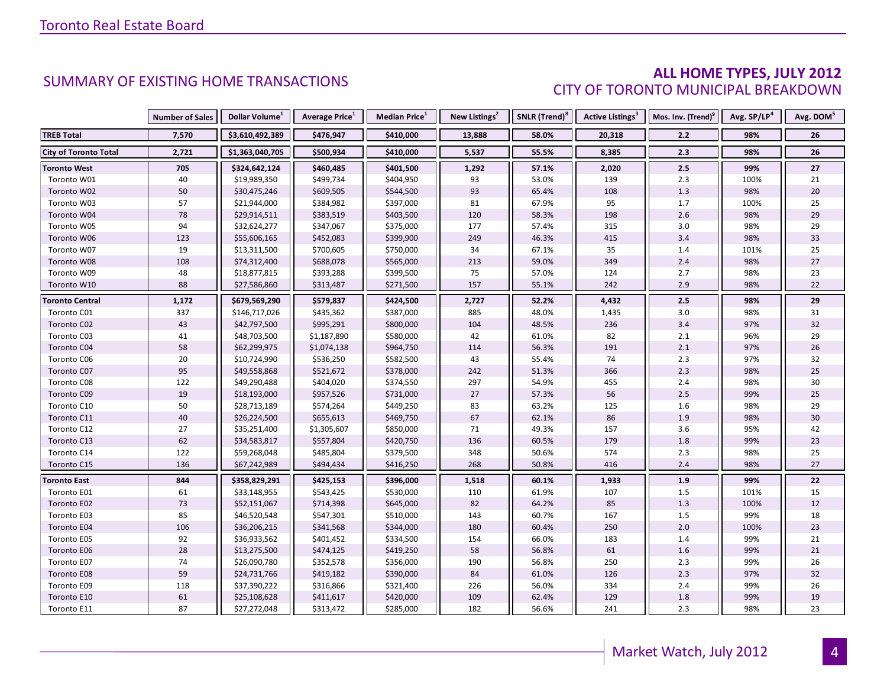### **ALL HOME TYPES, JULY 2012** CITY OF TORONTO MUNICIPAL BREAKDOWN

|                              | <b>Number of Sales</b> | Dollar Volume <sup>1</sup> | Average Price <sup>1</sup> | <b>Median Price</b> <sup>1</sup> | New Listings <sup>2</sup> | SNLR (Trend) <sup>8</sup> | Active Listings <sup>3</sup> | Mos. Inv. (Trend) <sup>9</sup> | Avg. SP/LP <sup>4</sup> | Avg. DOM <sup>5</sup> |
|------------------------------|------------------------|----------------------------|----------------------------|----------------------------------|---------------------------|---------------------------|------------------------------|--------------------------------|-------------------------|-----------------------|
| <b>TREB Total</b>            | 7,570                  | \$3,610,492,389            | \$476,947                  | \$410,000                        | 13,888                    | 58.0%                     | 20,318                       | 2.2                            | 98%                     | 26                    |
| <b>City of Toronto Total</b> | 2,721                  | \$1,363,040,705            | \$500,934                  | \$410,000                        | 5,537                     | 55.5%                     | 8,385                        | 2.3                            | 98%                     | 26                    |
| <b>Toronto West</b>          | 705                    | \$324,642,124              | \$460,485                  | \$401,500                        | 1,292                     | 57.1%                     | 2,020                        | 2.5                            | 99%                     | 27                    |
| Toronto W01                  | 40                     | \$19,989,350               | \$499,734                  | \$404,950                        | 93                        | 53.0%                     | 139                          | 2.3                            | 100%                    | 21                    |
| Toronto W02                  | 50                     | \$30,475,246               | \$609,505                  | \$544,500                        | 93                        | 65.4%                     | 108                          | 1.3                            | 98%                     | $20\,$                |
| Toronto W03                  | 57                     | \$21,944,000               | \$384,982                  | \$397,000                        | 81                        | 67.9%                     | 95                           | 1.7                            | 100%                    | 25                    |
| Toronto W04                  | 78                     | \$29,914,511               | \$383,519                  | \$403,500                        | 120                       | 58.3%                     | 198                          | 2.6                            | 98%                     | 29                    |
| Toronto W05                  | 94                     | \$32,624,277               | \$347,067                  | \$375,000                        | 177                       | 57.4%                     | 315                          | 3.0                            | 98%                     | 29                    |
| Toronto W06                  | 123                    | \$55,606,165               | \$452,083                  | \$399,900                        | 249                       | 46.3%                     | 415                          | 3.4                            | 98%                     | 33                    |
| Toronto W07                  | 19                     | \$13,311,500               | \$700,605                  | \$750,000                        | 34                        | 67.1%                     | 35                           | 1.4                            | 101%                    | 25                    |
| Toronto W08                  | 108                    | \$74,312,400               | \$688,078                  | \$565,000                        | 213                       | 59.0%                     | 349                          | 2.4                            | 98%                     | 27                    |
| Toronto W09                  | 48                     | \$18,877,815               | \$393,288                  | \$399,500                        | 75                        | 57.0%                     | 124                          | 2.7                            | 98%                     | 23                    |
| Toronto W10                  | 88                     | \$27,586,860               | \$313,487                  | \$271,500                        | 157                       | 55.1%                     | 242                          | 2.9                            | 98%                     | 22                    |
| <b>Toronto Central</b>       | 1,172                  | \$679,569,290              | \$579,837                  | \$424,500                        | 2,727                     | 52.2%                     | 4,432                        | 2.5                            | 98%                     | 29                    |
| Toronto C01                  | 337                    | \$146,717,026              | \$435,362                  | \$387,000                        | 885                       | 48.0%                     | 1,435                        | $3.0\,$                        | 98%                     | 31                    |
| Toronto C02                  | 43                     | \$42,797,500               | \$995,291                  | \$800,000                        | 104                       | 48.5%                     | 236                          | 3.4                            | 97%                     | 32                    |
| Toronto C03                  | 41                     | \$48,703,500               | \$1,187,890                | \$580,000                        | 42                        | 61.0%                     | 82                           | $2.1\,$                        | 96%                     | 29                    |
| Toronto C04                  | 58                     | \$62,299,975               | \$1,074,138                | \$964,750                        | 114                       | 56.3%                     | 191                          | 2.1                            | 97%                     | 26                    |
| Toronto C06                  | $20\,$                 | \$10,724,990               | \$536,250                  | \$582,500                        | 43                        | 55.4%                     | 74                           | $2.3$                          | 97%                     | 32                    |
| Toronto C07                  | 95                     | \$49,558,868               | \$521,672                  | \$378,000                        | 242                       | 51.3%                     | 366                          | $2.3$                          | 98%                     | 25                    |
| Toronto C08                  | 122                    | \$49,290,488               | \$404,020                  | \$374,550                        | 297                       | 54.9%                     | 455                          | 2.4                            | 98%                     | 30                    |
| Toronto C09                  | 19                     | \$18,193,000               | \$957,526                  | \$731,000                        | 27                        | 57.3%                     | 56                           | $2.5\,$                        | 99%                     | 25                    |
| Toronto C10                  | 50                     | \$28,713,189               | \$574,264                  | \$449,250                        | 83                        | 63.2%                     | 125                          | 1.6                            | 98%                     | 29                    |
| Toronto C11                  | 40                     | \$26,224,500               | \$655,613                  | \$469,750                        | 67                        | 62.1%                     | 86                           | 1.9                            | 98%                     | 30                    |
| Toronto C12                  | 27                     | \$35,251,400               | \$1,305,607                | \$850,000                        | 71                        | 49.3%                     | 157                          | 3.6                            | 95%                     | 42                    |
| Toronto C13                  | 62                     | \$34,583,817               | \$557,804                  | \$420,750                        | 136                       | 60.5%                     | 179                          | 1.8                            | 99%                     | 23                    |
| Toronto C14                  | 122                    | \$59,268,048               | \$485,804                  | \$379,500                        | 348                       | 50.6%                     | 574                          | $2.3$                          | 98%                     | 25                    |
| Toronto C15                  | 136                    | \$67,242,989               | \$494,434                  | \$416,250                        | 268                       | 50.8%                     | 416                          | 2.4                            | 98%                     | 27                    |
| <b>Toronto East</b>          | 844                    | \$358,829,291              | \$425,153                  | \$396,000                        | 1,518                     | 60.1%                     | 1,933                        | 1.9                            | 99%                     | 22                    |
| Toronto E01                  | 61                     | \$33,148,955               | \$543,425                  | \$530,000                        | 110                       | 61.9%                     | 107                          | 1.5                            | 101%                    | 15                    |
| Toronto E02                  | 73                     | \$52,151,067               | \$714,398                  | \$645,000                        | 82                        | 64.2%                     | 85                           | 1.3                            | 100%                    | 12                    |
| Toronto E03                  | 85                     | \$46,520,548               | \$547,301                  | \$510,000                        | 143                       | 60.7%                     | 167                          | 1.5                            | 99%                     | 18                    |
| Toronto E04                  | 106                    | \$36,206,215               | \$341,568                  | \$344,000                        | 180                       | 60.4%                     | 250                          | $2.0\,$                        | 100%                    | 23                    |
| Toronto E05                  | 92                     | \$36,933,562               | \$401,452                  | \$334,500                        | 154                       | 66.0%                     | 183                          | 1.4                            | 99%                     | 21                    |
| Toronto E06                  | 28                     | \$13,275,500               | \$474,125                  | \$419,250                        | 58                        | 56.8%                     | 61                           | 1.6                            | 99%                     | 21                    |
| Toronto E07                  | 74                     | \$26,090,780               | \$352,578                  | \$356,000                        | 190                       | 56.8%                     | 250                          | $2.3$                          | 99%                     | 26                    |
| Toronto E08                  | 59                     | \$24,731,766               | \$419,182                  | \$390,000                        | 84                        | 61.0%                     | 126                          | 2.3                            | 97%                     | 32                    |
| Toronto E09                  | 118                    | \$37,390,222               | \$316,866                  | \$321,400                        | 226                       | 56.0%                     | 334                          | 2.4                            | 99%                     | 26                    |
| Toronto E10                  | 61                     | \$25,108,628               | \$411,617                  | \$420,000                        | 109                       | 62.4%                     | 129                          | 1.8                            | 99%                     | 19                    |
| Toronto E11                  | 87                     | \$27,272,048               | \$313,472                  | \$285,000                        | 182                       | 56.6%                     | 241                          | 2.3                            | 98%                     | 23                    |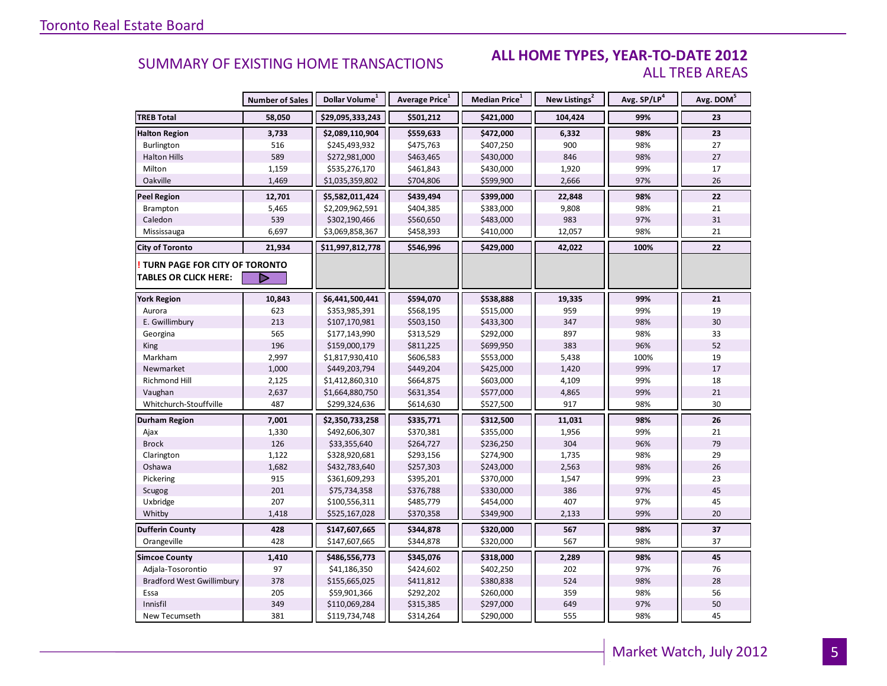#### **ALL HOME TYPES, YEAR-TO-DATE 2012** ALL TREB AREAS

|                                        | <b>Number of Sales</b> | Dollar Volume <sup>1</sup> | <b>Average Price</b> <sup>1</sup> | Median Price <sup>1</sup> | New Listings <sup>2</sup> | Avg. SP/LP <sup>4</sup> | Avg. DOM <sup>5</sup> |
|----------------------------------------|------------------------|----------------------------|-----------------------------------|---------------------------|---------------------------|-------------------------|-----------------------|
| <b>TREB Total</b>                      | 58,050                 | \$29,095,333,243           | \$501,212                         | \$421,000                 | 104,424                   | 99%                     | 23                    |
| <b>Halton Region</b>                   | 3,733                  | \$2,089,110,904            | \$559,633                         | \$472,000                 | 6,332                     | 98%                     | 23                    |
| Burlington                             | 516                    | \$245,493,932              | \$475,763                         | \$407,250                 | 900                       | 98%                     | 27                    |
| <b>Halton Hills</b>                    | 589                    | \$272,981,000              | \$463,465                         | \$430,000                 | 846                       | 98%                     | 27                    |
| Milton                                 | 1,159                  | \$535,276,170              | \$461,843                         | \$430,000                 | 1,920                     | 99%                     | 17                    |
| Oakville                               | 1,469                  | \$1,035,359,802            | \$704,806                         | \$599,900                 | 2,666                     | 97%                     | 26                    |
| <b>Peel Region</b>                     | 12,701                 | \$5,582,011,424            | \$439,494                         | \$399,000                 | 22,848                    | 98%                     | 22                    |
| Brampton                               | 5,465                  | \$2,209,962,591            | \$404,385                         | \$383,000                 | 9,808                     | 98%                     | 21                    |
| Caledon                                | 539                    | \$302,190,466              | \$560,650                         | \$483,000                 | 983                       | 97%                     | 31                    |
| Mississauga                            | 6,697                  | \$3,069,858,367            | \$458,393                         | \$410,000                 | 12,057                    | 98%                     | 21                    |
| <b>City of Toronto</b>                 | 21,934                 | \$11,997,812,778           | \$546,996                         | \$429,000                 | 42,022                    | 100%                    | 22                    |
| <b>! TURN PAGE FOR CITY OF TORONTO</b> |                        |                            |                                   |                           |                           |                         |                       |
| <b>TABLES OR CLICK HERE:</b>           |                        |                            |                                   |                           |                           |                         |                       |
| <b>York Region</b>                     | 10,843                 | \$6,441,500,441            | \$594,070                         | \$538,888                 | 19,335                    | 99%                     | 21                    |
| Aurora                                 | 623                    | \$353,985,391              | \$568,195                         | \$515,000                 | 959                       | 99%                     | 19                    |
| E. Gwillimbury                         | 213                    | \$107,170,981              | \$503,150                         | \$433,300                 | 347                       | 98%                     | 30                    |
| Georgina                               | 565                    | \$177,143,990              | \$313,529                         | \$292,000                 | 897                       | 98%                     | 33                    |
| <b>King</b>                            | 196                    | \$159,000,179              | \$811,225                         | \$699,950                 | 383                       | 96%                     | 52                    |
| Markham                                | 2,997                  | \$1,817,930,410            | \$606,583                         | \$553,000                 | 5,438                     | 100%                    | 19                    |
| Newmarket                              | 1,000                  | \$449,203,794              | \$449,204                         | \$425,000                 | 1,420                     | 99%                     | 17                    |
| Richmond Hill                          | 2,125                  | \$1,412,860,310            | \$664,875                         | \$603,000                 | 4,109                     | 99%                     | 18                    |
| Vaughan                                | 2,637                  | \$1,664,880,750            | \$631,354                         | \$577,000                 | 4,865                     | 99%                     | 21                    |
| Whitchurch-Stouffville                 | 487                    | \$299,324,636              | \$614,630                         | \$527,500                 | 917                       | 98%                     | 30                    |
| Durham Region                          | 7,001                  | \$2,350,733,258            | \$335,771                         | \$312,500                 | 11,031                    | 98%                     | 26                    |
| Ajax                                   | 1,330                  | \$492,606,307              | \$370,381                         | \$355,000                 | 1,956                     | 99%                     | 21                    |
| <b>Brock</b>                           | 126                    | \$33,355,640               | \$264,727                         | \$236,250                 | 304                       | 96%                     | 79                    |
| Clarington                             | 1,122                  | \$328,920,681              | \$293,156                         | \$274,900                 | 1,735                     | 98%                     | 29                    |
| Oshawa                                 | 1,682                  | \$432,783,640              | \$257,303                         | \$243,000                 | 2,563                     | 98%                     | 26                    |
| Pickering                              | 915                    | \$361,609,293              | \$395,201                         | \$370,000                 | 1,547                     | 99%                     | 23                    |
| Scugog                                 | 201                    | \$75,734,358               | \$376,788                         | \$330,000                 | 386                       | 97%                     | 45                    |
| Uxbridge                               | 207                    | \$100,556,311              | \$485,779                         | \$454,000                 | 407                       | 97%                     | 45                    |
| Whitby                                 | 1,418                  | \$525,167,028              | \$370,358                         | \$349,900                 | 2,133                     | 99%                     | 20                    |
| <b>Dufferin County</b>                 | 428                    | \$147,607,665              | \$344,878                         | \$320,000                 | 567                       | 98%                     | 37                    |
| Orangeville                            | 428                    | \$147,607,665              | \$344,878                         | \$320,000                 | 567                       | 98%                     | 37                    |
| <b>Simcoe County</b>                   | 1,410                  | \$486,556,773              | \$345,076                         | \$318,000                 | 2,289                     | 98%                     | 45                    |
| Adjala-Tosorontio                      | 97                     | \$41,186,350               | \$424,602                         | \$402,250                 | 202                       | 97%                     | 76                    |
| <b>Bradford West Gwillimbury</b>       | 378                    | \$155,665,025              | \$411,812                         | \$380,838                 | 524                       | 98%                     | 28                    |
| Essa                                   | 205                    | \$59,901,366               | \$292,202                         | \$260,000                 | 359                       | 98%                     | 56                    |
| Innisfil                               | 349                    | \$110,069,284              | \$315,385                         | \$297,000                 | 649                       | 97%                     | 50                    |
| New Tecumseth                          | 381                    | \$119,734,748              | \$314,264                         | \$290,000                 | 555                       | 98%                     | 45                    |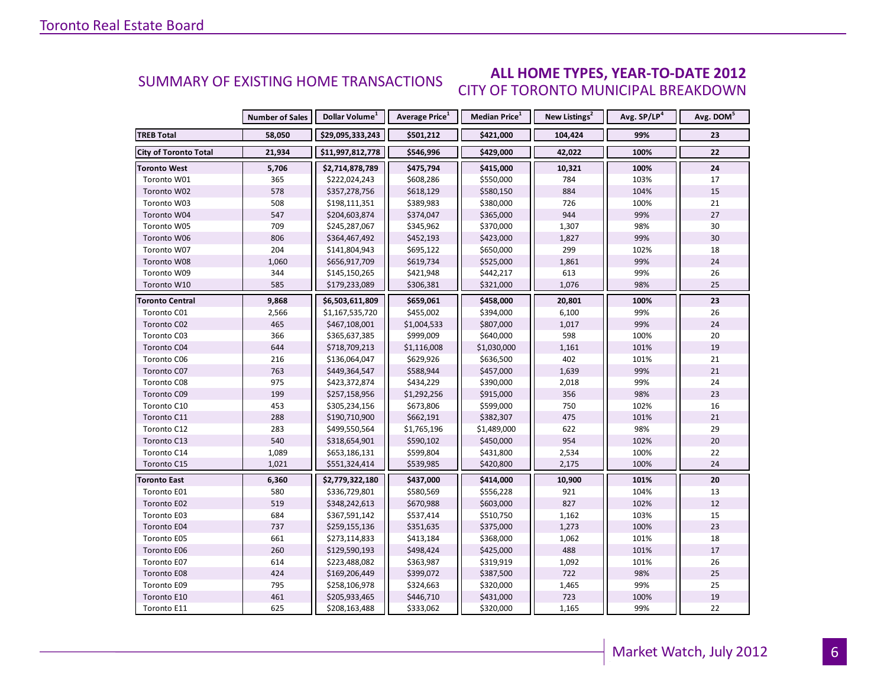#### **ALL HOME TYPES, YEAR-TO-DATE 2012** CITY OF TORONTO MUNICIPAL BREAKDOWN SUMMARY OF EXISTING HOME TRANSACTIONS

|                              | <b>Number of Sales</b> | Dollar Volume <sup>1</sup> | Average Price <sup>1</sup> | <b>Median Price</b> <sup>1</sup> | New Listings <sup>2</sup> | Avg. SP/LP <sup>4</sup> | Avg. DOM <sup>5</sup> |
|------------------------------|------------------------|----------------------------|----------------------------|----------------------------------|---------------------------|-------------------------|-----------------------|
| <b>TREB Total</b>            | 58,050                 | \$29,095,333,243           | \$501,212                  | \$421,000                        | 104,424                   | 99%                     | 23                    |
| <b>City of Toronto Total</b> | 21,934                 | \$11,997,812,778           | \$546,996                  | \$429,000                        | 42,022                    | 100%                    | 22                    |
| Toronto West                 | 5,706                  | \$2,714,878,789            | \$475,794                  | \$415,000                        | 10,321                    | 100%                    | 24                    |
| Toronto W01                  | 365                    | \$222,024,243              | \$608,286                  | \$550,000                        | 784                       | 103%                    | 17                    |
| Toronto W02                  | 578                    | \$357,278,756              | \$618,129                  | \$580,150                        | 884                       | 104%                    | 15                    |
| Toronto W03                  | 508                    | \$198,111,351              | \$389,983                  | \$380,000                        | 726                       | 100%                    | 21                    |
| Toronto W04                  | 547                    | \$204,603,874              | \$374,047                  | \$365,000                        | 944                       | 99%                     | 27                    |
| Toronto W05                  | 709                    | \$245,287,067              | \$345,962                  | \$370,000                        | 1,307                     | 98%                     | 30                    |
| Toronto W06                  | 806                    | \$364,467,492              | \$452,193                  | \$423,000                        | 1,827                     | 99%                     | 30                    |
| Toronto W07                  | 204                    | \$141,804,943              | \$695,122                  | \$650,000                        | 299                       | 102%                    | 18                    |
| Toronto W08                  | 1,060                  | \$656,917,709              | \$619,734                  | \$525,000                        | 1,861                     | 99%                     | 24                    |
| Toronto W09                  | 344                    | \$145,150,265              | \$421,948                  | \$442,217                        | 613                       | 99%                     | 26                    |
| Toronto W10                  | 585                    | \$179,233,089              | \$306,381                  | \$321,000                        | 1,076                     | 98%                     | 25                    |
| <b>Toronto Central</b>       | 9,868                  | \$6,503,611,809            | \$659,061                  | \$458,000                        | 20,801                    | 100%                    | 23                    |
| Toronto C01                  | 2,566                  | \$1,167,535,720            | \$455,002                  | \$394,000                        | 6,100                     | 99%                     | 26                    |
| Toronto C02                  | 465                    | \$467,108,001              | \$1,004,533                | \$807,000                        | 1,017                     | 99%                     | 24                    |
| Toronto C03                  | 366                    | \$365,637,385              | \$999,009                  | \$640,000                        | 598                       | 100%                    | 20                    |
| Toronto C04                  | 644                    | \$718,709,213              | \$1,116,008                | \$1,030,000                      | 1,161                     | 101%                    | 19                    |
| Toronto C06                  | 216                    | \$136,064,047              | \$629,926                  | \$636,500                        | 402                       | 101%                    | 21                    |
| Toronto C07                  | 763                    | \$449,364,547              | \$588,944                  | \$457,000                        | 1,639                     | 99%                     | 21                    |
| Toronto C08                  | 975                    | \$423,372,874              | \$434,229                  | \$390,000                        | 2,018                     | 99%                     | 24                    |
| Toronto C09                  | 199                    | \$257,158,956              | \$1,292,256                | \$915,000                        | 356                       | 98%                     | 23                    |
| Toronto C10                  | 453                    | \$305,234,156              | \$673,806                  | \$599,000                        | 750                       | 102%                    | 16                    |
| Toronto C11                  | 288                    | \$190,710,900              | \$662,191                  | \$382,307                        | 475                       | 101%                    | 21                    |
| Toronto C12                  | 283                    | \$499,550,564              | \$1,765,196                | \$1,489,000                      | 622                       | 98%                     | 29                    |
| Toronto C13                  | 540                    | \$318,654,901              | \$590,102                  | \$450,000                        | 954                       | 102%                    | 20                    |
| Toronto C14                  | 1,089                  | \$653,186,131              | \$599,804                  | \$431,800                        | 2,534                     | 100%                    | 22                    |
| Toronto C15                  | 1,021                  | \$551,324,414              | \$539,985                  | \$420,800                        | 2,175                     | 100%                    | 24                    |
| <b>Toronto East</b>          | 6,360                  | \$2,779,322,180            | \$437,000                  | \$414,000                        | 10,900                    | 101%                    | 20                    |
| Toronto E01                  | 580                    | \$336,729,801              | \$580,569                  | \$556,228                        | 921                       | 104%                    | 13                    |
| Toronto E02                  | 519                    | \$348,242,613              | \$670,988                  | \$603,000                        | 827                       | 102%                    | 12                    |
| Toronto E03                  | 684                    | \$367,591,142              | \$537,414                  | \$510,750                        | 1,162                     | 103%                    | 15                    |
| Toronto E04                  | 737                    | \$259,155,136              | \$351,635                  | \$375,000                        | 1,273                     | 100%                    | 23                    |
| Toronto E05                  | 661                    | \$273,114,833              | \$413,184                  | \$368,000                        | 1,062                     | 101%                    | 18                    |
| Toronto E06                  | 260                    | \$129,590,193              | \$498,424                  | \$425,000                        | 488                       | 101%                    | 17                    |
| Toronto E07                  | 614                    | \$223,488,082              | \$363,987                  | \$319,919                        | 1,092                     | 101%                    | 26                    |
| Toronto E08                  | 424                    | \$169,206,449              | \$399,072                  | \$387,500                        | 722                       | 98%                     | 25                    |
| Toronto E09                  | 795                    | \$258,106,978              | \$324,663                  | \$320,000                        | 1,465                     | 99%                     | 25                    |
| Toronto E10                  | 461                    | \$205,933,465              | \$446,710                  | \$431,000                        | 723                       | 100%                    | 19                    |
| Toronto E11                  | 625                    | \$208,163,488              | \$333,062                  | \$320,000                        | 1,165                     | 99%                     | 22                    |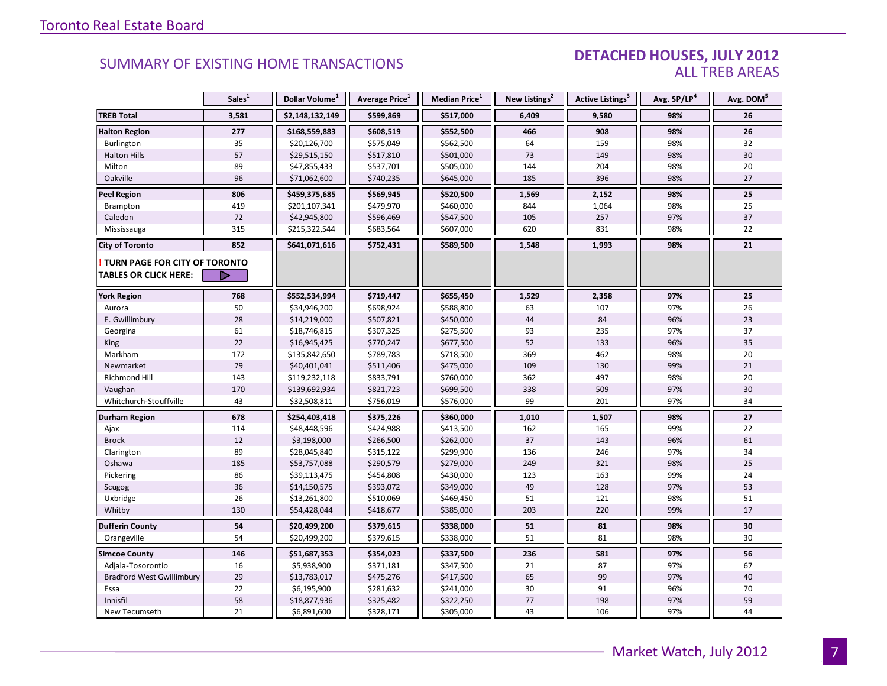#### DETACHED HOUSES, JULY 2012 ALL TREB AREAS

|                                  | Sales <sup>1</sup> | Dollar Volume <sup>1</sup> | Average Price <sup>1</sup> | Median Price <sup>1</sup> | New Listings <sup>2</sup> | Active Listings <sup>3</sup> | Avg. SP/LP <sup>4</sup> | Avg. DOM <sup>5</sup> |
|----------------------------------|--------------------|----------------------------|----------------------------|---------------------------|---------------------------|------------------------------|-------------------------|-----------------------|
| <b>TREB Total</b>                | 3,581              | \$2,148,132,149            | \$599,869                  | \$517,000                 | 6,409                     | 9,580                        | 98%                     | 26                    |
| <b>Halton Region</b>             | 277                | \$168,559,883              | \$608,519                  | \$552,500                 | 466                       | 908                          | 98%                     | 26                    |
| Burlington                       | 35                 | \$20,126,700               | \$575,049                  | \$562,500                 | 64                        | 159                          | 98%                     | 32                    |
| <b>Halton Hills</b>              | 57                 | \$29,515,150               | \$517,810                  | \$501,000                 | 73                        | 149                          | 98%                     | 30                    |
| Milton                           | 89                 | \$47,855,433               | \$537,701                  | \$505,000                 | 144                       | 204                          | 98%                     | 20                    |
| Oakville                         | 96                 | \$71,062,600               | \$740,235                  | \$645,000                 | 185                       | 396                          | 98%                     | 27                    |
| <b>Peel Region</b>               | 806                | \$459,375,685              | \$569,945                  | \$520,500                 | 1,569                     | 2,152                        | 98%                     | 25                    |
| Brampton                         | 419                | \$201,107,341              | \$479,970                  | \$460,000                 | 844                       | 1,064                        | 98%                     | 25                    |
| Caledon                          | 72                 | \$42,945,800               | \$596,469                  | \$547,500                 | 105                       | 257                          | 97%                     | 37                    |
| Mississauga                      | 315                | \$215,322,544              | \$683,564                  | \$607,000                 | 620                       | 831                          | 98%                     | 22                    |
| <b>City of Toronto</b>           | 852                | \$641,071,616              | \$752,431                  | \$589,500                 | 1,548                     | 1,993                        | 98%                     | 21                    |
| TURN PAGE FOR CITY OF TORONTO    |                    |                            |                            |                           |                           |                              |                         |                       |
| <b>TABLES OR CLICK HERE:</b>     | D                  |                            |                            |                           |                           |                              |                         |                       |
| <b>York Region</b>               | 768                | \$552,534,994              | \$719,447                  | \$655,450                 | 1,529                     | 2,358                        | 97%                     | 25                    |
| Aurora                           | 50                 | \$34,946,200               | \$698,924                  | \$588,800                 | 63                        | 107                          | 97%                     | 26                    |
| E. Gwillimbury                   | 28                 | \$14,219,000               | \$507,821                  | \$450,000                 | 44                        | 84                           | 96%                     | 23                    |
| Georgina                         | 61                 | \$18,746,815               | \$307,325                  | \$275,500                 | 93                        | 235                          | 97%                     | 37                    |
| <b>King</b>                      | 22                 | \$16,945,425               | \$770,247                  | \$677,500                 | 52                        | 133                          | 96%                     | 35                    |
| Markham                          | 172                | \$135,842,650              | \$789,783                  | \$718,500                 | 369                       | 462                          | 98%                     | 20                    |
| Newmarket                        | 79                 | \$40,401,041               | \$511,406                  | \$475,000                 | 109                       | 130                          | 99%                     | 21                    |
| <b>Richmond Hill</b>             | 143                | \$119,232,118              | \$833,791                  | \$760,000                 | 362                       | 497                          | 98%                     | 20                    |
| Vaughan                          | 170                | \$139,692,934              | \$821,723                  | \$699,500                 | 338                       | 509                          | 97%                     | 30                    |
| Whitchurch-Stouffville           | 43                 | \$32,508,811               | \$756,019                  | \$576,000                 | 99                        | 201                          | 97%                     | 34                    |
| <b>Durham Region</b>             | 678                | \$254,403,418              | \$375,226                  | \$360,000                 | 1,010                     | 1,507                        | 98%                     | 27                    |
| Ajax                             | 114                | \$48,448,596               | \$424,988                  | \$413,500                 | 162                       | 165                          | 99%                     | 22                    |
| <b>Brock</b>                     | 12                 | \$3,198,000                | \$266,500                  | \$262,000                 | 37                        | 143                          | 96%                     | 61                    |
| Clarington                       | 89                 | \$28,045,840               | \$315,122                  | \$299,900                 | 136                       | 246                          | 97%                     | 34                    |
| Oshawa                           | 185                | \$53,757,088               | \$290,579                  | \$279,000                 | 249                       | 321                          | 98%                     | 25                    |
| Pickering                        | 86                 | \$39,113,475               | \$454,808                  | \$430,000                 | 123                       | 163                          | 99%                     | 24                    |
| Scugog                           | 36                 | \$14,150,575               | \$393,072                  | \$349,000                 | 49                        | 128                          | 97%                     | 53                    |
| Uxbridge                         | 26                 | \$13,261,800               | \$510,069                  | \$469,450                 | 51                        | 121                          | 98%                     | 51                    |
| Whitby                           | 130                | \$54,428,044               | \$418,677                  | \$385,000                 | 203                       | 220                          | 99%                     | 17                    |
| <b>Dufferin County</b>           | 54                 | \$20,499,200               | \$379,615                  | \$338,000                 | 51                        | 81                           | 98%                     | 30                    |
| Orangeville                      | 54                 | \$20,499,200               | \$379,615                  | \$338,000                 | 51                        | 81                           | 98%                     | 30                    |
| <b>Simcoe County</b>             | 146                | \$51,687,353               | \$354,023                  | \$337,500                 | 236                       | 581                          | 97%                     | 56                    |
| Adjala-Tosorontio                | 16                 | \$5,938,900                | \$371,181                  | \$347,500                 | 21                        | 87                           | 97%                     | 67                    |
| <b>Bradford West Gwillimbury</b> | 29                 | \$13,783,017               | \$475,276                  | \$417,500                 | 65                        | 99                           | 97%                     | 40                    |
| Essa                             | 22                 | \$6,195,900                | \$281,632                  | \$241,000                 | 30                        | 91                           | 96%                     | 70                    |
| Innisfil                         | 58                 | \$18,877,936               | \$325,482                  | \$322,250                 | 77                        | 198                          | 97%                     | 59                    |
| New Tecumseth                    | 21                 | \$6,891,600                | \$328,171                  | \$305,000                 | 43                        | 106                          | 97%                     | 44                    |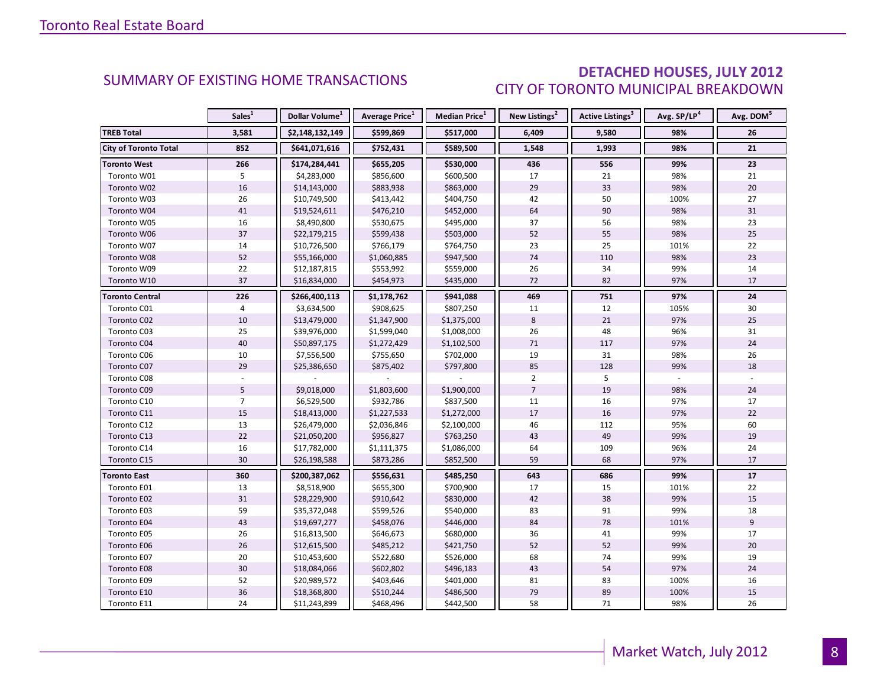### DETACHED HOUSES, JULY 2012 CITY OF TORONTO MUNICIPAL BREAKDOWN

<span id="page-7-0"></span>

|                        | Sales <sup>1</sup> | Dollar Volume <sup>1</sup> | <b>Average Price</b> <sup>1</sup> | Median Price <sup>1</sup> | New Listings <sup>2</sup> | Active Listings <sup>3</sup> | Avg. SP/LP <sup>4</sup> | Avg. DOM <sup>5</sup> |
|------------------------|--------------------|----------------------------|-----------------------------------|---------------------------|---------------------------|------------------------------|-------------------------|-----------------------|
| <b>TREB Total</b>      | 3,581              | \$2,148,132,149            | \$599,869                         | \$517,000                 | 6,409                     | 9,580                        | 98%                     | 26                    |
| City of Toronto Total  | 852                | \$641,071,616              | \$752,431                         | \$589,500                 | 1,548                     | 1,993                        | 98%                     | 21                    |
| <b>Toronto West</b>    | 266                | \$174,284,441              | \$655,205                         | \$530,000                 | 436                       | 556                          | 99%                     | 23                    |
| Toronto W01            | 5                  | \$4,283,000                | \$856,600                         | \$600,500                 | 17                        | 21                           | 98%                     | 21                    |
| Toronto W02            | 16                 | \$14,143,000               | \$883,938                         | \$863,000                 | 29                        | 33                           | 98%                     | $20\,$                |
| Toronto W03            | 26                 | \$10,749,500               | \$413,442                         | \$404,750                 | 42                        | 50                           | 100%                    | 27                    |
| Toronto W04            | $41\,$             | \$19,524,611               | \$476,210                         | \$452,000                 | 64                        | 90                           | 98%                     | 31                    |
| Toronto W05            | 16                 | \$8,490,800                | \$530,675                         | \$495,000                 | 37                        | 56                           | 98%                     | 23                    |
| Toronto W06            | 37                 | \$22,179,215               | \$599,438                         | \$503,000                 | 52                        | 55                           | 98%                     | 25                    |
| Toronto W07            | 14                 | \$10,726,500               | \$766,179                         | \$764,750                 | 23                        | 25                           | 101%                    | 22                    |
| Toronto W08            | 52                 | \$55,166,000               | \$1,060,885                       | \$947,500                 | 74                        | 110                          | 98%                     | 23                    |
| Toronto W09            | 22                 | \$12,187,815               | \$553,992                         | \$559,000                 | 26                        | 34                           | 99%                     | 14                    |
| Toronto W10            | 37                 | \$16,834,000               | \$454,973                         | \$435,000                 | 72                        | 82                           | 97%                     | 17                    |
| <b>Toronto Central</b> | 226                | \$266,400,113              | \$1,178,762                       | \$941,088                 | 469                       | 751                          | 97%                     | 24                    |
| Toronto C01            | $\overline{4}$     | \$3,634,500                | \$908,625                         | \$807,250                 | 11                        | 12                           | 105%                    | 30                    |
| Toronto C02            | 10                 | \$13,479,000               | \$1,347,900                       | \$1,375,000               | 8                         | 21                           | 97%                     | 25                    |
| Toronto C03            | 25                 | \$39,976,000               | \$1,599,040                       | \$1,008,000               | 26                        | 48                           | 96%                     | 31                    |
| Toronto C04            | 40                 | \$50,897,175               | \$1,272,429                       | \$1,102,500               | 71                        | 117                          | 97%                     | 24                    |
| Toronto C06            | 10                 | \$7,556,500                | \$755,650                         | \$702,000                 | 19                        | 31                           | 98%                     | 26                    |
| Toronto C07            | 29                 | \$25,386,650               | \$875,402                         | \$797,800                 | 85                        | 128                          | 99%                     | 18                    |
| Toronto C08            |                    |                            |                                   |                           | $\overline{2}$            | 5                            |                         |                       |
| Toronto C09            | 5                  | \$9,018,000                | \$1,803,600                       | \$1,900,000               | $\overline{7}$            | 19                           | 98%                     | 24                    |
| Toronto C10            | $\overline{7}$     | \$6,529,500                | \$932,786                         | \$837,500                 | 11                        | 16                           | 97%                     | 17                    |
| Toronto C11            | 15                 | \$18,413,000               | \$1,227,533                       | \$1,272,000               | 17                        | 16                           | 97%                     | 22                    |
| Toronto C12            | 13                 | \$26,479,000               | \$2,036,846                       | \$2,100,000               | 46                        | 112                          | 95%                     | 60                    |
| Toronto C13            | 22                 | \$21,050,200               | \$956,827                         | \$763,250                 | 43                        | 49                           | 99%                     | 19                    |
| Toronto C14            | 16                 | \$17,782,000               | \$1,111,375                       | \$1,086,000               | 64                        | 109                          | 96%                     | 24                    |
| Toronto C15            | 30                 | \$26,198,588               | \$873,286                         | \$852,500                 | 59                        | 68                           | 97%                     | 17                    |
| <b>Toronto East</b>    | 360                | \$200,387,062              | \$556,631                         | \$485,250                 | 643                       | 686                          | 99%                     | 17                    |
| Toronto E01            | 13                 | \$8,518,900                | \$655,300                         | \$700,900                 | 17                        | 15                           | 101%                    | 22                    |
| Toronto E02            | 31                 | \$28,229,900               | \$910,642                         | \$830,000                 | 42                        | 38                           | 99%                     | 15                    |
| Toronto E03            | 59                 | \$35,372,048               | \$599,526                         | \$540,000                 | 83                        | 91                           | 99%                     | 18                    |
| Toronto E04            | 43                 | \$19,697,277               | \$458,076                         | \$446,000                 | 84                        | 78                           | 101%                    | $\overline{9}$        |
| Toronto E05            | 26                 | \$16,813,500               | \$646,673                         | \$680,000                 | 36                        | 41                           | 99%                     | 17                    |
| Toronto E06            | 26                 | \$12,615,500               | \$485,212                         | \$421,750                 | 52                        | 52                           | 99%                     | 20                    |
| Toronto E07            | 20                 | \$10,453,600               | \$522,680                         | \$526,000                 | 68                        | 74                           | 99%                     | 19                    |
| Toronto E08            | 30                 | \$18,084,066               | \$602,802                         | \$496,183                 | 43                        | 54                           | 97%                     | 24                    |
| Toronto E09            | 52                 | \$20,989,572               | \$403,646                         | \$401,000                 | 81                        | 83                           | 100%                    | 16                    |
| Toronto E10            | 36                 | \$18,368,800               | \$510,244                         | \$486,500                 | 79                        | 89                           | 100%                    | 15                    |
| Toronto E11            | 24                 | \$11,243,899               | \$468,496                         | \$442,500                 | 58                        | 71                           | 98%                     | 26                    |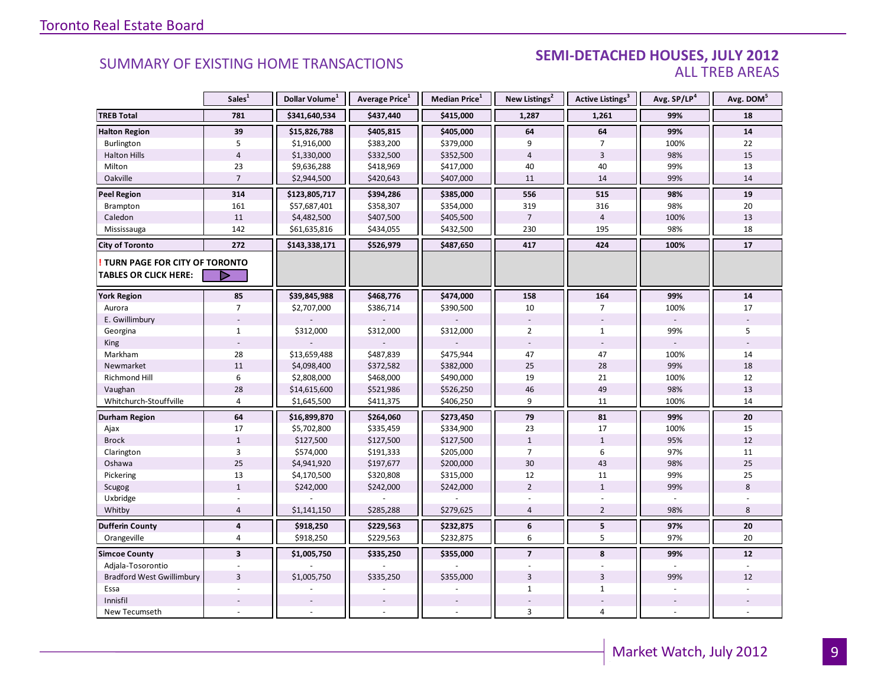#### SUMMARY OF EXISTING HOME TRANSACTIONS **SEMI-DETACHED HOUSES, JULY 2012** ALL TREB AREAS

|                                  | Sales <sup>1</sup>      | Dollar Volume <sup>1</sup> | Average Price <sup>1</sup> | Median Price <sup>1</sup> | New Listings <sup>2</sup> | Active Listings <sup>3</sup> | Avg. SP/LP <sup>4</sup> | Avg. DOM <sup>5</sup> |
|----------------------------------|-------------------------|----------------------------|----------------------------|---------------------------|---------------------------|------------------------------|-------------------------|-----------------------|
| <b>TREB Total</b>                | 781                     | \$341,640,534              | \$437,440                  | \$415,000                 | 1,287                     | 1,261                        | 99%                     | 18                    |
| <b>Halton Region</b>             | 39                      | \$15,826,788               | \$405,815                  | \$405,000                 | 64                        | 64                           | 99%                     | 14                    |
| Burlington                       | 5                       | \$1,916,000                | \$383,200                  | \$379,000                 | 9                         | $\overline{7}$               | 100%                    | 22                    |
| <b>Halton Hills</b>              | $\overline{4}$          | \$1,330,000                | \$332,500                  | \$352,500                 | $\overline{4}$            | $\overline{3}$               | 98%                     | 15                    |
| Milton                           | 23                      | \$9,636,288                | \$418,969                  | \$417,000                 | 40                        | 40                           | 99%                     | 13                    |
| Oakville                         | $\overline{7}$          | \$2,944,500                | \$420,643                  | \$407,000                 | 11                        | 14                           | 99%                     | 14                    |
| <b>Peel Region</b>               | 314                     | \$123,805,717              | \$394,286                  | \$385,000                 | 556                       | 515                          | 98%                     | 19                    |
| Brampton                         | 161                     | \$57,687,401               | \$358,307                  | \$354,000                 | 319                       | 316                          | 98%                     | 20                    |
| Caledon                          | 11                      | \$4,482,500                | \$407,500                  | \$405,500                 | $\overline{7}$            | $\overline{4}$               | 100%                    | 13                    |
| Mississauga                      | 142                     | \$61,635,816               | \$434,055                  | \$432,500                 | 230                       | 195                          | 98%                     | 18                    |
| <b>City of Toronto</b>           | 272                     | \$143,338,171              | \$526,979                  | \$487,650                 | 417                       | 424                          | 100%                    | 17                    |
| TURN PAGE FOR CITY OF TORONTO    |                         |                            |                            |                           |                           |                              |                         |                       |
| <b>TABLES OR CLICK HERE:</b>     | ▷                       |                            |                            |                           |                           |                              |                         |                       |
| <b>York Region</b>               | 85                      | \$39,845,988               | \$468,776                  | \$474,000                 | 158                       | 164                          | 99%                     | 14                    |
| Aurora                           | $\overline{7}$          | \$2,707,000                | \$386,714                  | \$390,500                 | 10                        | $\overline{7}$               | 100%                    | 17                    |
| E. Gwillimbury                   |                         |                            |                            |                           |                           |                              | $\Box$                  |                       |
| Georgina                         | $\mathbf{1}$            | \$312,000                  | \$312,000                  | \$312,000                 | $\overline{2}$            | $\mathbf{1}$                 | 99%                     | 5                     |
| <b>King</b>                      |                         |                            |                            |                           |                           |                              |                         |                       |
| Markham                          | 28                      | \$13,659,488               | \$487,839                  | \$475,944                 | 47                        | 47                           | 100%                    | 14                    |
| Newmarket                        | $11\,$                  | \$4,098,400                | \$372,582                  | \$382,000                 | 25                        | 28                           | 99%                     | 18                    |
| Richmond Hill                    | $\boldsymbol{6}$        | \$2,808,000                | \$468,000                  | \$490,000                 | 19                        | 21                           | 100%                    | 12                    |
| Vaughan                          | 28                      | \$14,615,600               | \$521,986                  | \$526,250                 | 46                        | 49                           | 98%                     | 13                    |
| Whitchurch-Stouffville           | $\overline{4}$          | \$1,645,500                | \$411,375                  | \$406,250                 | 9                         | 11                           | 100%                    | 14                    |
| Durham Region                    | 64                      | \$16,899,870               | \$264,060                  | \$273,450                 | 79                        | 81                           | 99%                     | 20                    |
| Ajax                             | 17                      | \$5,702,800                | \$335,459                  | \$334,900                 | 23                        | 17                           | 100%                    | 15                    |
| <b>Brock</b>                     | $\mathbf 1$             | \$127,500                  | \$127,500                  | \$127,500                 | $\mathbf{1}$              | $\mathbf{1}$                 | 95%                     | 12                    |
| Clarington                       | $\overline{3}$          | \$574,000                  | \$191,333                  | \$205,000                 | 7                         | 6                            | 97%                     | 11                    |
| Oshawa                           | 25                      | \$4,941,920                | \$197,677                  | \$200,000                 | 30                        | 43                           | 98%                     | 25                    |
| Pickering                        | 13                      | \$4,170,500                | \$320,808                  | \$315,000                 | 12                        | 11                           | 99%                     | 25                    |
| Scugog                           | $\mathbf{1}$            | \$242,000                  | \$242,000                  | \$242,000                 | $\overline{2}$            | $\mathbf{1}$                 | 99%                     | 8                     |
| Uxbridge                         |                         |                            |                            |                           |                           |                              |                         |                       |
| Whitby                           | $\overline{4}$          | \$1,141,150                | \$285,288                  | \$279,625                 | $\overline{4}$            | $\overline{2}$               | 98%                     | 8                     |
| <b>Dufferin County</b>           | $\pmb{4}$               | \$918,250                  | \$229,563                  | \$232,875                 | 6                         | $\overline{\mathbf{5}}$      | 97%                     | 20                    |
| Orangeville                      | $\overline{4}$          | \$918,250                  | \$229,563                  | \$232,875                 | 6                         | 5                            | 97%                     | 20                    |
| <b>Simcoe County</b>             | $\overline{\mathbf{3}}$ | \$1,005,750                | \$335,250                  | \$355,000                 | $\overline{7}$            | 8                            | 99%                     | 12                    |
| Adjala-Tosorontio                |                         |                            |                            |                           |                           |                              |                         |                       |
| <b>Bradford West Gwillimbury</b> | $\overline{3}$          | \$1,005,750                | \$335,250                  | \$355,000                 | $\overline{3}$            | $\overline{3}$               | 99%                     | 12                    |
| Essa                             |                         |                            |                            |                           | $\mathbf{1}$              | $\mathbf{1}$                 |                         |                       |
| Innisfil                         |                         |                            |                            |                           |                           |                              |                         |                       |
| New Tecumseth                    |                         |                            |                            |                           | 3                         | $\overline{4}$               | $\overline{a}$          |                       |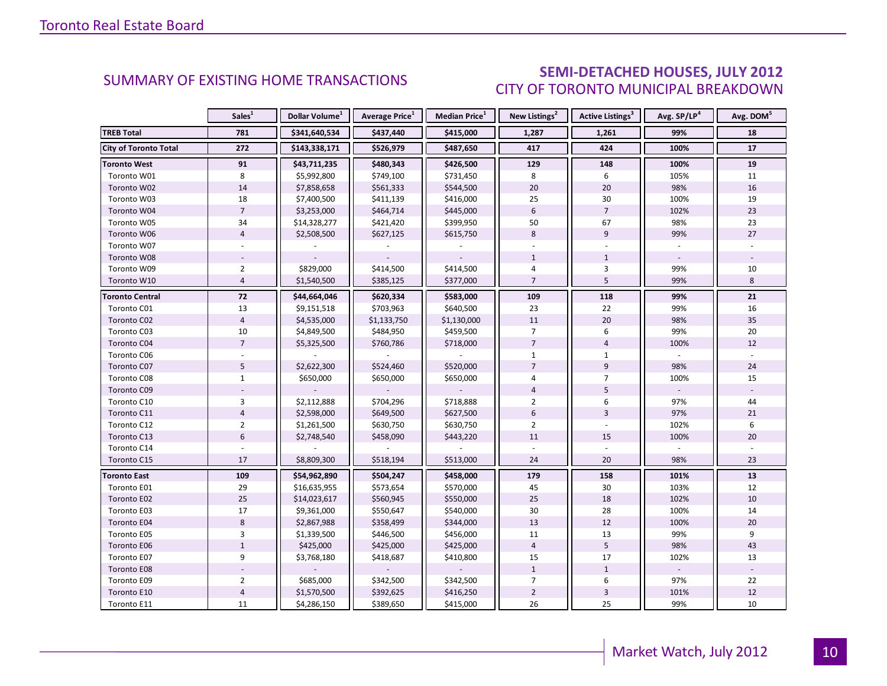### SEMI-DETACHED HOUSES, JULY 2012 CITY OF TORONTO MUNICIPAL BREAKDOWN

<span id="page-9-0"></span>

|                              | Sales <sup>1</sup> | Dollar Volume <sup>1</sup> | <b>Average Price</b> <sup>1</sup> | <b>Median Price</b> <sup>1</sup> | New Listings <sup>2</sup> | Active Listings <sup>3</sup> | Avg. SP/LP <sup>4</sup> | Avg. DOM <sup>5</sup> |
|------------------------------|--------------------|----------------------------|-----------------------------------|----------------------------------|---------------------------|------------------------------|-------------------------|-----------------------|
| <b>TREB Total</b>            | 781                | \$341,640,534              | \$437,440                         | \$415,000                        | 1,287                     | 1,261                        | 99%                     | 18                    |
| <b>City of Toronto Total</b> | 272                | \$143,338,171              | \$526,979                         | \$487,650                        | 417                       | 424                          | 100%                    | 17                    |
| <b>Toronto West</b>          | 91                 | \$43,711,235               | \$480,343                         | \$426,500                        | 129                       | 148                          | 100%                    | 19                    |
| Toronto W01                  | 8                  | \$5,992,800                | \$749,100                         | \$731,450                        | 8                         | 6                            | 105%                    | 11                    |
| Toronto W02                  | 14                 | \$7,858,658                | \$561,333                         | \$544,500                        | 20                        | 20                           | 98%                     | 16                    |
| Toronto W03                  | 18                 | \$7,400,500                | \$411,139                         | \$416,000                        | 25                        | 30                           | 100%                    | 19                    |
| Toronto W04                  | $\overline{7}$     | \$3,253,000                | \$464,714                         | \$445,000                        | 6                         | $\overline{7}$               | 102%                    | 23                    |
| Toronto W05                  | 34                 | \$14,328,277               | \$421,420                         | \$399,950                        | 50                        | 67                           | 98%                     | 23                    |
| Toronto W06                  | $\overline{4}$     | \$2,508,500                | \$627,125                         | \$615,750                        | 8                         | 9                            | 99%                     | 27                    |
| Toronto W07                  |                    |                            |                                   |                                  |                           |                              |                         |                       |
| Toronto W08                  |                    |                            |                                   |                                  | $\mathbf{1}$              | $\mathbf{1}$                 |                         |                       |
| Toronto W09                  | $\overline{2}$     | \$829,000                  | \$414,500                         | \$414,500                        | $\overline{4}$            | 3                            | 99%                     | 10                    |
| Toronto W10                  | $\overline{4}$     | \$1,540,500                | \$385,125                         | \$377,000                        | $\overline{7}$            | 5                            | 99%                     | 8                     |
| <b>Toronto Central</b>       | 72                 | \$44,664,046               | \$620,334                         | \$583,000                        | 109                       | 118                          | 99%                     | 21                    |
| Toronto C01                  | 13                 | \$9,151,518                | \$703,963                         | \$640,500                        | 23                        | 22                           | 99%                     | 16                    |
| Toronto C02                  | $\overline{4}$     | \$4,535,000                | \$1,133,750                       | \$1,130,000                      | 11                        | 20                           | 98%                     | 35                    |
| Toronto C03                  | 10                 | \$4,849,500                | \$484,950                         | \$459,500                        | $\overline{7}$            | 6                            | 99%                     | 20                    |
| Toronto C04                  | $\overline{7}$     | \$5,325,500                | \$760,786                         | \$718,000                        | $\overline{7}$            | $\overline{4}$               | 100%                    | 12                    |
| Toronto C06                  |                    |                            |                                   |                                  | $\mathbf{1}$              | $\mathbf{1}$                 |                         |                       |
| Toronto C07                  | 5                  | \$2,622,300                | \$524,460                         | \$520,000                        | $\overline{7}$            | $\overline{9}$               | 98%                     | 24                    |
| Toronto C08                  | $\mathbf{1}$       | \$650,000                  | \$650,000                         | \$650,000                        | $\overline{4}$            | $\overline{7}$               | 100%                    | 15                    |
| Toronto C09                  |                    |                            |                                   |                                  | $\overline{4}$            | 5                            |                         |                       |
| Toronto C10                  | 3                  | \$2,112,888                | \$704,296                         | \$718,888                        | $\overline{2}$            | 6                            | 97%                     | 44                    |
| Toronto C11                  | $\overline{4}$     | \$2,598,000                | \$649,500                         | \$627,500                        | 6                         | 3                            | 97%                     | 21                    |
| Toronto C12                  | $\overline{2}$     | \$1,261,500                | \$630,750                         | \$630,750                        | $\overline{2}$            |                              | 102%                    | 6                     |
| Toronto C13                  | $6\phantom{a}$     | \$2,748,540                | \$458,090                         | \$443,220                        | 11                        | 15                           | 100%                    | 20                    |
| Toronto C14                  |                    |                            |                                   |                                  |                           |                              |                         |                       |
| Toronto C15                  | 17                 | \$8,809,300                | \$518,194                         | \$513,000                        | 24                        | 20                           | 98%                     | 23                    |
| <b>Toronto East</b>          | 109                | \$54,962,890               | \$504,247                         | \$458,000                        | 179                       | 158                          | 101%                    | 13                    |
| Toronto E01                  | 29                 | \$16,635,955               | \$573,654                         | \$570,000                        | 45                        | 30                           | 103%                    | 12                    |
| Toronto E02                  | 25                 | \$14,023,617               | \$560,945                         | \$550,000                        | 25                        | 18                           | 102%                    | 10                    |
| Toronto E03                  | 17                 | \$9,361,000                | \$550,647                         | \$540,000                        | 30                        | 28                           | 100%                    | 14                    |
| Toronto E04                  | $\,8\,$            | \$2,867,988                | \$358,499                         | \$344,000                        | 13                        | 12                           | 100%                    | 20                    |
| Toronto E05                  | 3                  | \$1,339,500                | \$446,500                         | \$456,000                        | 11                        | 13                           | 99%                     | 9                     |
| Toronto E06                  | $\mathbf{1}$       | \$425,000                  | \$425,000                         | \$425,000                        | $\overline{4}$            | 5                            | 98%                     | 43                    |
| Toronto E07                  | 9                  | \$3,768,180                | \$418,687                         | \$410,800                        | 15                        | 17                           | 102%                    | 13                    |
| Toronto E08                  |                    |                            |                                   |                                  | $\mathbf{1}$              | $\mathbf{1}$                 | $\omega$                |                       |
| Toronto E09                  | $\overline{2}$     | \$685,000                  | \$342,500                         | \$342,500                        | $\overline{7}$            | 6                            | 97%                     | 22                    |
| Toronto E10                  | $\overline{4}$     | \$1,570,500                | \$392,625                         | \$416,250                        | $\overline{2}$            | 3                            | 101%                    | 12                    |
| Toronto E11                  | 11                 | \$4,286,150                | \$389,650                         | \$415,000                        | 26                        | 25                           | 99%                     | 10                    |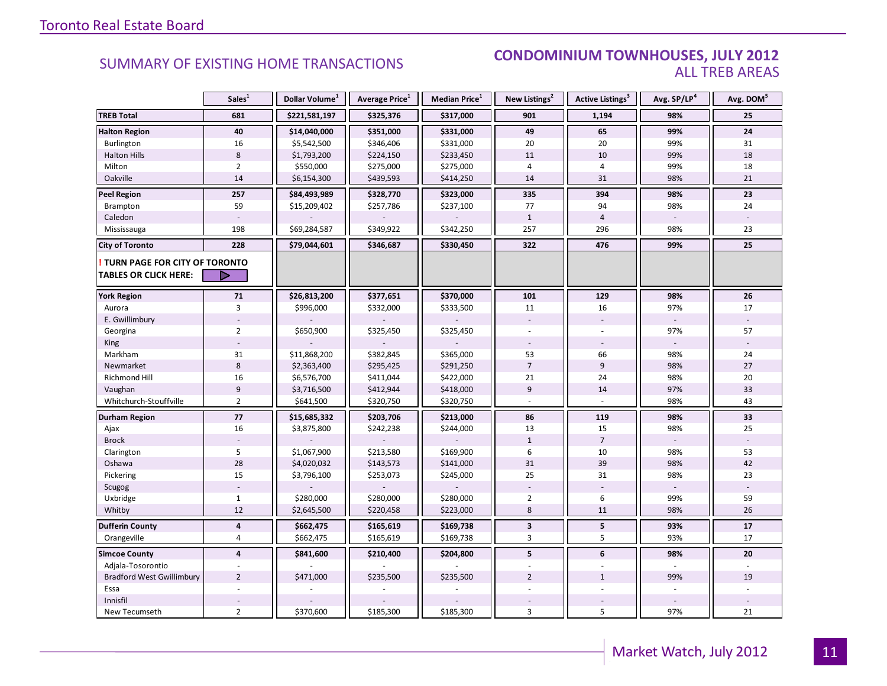#### SUMMARY OF EXISTING HOME TRANSACTIONS **CONDOMINIUM TOWNHOUSES, JULY 2012** ALL TREB AREAS

|                                  | Sales <sup>1</sup> | Dollar Volume <sup>1</sup> | Average Price <sup>1</sup> | Median Price <sup>1</sup> | New Listings <sup>2</sup> | Active Listings <sup>3</sup> | Avg. SP/LP <sup>4</sup> | Avg. DOM <sup>5</sup> |
|----------------------------------|--------------------|----------------------------|----------------------------|---------------------------|---------------------------|------------------------------|-------------------------|-----------------------|
| <b>TREB Total</b>                | 681                | \$221,581,197              | \$325,376                  | \$317,000                 | 901                       | 1,194                        | 98%                     | 25                    |
| <b>Halton Region</b>             | 40                 | \$14,040,000               | \$351,000                  | \$331,000                 | 49                        | 65                           | 99%                     | 24                    |
| Burlington                       | 16                 | \$5,542,500                | \$346,406                  | \$331,000                 | 20                        | 20                           | 99%                     | 31                    |
| <b>Halton Hills</b>              | 8                  | \$1,793,200                | \$224,150                  | \$233,450                 | 11                        | 10                           | 99%                     | 18                    |
| Milton                           | $\overline{2}$     | \$550,000                  | \$275,000                  | \$275,000                 | 4                         | 4                            | 99%                     | 18                    |
| Oakville                         | 14                 | \$6,154,300                | \$439,593                  | \$414,250                 | 14                        | 31                           | 98%                     | 21                    |
| <b>Peel Region</b>               | 257                | \$84,493,989               | \$328,770                  | \$323,000                 | 335                       | 394                          | 98%                     | 23                    |
| Brampton                         | 59                 | \$15,209,402               | \$257,786                  | \$237,100                 | 77                        | 94                           | 98%                     | 24                    |
| Caledon                          |                    |                            |                            |                           | $\mathbf{1}$              | $\overline{4}$               |                         |                       |
| Mississauga                      | 198                | \$69,284,587               | \$349,922                  | \$342,250                 | 257                       | 296                          | 98%                     | 23                    |
| <b>City of Toronto</b>           | 228                | \$79,044,601               | \$346,687                  | \$330,450                 | 322                       | 476                          | 99%                     | 25                    |
| TURN PAGE FOR CITY OF TORONTO    |                    |                            |                            |                           |                           |                              |                         |                       |
| <b>TABLES OR CLICK HERE:</b>     | D                  |                            |                            |                           |                           |                              |                         |                       |
| <b>York Region</b>               | 71                 | \$26,813,200               | \$377,651                  | \$370,000                 | 101                       | 129                          | 98%                     | ${\bf 26}$            |
| Aurora                           | 3                  | \$996,000                  | \$332,000                  | \$333,500                 | 11                        | 16                           | 97%                     | 17                    |
| E. Gwillimbury                   |                    |                            |                            |                           |                           |                              |                         |                       |
| Georgina                         | $\overline{2}$     | \$650,900                  | \$325,450                  | \$325,450                 |                           |                              | 97%                     | 57                    |
| King                             |                    |                            |                            |                           |                           |                              |                         |                       |
| Markham                          | 31                 | \$11,868,200               | \$382,845                  | \$365,000                 | 53                        | 66                           | 98%                     | 24                    |
| Newmarket                        | $\,8\,$            | \$2,363,400                | \$295,425                  | \$291,250                 | $\overline{7}$            | 9                            | 98%                     | 27                    |
| Richmond Hill                    | 16                 | \$6,576,700                | \$411,044                  | \$422,000                 | 21                        | 24                           | 98%                     | 20                    |
| Vaughan                          | 9                  | \$3,716,500                | \$412,944                  | \$418,000                 | $\overline{9}$            | 14                           | 97%                     | 33                    |
| Whitchurch-Stouffville           | $\overline{2}$     | \$641,500                  | \$320,750                  | \$320,750                 |                           |                              | 98%                     | 43                    |
| Durham Region                    | 77                 | \$15,685,332               | \$203,706                  | \$213,000                 | 86                        | 119                          | 98%                     | 33                    |
| Ajax                             | 16                 | \$3,875,800                | \$242,238                  | \$244,000                 | 13                        | 15                           | 98%                     | 25                    |
| <b>Brock</b>                     |                    |                            |                            |                           | $\mathbf{1}$              | $\overline{7}$               |                         |                       |
| Clarington                       | 5                  | \$1,067,900                | \$213,580                  | \$169,900                 | 6                         | 10                           | 98%                     | 53                    |
| Oshawa                           | 28                 | \$4,020,032                | \$143,573                  | \$141,000                 | 31                        | 39                           | 98%                     | 42                    |
| Pickering                        | 15                 | \$3,796,100                | \$253,073                  | \$245,000                 | 25                        | 31                           | 98%                     | 23                    |
| Scugog                           |                    |                            |                            |                           |                           |                              |                         |                       |
| Uxbridge                         | $\mathbf{1}$       | \$280,000                  | \$280,000                  | \$280,000                 | $\overline{2}$            | 6                            | 99%                     | 59                    |
| Whitby                           | 12                 | \$2,645,500                | \$220,458                  | \$223,000                 | 8                         | 11                           | 98%                     | 26                    |
| <b>Dufferin County</b>           | $\overline{4}$     | \$662,475                  | \$165,619                  | \$169,738                 | $\overline{\mathbf{3}}$   | 5                            | 93%                     | 17                    |
| Orangeville                      | $\overline{4}$     | \$662,475                  | \$165,619                  | \$169,738                 | 3                         | 5                            | 93%                     | 17                    |
| <b>Simcoe County</b>             | $\overline{4}$     | \$841,600                  | \$210,400                  | \$204,800                 | 5                         | 6                            | 98%                     | 20                    |
| Adjala-Tosorontio                |                    |                            |                            |                           |                           |                              |                         |                       |
| <b>Bradford West Gwillimbury</b> | $\overline{2}$     | \$471,000                  | \$235,500                  | \$235,500                 | $\overline{2}$            | $\mathbf{1}$                 | 99%                     | 19                    |
| Essa                             |                    |                            |                            |                           |                           |                              |                         |                       |
| Innisfil                         |                    |                            |                            |                           |                           |                              |                         |                       |
| New Tecumseth                    | $\overline{2}$     | \$370,600                  | \$185,300                  | \$185,300                 | 3                         | 5                            | 97%                     | 21                    |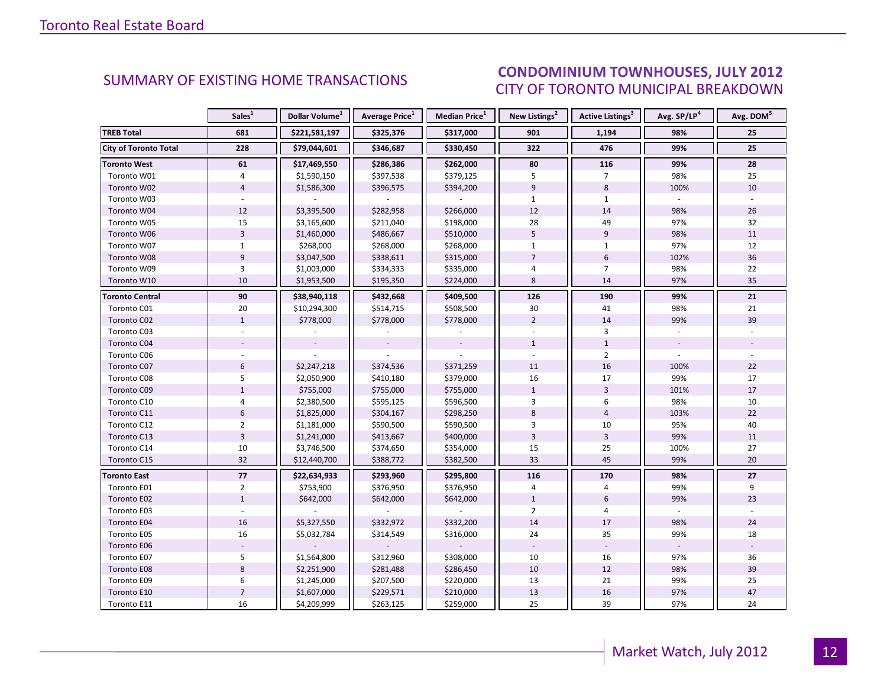#### ICEC IIIIV 2012 CITY OF TORONTO MUNICIPAL BREAKDOWN **SUMMARY OF EXISTING HOME TRANSACTIONS CONDOMINIUM TOWNHOUSES, JULY 2012**

<span id="page-11-0"></span>

|                        | Sales <sup>1</sup> | Dollar Volume <sup>1</sup> | Average Price <sup>1</sup> | Median Price <sup>1</sup> | New Listings <sup>2</sup> | Active Listings <sup>3</sup> | Avg. SP/LP <sup>4</sup> | Avg. DOM <sup>5</sup> |
|------------------------|--------------------|----------------------------|----------------------------|---------------------------|---------------------------|------------------------------|-------------------------|-----------------------|
| <b>TREB Total</b>      | 681                | \$221,581,197              | \$325,376                  | \$317,000                 | 901                       | 1,194                        | 98%                     | 25                    |
| City of Toronto Total  | 228                | \$79,044,601               | \$346,687                  | \$330,450                 | 322                       | 476                          | 99%                     | 25                    |
| <b>Toronto West</b>    | 61                 | \$17,469,550               | \$286,386                  | \$262,000                 | 80                        | 116                          | 99%                     | 28                    |
| Toronto W01            | $\overline{4}$     | \$1,590,150                | \$397,538                  | \$379,125                 | 5                         | $\overline{7}$               | 98%                     | 25                    |
| Toronto W02            | $\overline{4}$     | \$1,586,300                | \$396,575                  | \$394,200                 | 9                         | 8                            | 100%                    | 10                    |
| Toronto W03            |                    |                            |                            |                           | $\mathbf{1}$              | $\mathbf{1}$                 |                         |                       |
| Toronto W04            | 12                 | \$3,395,500                | \$282,958                  | \$266,000                 | 12                        | 14                           | 98%                     | 26                    |
| Toronto W05            | 15                 | \$3,165,600                | \$211,040                  | \$198,000                 | 28                        | 49                           | 97%                     | 32                    |
| Toronto W06            | $\overline{3}$     | \$1,460,000                | \$486,667                  | \$510,000                 | 5                         | 9                            | 98%                     | 11                    |
| Toronto W07            | $\mathbf{1}$       | \$268,000                  | \$268,000                  | \$268,000                 | $\mathbf{1}$              | $\mathbf{1}$                 | 97%                     | 12                    |
| Toronto W08            | $\overline{9}$     | \$3,047,500                | \$338,611                  | \$315,000                 | $\overline{7}$            | 6                            | 102%                    | 36                    |
| Toronto W09            | 3                  | \$1,003,000                | \$334,333                  | \$335,000                 | $\overline{4}$            | $\overline{7}$               | 98%                     | 22                    |
| Toronto W10            | 10                 | \$1,953,500                | \$195,350                  | \$224,000                 | 8                         | 14                           | 97%                     | 35                    |
| <b>Toronto Central</b> | 90                 | \$38,940,118               | \$432,668                  | \$409,500                 | 126                       | 190                          | 99%                     | 21                    |
| Toronto C01            | 20                 | \$10,294,300               | \$514,715                  | \$508,500                 | 30                        | 41                           | 98%                     | 21                    |
| Toronto C02            | $\mathbf{1}$       | \$778,000                  | \$778,000                  | \$778,000                 | $\overline{2}$            | 14                           | 99%                     | 39                    |
| Toronto C03            |                    |                            |                            |                           |                           | 3                            |                         |                       |
| Toronto C04            |                    |                            |                            |                           | $\mathbf{1}$              | $\mathbf{1}$                 |                         |                       |
| Toronto C06            |                    |                            |                            |                           |                           | $\overline{2}$               |                         |                       |
| Toronto C07            | 6                  | \$2,247,218                | \$374,536                  | \$371,259                 | 11                        | 16                           | 100%                    | 22                    |
| Toronto C08            | 5                  | \$2,050,900                | \$410,180                  | \$379,000                 | 16                        | 17                           | 99%                     | 17                    |
| Toronto C09            | $\mathbf{1}$       | \$755,000                  | \$755,000                  | \$755,000                 | $\mathbf{1}$              | $\overline{3}$               | 101%                    | 17                    |
| Toronto C10            | $\overline{4}$     | \$2,380,500                | \$595,125                  | \$596,500                 | 3                         | 6                            | 98%                     | 10                    |
| Toronto C11            | 6                  | \$1,825,000                | \$304,167                  | \$298,250                 | 8                         | $\overline{4}$               | 103%                    | 22                    |
| Toronto C12            | $\overline{2}$     | \$1,181,000                | \$590,500                  | \$590,500                 | $\overline{3}$            | $10\,$                       | 95%                     | 40                    |
| Toronto C13            | $\overline{3}$     | \$1,241,000                | \$413,667                  | \$400,000                 | $\overline{3}$            | $\overline{3}$               | 99%                     | 11                    |
| Toronto C14            | 10                 | \$3,746,500                | \$374,650                  | \$354,000                 | 15                        | 25                           | 100%                    | 27                    |
| Toronto C15            | 32                 | \$12,440,700               | \$388,772                  | \$382,500                 | 33                        | 45                           | 99%                     | 20                    |
| <b>Toronto East</b>    | $77$               | \$22,634,933               | \$293,960                  | \$295,800                 | 116                       | 170                          | 98%                     | 27                    |
| Toronto E01            | $\overline{2}$     | \$753,900                  | \$376,950                  | \$376,950                 | $\overline{4}$            | 4                            | 99%                     | 9                     |
| Toronto E02            | $1\,$              | \$642,000                  | \$642,000                  | \$642,000                 | $\mathbf 1$               | 6                            | 99%                     | 23                    |
| Toronto E03            |                    |                            |                            |                           | $\overline{2}$            | 4                            |                         |                       |
| Toronto E04            | 16                 | \$5,327,550                | \$332,972                  | \$332,200                 | 14                        | 17                           | 98%                     | 24                    |
| Toronto E05            | 16                 | \$5,032,784                | \$314,549                  | \$316,000                 | 24                        | 35                           | 99%                     | 18                    |
| Toronto E06            |                    |                            |                            |                           |                           |                              |                         |                       |
| Toronto E07            | 5                  | \$1,564,800                | \$312,960                  | \$308,000                 | 10                        | 16                           | 97%                     | 36                    |
| Toronto E08            | $\,8\,$            | \$2,251,900                | \$281,488                  | \$286,450                 | 10                        | 12                           | 98%                     | 39                    |
| Toronto E09            | 6                  | \$1,245,000                | \$207,500                  | \$220,000                 | 13                        | 21                           | 99%                     | 25                    |
| Toronto E10            | $\overline{7}$     | \$1,607,000                | \$229,571                  | \$210,000                 | 13                        | 16                           | 97%                     | 47                    |
| Toronto E11            | 16                 | \$4,209,999                | \$263,125                  | \$259,000                 | 25                        | 39                           | 97%                     | 24                    |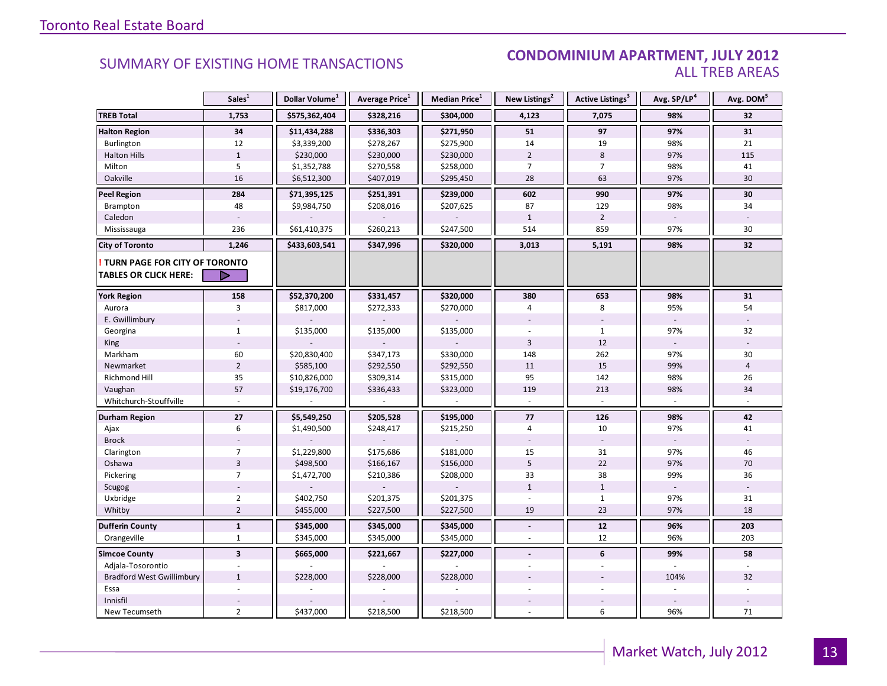#### SUMMARY OF EXISTING HOME TRANSACTIONS **CONDOMINIUM APARTMENT, JULY 2012** ALL TREB AREAS

|                                        | Sales <sup>1</sup>      | Dollar Volume <sup>1</sup> | Average Price <sup>1</sup> | Median Price <sup>1</sup> | New Listings <sup>2</sup> | Active Listings <sup>3</sup> | Avg. SP/LP <sup>4</sup> | Avg. DOM <sup>5</sup> |
|----------------------------------------|-------------------------|----------------------------|----------------------------|---------------------------|---------------------------|------------------------------|-------------------------|-----------------------|
| <b>TREB Total</b>                      | 1,753                   | \$575,362,404              | \$328,216                  | \$304,000                 | 4,123                     | 7,075                        | 98%                     | 32                    |
| <b>Halton Region</b>                   | 34                      | \$11,434,288               | \$336,303                  | \$271,950                 | 51                        | 97                           | 97%                     | 31                    |
| Burlington                             | 12                      | \$3,339,200                | \$278,267                  | \$275,900                 | 14                        | 19                           | 98%                     | 21                    |
| <b>Halton Hills</b>                    | $\mathbf{1}$            | \$230,000                  | \$230,000                  | \$230,000                 | $\overline{2}$            | $\,8\,$                      | 97%                     | 115                   |
| Milton                                 | 5                       | \$1,352,788                | \$270,558                  | \$258,000                 | $\overline{7}$            | $\overline{7}$               | 98%                     | 41                    |
| Oakville                               | 16                      | \$6,512,300                | \$407,019                  | \$295,450                 | 28                        | 63                           | 97%                     | 30                    |
| <b>Peel Region</b>                     | 284                     | \$71,395,125               | \$251,391                  | \$239,000                 | 602                       | 990                          | 97%                     | 30                    |
| Brampton                               | 48                      | \$9,984,750                | \$208,016                  | \$207,625                 | 87                        | 129                          | 98%                     | 34                    |
| Caledon                                |                         |                            |                            |                           | $\mathbf{1}$              | $\overline{2}$               |                         |                       |
| Mississauga                            | 236                     | \$61,410,375               | \$260,213                  | \$247,500                 | 514                       | 859                          | 97%                     | 30                    |
| <b>City of Toronto</b>                 | 1,246                   | \$433,603,541              | \$347,996                  | \$320,000                 | 3,013                     | 5,191                        | 98%                     | 32                    |
| <b>! TURN PAGE FOR CITY OF TORONTO</b> |                         |                            |                            |                           |                           |                              |                         |                       |
| <b>TABLES OR CLICK HERE:</b>           | D                       |                            |                            |                           |                           |                              |                         |                       |
| <b>York Region</b>                     | 158                     | \$52,370,200               | \$331,457                  | \$320,000                 | 380                       | 653                          | 98%                     | 31                    |
| Aurora                                 | 3                       | \$817,000                  | \$272,333                  | \$270,000                 | 4                         | 8                            | 95%                     | 54                    |
| E. Gwillimbury                         |                         |                            |                            |                           |                           |                              |                         |                       |
| Georgina                               | $\mathbf{1}$            | \$135,000                  | \$135,000                  | \$135,000                 |                           | $\mathbf{1}$                 | 97%                     | 32                    |
| King                                   |                         |                            |                            |                           | $\overline{3}$            | 12                           |                         |                       |
| Markham                                | 60                      | \$20,830,400               | \$347,173                  | \$330,000                 | 148                       | 262                          | 97%                     | 30                    |
| Newmarket                              | $\overline{2}$          | \$585,100                  | \$292,550                  | \$292,550                 | 11                        | 15                           | 99%                     | $\overline{4}$        |
| Richmond Hill                          | 35                      | \$10,826,000               | \$309,314                  | \$315,000                 | 95                        | 142                          | 98%                     | 26                    |
| Vaughan                                | 57                      | \$19,176,700               | \$336,433                  | \$323,000                 | 119                       | 213                          | 98%                     | 34                    |
| Whitchurch-Stouffville                 |                         |                            |                            |                           |                           |                              |                         |                       |
| <b>Durham Region</b>                   | 27                      | \$5,549,250                | \$205,528                  | \$195,000                 | $77$                      | 126                          | 98%                     | 42                    |
| Ajax                                   | 6                       | \$1,490,500                | \$248,417                  | \$215,250                 | $\overline{4}$            | 10                           | 97%                     | 41                    |
| <b>Brock</b>                           |                         |                            |                            |                           |                           |                              |                         |                       |
| Clarington                             | $\overline{7}$          | \$1,229,800                | \$175,686                  | \$181,000                 | 15                        | 31                           | 97%                     | 46                    |
| Oshawa                                 | $\overline{3}$          | \$498,500                  | \$166,167                  | \$156,000                 | 5                         | 22                           | 97%                     | 70                    |
| Pickering                              | $\overline{7}$          | \$1,472,700                | \$210,386                  | \$208,000                 | 33                        | 38                           | 99%                     | 36                    |
| Scugog                                 |                         |                            |                            |                           | $\mathbf{1}$              | $\mathbf{1}$                 |                         |                       |
| Uxbridge                               | $\overline{2}$          | \$402,750                  | \$201,375                  | \$201,375                 |                           | $\mathbf{1}$                 | 97%                     | 31                    |
| Whitby                                 | $\overline{2}$          | \$455,000                  | \$227,500                  | \$227,500                 | 19                        | 23                           | 97%                     | 18                    |
| <b>Dufferin County</b>                 | $\mathbf{1}$            | \$345,000                  | \$345,000                  | \$345,000                 | $\blacksquare$            | 12                           | 96%                     | 203                   |
| Orangeville                            | $\mathbf{1}$            | \$345,000                  | \$345,000                  | \$345,000                 | $\overline{a}$            | 12                           | 96%                     | 203                   |
| <b>Simcoe County</b>                   | $\overline{\mathbf{3}}$ | \$665,000                  | \$221,667                  | \$227,000                 | $\overline{a}$            | 6                            | 99%                     | 58                    |
| Adjala-Tosorontio                      |                         |                            |                            |                           |                           |                              |                         |                       |
| <b>Bradford West Gwillimbury</b>       | $\mathbf{1}$            | \$228,000                  | \$228,000                  | \$228,000                 |                           |                              | 104%                    | 32                    |
| Essa                                   |                         |                            |                            |                           |                           |                              |                         |                       |
| Innisfil                               |                         |                            |                            |                           |                           |                              |                         |                       |
| New Tecumseth                          | $\overline{2}$          | \$437,000                  | \$218,500                  | \$218,500                 |                           | 6                            | 96%                     | 71                    |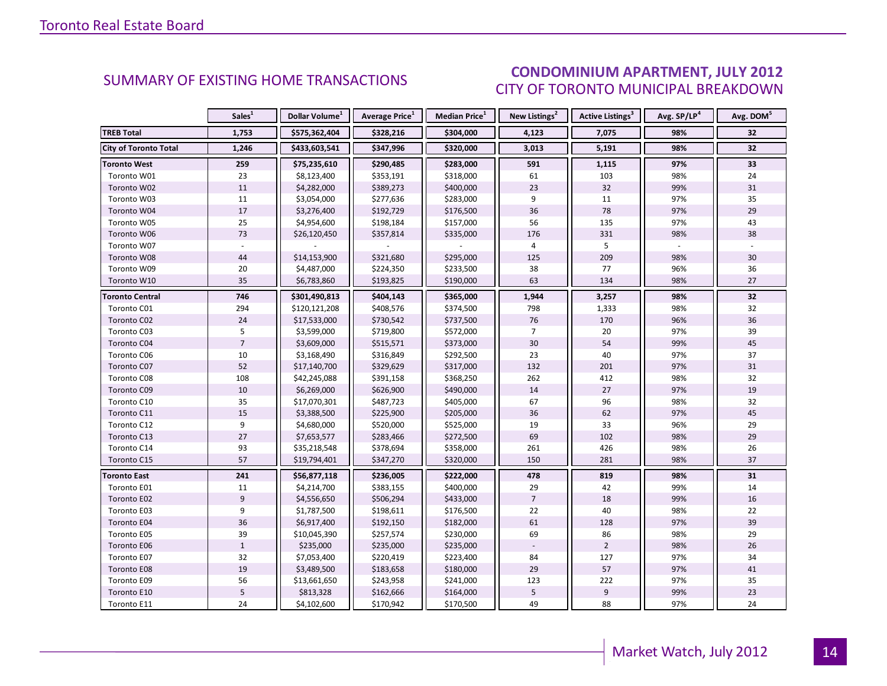#### Industrial Lemma  $\overline{a}$ CITY OF TORONTO MUNICIPAL BREAKDOWN **CONDOMINIUM APARTMENT, JULY 2012**<br>CITY OF TOPONTO MILINICIPAL PREAKDOMAL

<span id="page-13-0"></span>

|                              | Sales <sup>1</sup> | Dollar Volume <sup>1</sup> | <b>Average Price</b> <sup>1</sup> | <b>Median Price</b> <sup>1</sup> | New Listings <sup>2</sup> | Active Listings <sup>3</sup> | Avg. SP/LP <sup>4</sup> | Avg. DOM <sup>5</sup> |
|------------------------------|--------------------|----------------------------|-----------------------------------|----------------------------------|---------------------------|------------------------------|-------------------------|-----------------------|
| <b>TREB Total</b>            | 1,753              | \$575,362,404              | \$328,216                         | \$304,000                        | 4,123                     | 7,075                        | 98%                     | 32                    |
| <b>City of Toronto Total</b> | 1,246              | \$433,603,541              | \$347,996                         | \$320,000                        | 3,013                     | 5,191                        | 98%                     | 32                    |
| <b>Toronto West</b>          | 259                | \$75,235,610               | \$290,485                         | \$283,000                        | 591                       | 1,115                        | 97%                     | 33                    |
| Toronto W01                  | 23                 | \$8,123,400                | \$353,191                         | \$318,000                        | 61                        | 103                          | 98%                     | 24                    |
| Toronto W02                  | 11                 | \$4,282,000                | \$389,273                         | \$400,000                        | 23                        | 32                           | 99%                     | 31                    |
| Toronto W03                  | 11                 | \$3,054,000                | \$277,636                         | \$283,000                        | 9                         | 11                           | 97%                     | 35                    |
| Toronto W04                  | 17                 | \$3,276,400                | \$192,729                         | \$176,500                        | 36                        | 78                           | 97%                     | 29                    |
| Toronto W05                  | 25                 | \$4,954,600                | \$198,184                         | \$157,000                        | 56                        | 135                          | 97%                     | 43                    |
| Toronto W06                  | 73                 | \$26,120,450               | \$357,814                         | \$335,000                        | 176                       | 331                          | 98%                     | 38                    |
| Toronto W07                  |                    |                            |                                   |                                  | 4                         | 5                            |                         |                       |
| Toronto W08                  | 44                 | \$14,153,900               | \$321,680                         | \$295,000                        | 125                       | 209                          | 98%                     | 30                    |
| Toronto W09                  | 20                 | \$4,487,000                | \$224,350                         | \$233,500                        | 38                        | 77                           | 96%                     | 36                    |
| Toronto W10                  | 35                 | \$6,783,860                | \$193,825                         | \$190,000                        | 63                        | 134                          | 98%                     | 27                    |
| Toronto Central              | 746                | \$301,490,813              | \$404,143                         | \$365,000                        | 1,944                     | 3,257                        | 98%                     | 32                    |
| Toronto C01                  | 294                | \$120,121,208              | \$408,576                         | \$374,500                        | 798                       | 1,333                        | 98%                     | 32                    |
| Toronto C02                  | 24                 | \$17,533,000               | \$730,542                         | \$737,500                        | 76                        | 170                          | 96%                     | 36                    |
| Toronto C03                  | 5                  | \$3,599,000                | \$719,800                         | \$572,000                        | $\overline{7}$            | 20                           | 97%                     | 39                    |
| Toronto C04                  | $\overline{7}$     | \$3,609,000                | \$515,571                         | \$373,000                        | 30                        | 54                           | 99%                     | 45                    |
| Toronto C06                  | 10                 | \$3,168,490                | \$316,849                         | \$292,500                        | 23                        | 40                           | 97%                     | 37                    |
| Toronto C07                  | 52                 | \$17,140,700               | \$329,629                         | \$317,000                        | 132                       | 201                          | 97%                     | 31                    |
| Toronto C08                  | 108                | \$42,245,088               | \$391,158                         | \$368,250                        | 262                       | 412                          | 98%                     | 32                    |
| Toronto C09                  | 10                 | \$6,269,000                | \$626,900                         | \$490,000                        | 14                        | 27                           | 97%                     | 19                    |
| Toronto C10                  | 35                 | \$17,070,301               | \$487,723                         | \$405,000                        | 67                        | 96                           | 98%                     | 32                    |
| Toronto C11                  | 15                 | \$3,388,500                | \$225,900                         | \$205,000                        | 36                        | 62                           | 97%                     | 45                    |
| Toronto C12                  | 9                  | \$4,680,000                | \$520,000                         | \$525,000                        | 19                        | 33                           | 96%                     | 29                    |
| Toronto C13                  | 27                 | \$7,653,577                | \$283,466                         | \$272,500                        | 69                        | 102                          | 98%                     | 29                    |
| Toronto C14                  | 93                 | \$35,218,548               | \$378,694                         | \$358,000                        | 261                       | 426                          | 98%                     | 26                    |
| Toronto C15                  | 57                 | \$19,794,401               | \$347,270                         | \$320,000                        | 150                       | 281                          | 98%                     | 37                    |
| <b>Toronto East</b>          | 241                | \$56,877,118               | \$236,005                         | \$222,000                        | 478                       | 819                          | 98%                     | 31                    |
| Toronto E01                  | 11                 | \$4,214,700                | \$383,155                         | \$400,000                        | 29                        | 42                           | 99%                     | 14                    |
| Toronto E02                  | 9                  | \$4,556,650                | \$506,294                         | \$433,000                        | $\overline{7}$            | 18                           | 99%                     | 16                    |
| Toronto E03                  | 9                  | \$1,787,500                | \$198,611                         | \$176,500                        | 22                        | 40                           | 98%                     | 22                    |
| Toronto E04                  | 36                 | \$6,917,400                | \$192,150                         | \$182,000                        | 61                        | 128                          | 97%                     | 39                    |
| Toronto E05                  | 39                 | \$10,045,390               | \$257,574                         | \$230,000                        | 69                        | 86                           | 98%                     | 29                    |
| Toronto E06                  | $\mathbf{1}$       | \$235,000                  | \$235,000                         | \$235,000                        |                           | $\overline{2}$               | 98%                     | 26                    |
| Toronto E07                  | 32                 | \$7,053,400                | \$220,419                         | \$223,400                        | 84                        | 127                          | 97%                     | 34                    |
| Toronto E08                  | 19                 | \$3,489,500                | \$183,658                         | \$180,000                        | 29                        | 57                           | 97%                     | 41                    |
| Toronto E09                  | 56                 | \$13,661,650               | \$243,958                         | \$241,000                        | 123                       | 222                          | 97%                     | 35                    |
| Toronto E10                  | 5                  | \$813,328                  | \$162,666                         | \$164,000                        | 5                         | 9                            | 99%                     | 23                    |
| Toronto E11                  | 24                 | \$4,102,600                | \$170,942                         | \$170,500                        | 49                        | 88                           | 97%                     | 24                    |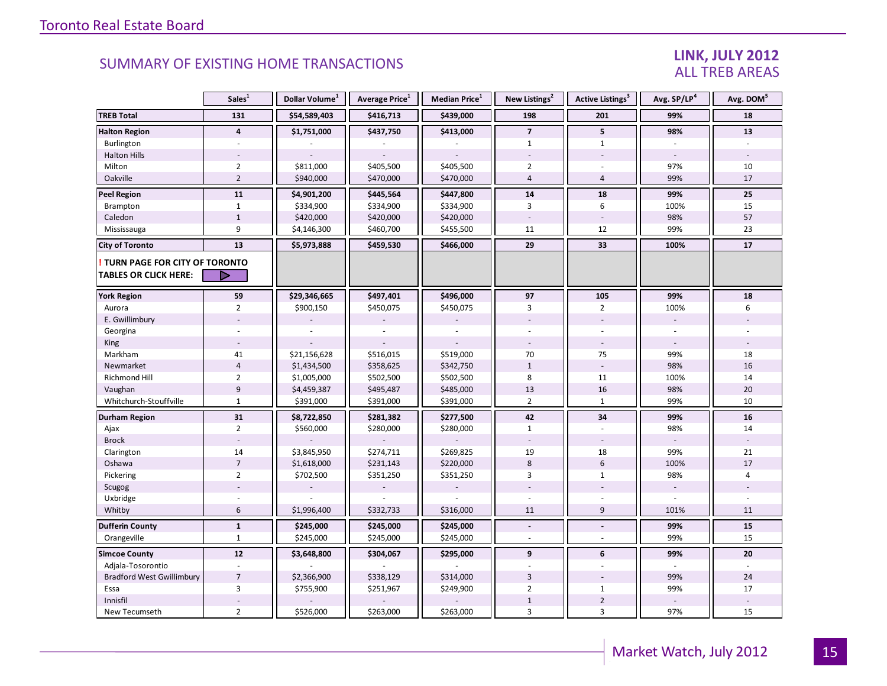### LINK, JULY 2012 ALL TREB AREAS

|                                                               | Sales <sup>1</sup> | Dollar Volume <sup>1</sup> | Average Price <sup>1</sup> | <b>Median Price</b> $1$ | New Listings <sup>2</sup> | <b>Active Listings</b> <sup>3</sup> | Avg. SP/LP4 | Avg. DOM <sup>5</sup> |
|---------------------------------------------------------------|--------------------|----------------------------|----------------------------|-------------------------|---------------------------|-------------------------------------|-------------|-----------------------|
| <b>TREB Total</b>                                             | 131                | \$54,589,403               | \$416,713                  | \$439,000               | 198                       | 201                                 | 99%         | 18                    |
| <b>Halton Region</b>                                          | $\overline{4}$     | \$1,751,000                | \$437,750                  | \$413,000               | $\overline{7}$            | 5                                   | 98%         | 13                    |
| Burlington                                                    | ÷.                 |                            |                            |                         | $\mathbf{1}$              | $\mathbf{1}$                        |             |                       |
| <b>Halton Hills</b>                                           |                    |                            |                            |                         |                           |                                     | $\sim$      |                       |
| Milton                                                        | $\overline{2}$     | \$811,000                  | \$405,500                  | \$405,500               | $\overline{2}$            |                                     | 97%         | 10                    |
| Oakville                                                      | $\overline{2}$     | \$940,000                  | \$470,000                  | \$470,000               | $\overline{4}$            | $\overline{4}$                      | 99%         | 17                    |
| Peel Region                                                   | 11                 | \$4,901,200                | \$445,564                  | \$447,800               | 14                        | 18                                  | 99%         | 25                    |
| <b>Brampton</b>                                               | $\mathbf{1}$       | \$334,900                  | \$334,900                  | \$334,900               | 3                         | 6                                   | 100%        | 15                    |
| Caledon                                                       | $1\,$              | \$420,000                  | \$420,000                  | \$420,000               |                           |                                     | 98%         | 57                    |
| Mississauga                                                   | 9                  | \$4,146,300                | \$460,700                  | \$455,500               | 11                        | 12                                  | 99%         | 23                    |
| <b>City of Toronto</b>                                        | 13                 | \$5,973,888                | \$459,530                  | \$466,000               | 29                        | 33                                  | 100%        | 17                    |
| TURN PAGE FOR CITY OF TORONTO<br><b>TABLES OR CLICK HERE:</b> | D                  |                            |                            |                         |                           |                                     |             |                       |
|                                                               |                    |                            |                            |                         |                           |                                     |             |                       |
| <b>York Region</b>                                            | 59                 | \$29,346,665               | \$497,401                  | \$496,000               | 97                        | 105                                 | 99%         | 18                    |
| Aurora                                                        | $\overline{2}$     | \$900,150                  | \$450,075                  | \$450,075               | 3                         | $\overline{2}$                      | 100%        | 6                     |
| E. Gwillimbury                                                |                    |                            |                            |                         |                           |                                     |             |                       |
| Georgina                                                      |                    |                            |                            |                         |                           |                                     |             |                       |
| King                                                          |                    |                            |                            |                         |                           |                                     |             |                       |
| Markham                                                       | 41                 | \$21,156,628               | \$516,015                  | \$519,000               | 70                        | 75                                  | 99%         | 18                    |
| Newmarket                                                     | $\overline{4}$     | \$1,434,500                | \$358,625                  | \$342,750               | $1\,$                     | $\overline{\phantom{a}}$            | 98%         | 16                    |
| Richmond Hill                                                 | $\overline{2}$     | \$1,005,000                | \$502,500                  | \$502,500               | 8                         | 11                                  | 100%        | 14                    |
| Vaughan                                                       | 9                  | \$4,459,387                | \$495,487                  | \$485,000               | 13                        | 16                                  | 98%         | 20                    |
| Whitchurch-Stouffville                                        | $\mathbf{1}$       | \$391,000                  | \$391,000                  | \$391,000               | $\overline{2}$            | $\mathbf{1}$                        | 99%         | 10                    |
| Durham Region                                                 | 31                 | \$8,722,850                | \$281,382                  | \$277,500               | 42                        | 34                                  | 99%         | 16                    |
| Ajax                                                          | $\overline{2}$     | \$560,000                  | \$280,000                  | \$280,000               | $\mathbf{1}$              |                                     | 98%         | 14                    |
| <b>Brock</b>                                                  |                    |                            |                            |                         |                           | $\overline{\phantom{a}}$            |             |                       |
| Clarington                                                    | 14                 | \$3,845,950                | \$274,711                  | \$269,825               | 19                        | 18                                  | 99%         | 21                    |
| Oshawa                                                        | $\overline{7}$     | \$1,618,000                | \$231,143                  | \$220,000               | 8                         | $6\,$                               | 100%        | 17                    |
| Pickering                                                     | $\overline{2}$     | \$702,500                  | \$351,250                  | \$351,250               | 3                         | $\mathbf{1}$                        | 98%         | 4                     |
| Scugog                                                        |                    |                            |                            |                         |                           |                                     |             |                       |
| Uxbridge                                                      |                    |                            |                            |                         |                           |                                     |             |                       |
| Whitby                                                        | 6                  | \$1,996,400                | \$332,733                  | \$316,000               | 11                        | $9\,$                               | 101%        | 11                    |
| <b>Dufferin County</b>                                        | $\mathbf{1}$       | \$245,000                  | \$245,000                  | \$245,000               | $\blacksquare$            | $\overline{\phantom{a}}$            | 99%         | 15                    |
| Orangeville                                                   | $\mathbf{1}$       | \$245,000                  | \$245,000                  | \$245,000               | $\sim$                    | $\overline{\phantom{a}}$            | 99%         | 15                    |
| <b>Simcoe County</b>                                          | 12                 | \$3,648,800                | \$304,067                  | \$295,000               | 9                         | 6                                   | 99%         | 20                    |
| Adjala-Tosorontio                                             |                    |                            |                            |                         |                           | ÷.                                  |             |                       |
| <b>Bradford West Gwillimbury</b>                              | $\overline{7}$     | \$2,366,900                | \$338,129                  | \$314,000               | $\overline{3}$            |                                     | 99%         | 24                    |
| Essa                                                          | 3                  | \$755,900                  | \$251,967                  | \$249,900               | $\overline{2}$            | $\mathbf{1}$                        | 99%         | 17                    |
| Innisfil                                                      |                    |                            |                            |                         | $\mathbf{1}$              | $\overline{2}$                      |             |                       |
| New Tecumseth                                                 | $\overline{2}$     | \$526,000                  | \$263,000                  | \$263,000               | 3                         | 3                                   | 97%         | 15                    |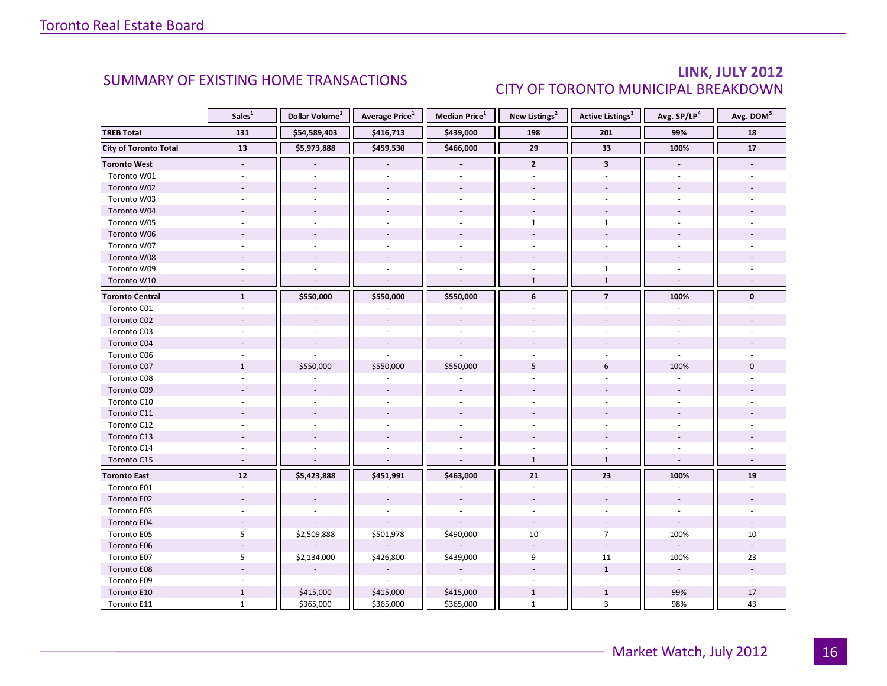### LINK, JULY 2012 CITY OF TORONTO MUNICIPAL BREAKDOWN

<span id="page-15-0"></span>

|                              | Sales <sup>1</sup>       | Dollar Volume <sup>1</sup> | <b>Average Price</b> <sup>1</sup> | Median Price <sup>1</sup> | New Listings <sup>2</sup> | <b>Active Listings<sup>3</sup></b> | Avg. SP/LP <sup>4</sup>  | Avg. DOM <sup>5</sup> |
|------------------------------|--------------------------|----------------------------|-----------------------------------|---------------------------|---------------------------|------------------------------------|--------------------------|-----------------------|
| <b>TREB Total</b>            | 131                      | \$54,589,403               | \$416,713                         | \$439,000                 | 198                       | 201                                | 99%                      | 18                    |
| <b>City of Toronto Total</b> | 13                       | \$5,973,888                | \$459,530                         | \$466,000                 | 29                        | 33                                 | 100%                     | $17\,$                |
| <b>Toronto West</b>          | $\blacksquare$           |                            | $\overline{\phantom{a}}$          | $\overline{\phantom{a}}$  | $\overline{2}$            | $\mathbf{3}$                       |                          |                       |
| Toronto W01                  |                          |                            |                                   |                           |                           |                                    |                          |                       |
| Toronto W02                  |                          |                            |                                   |                           |                           |                                    |                          |                       |
| Toronto W03                  |                          |                            |                                   | $\sim$                    |                           |                                    |                          |                       |
| Toronto W04                  |                          |                            |                                   |                           |                           |                                    |                          |                       |
| Toronto W05                  |                          |                            |                                   |                           | $\mathbf{1}$              | $\mathbf{1}$                       |                          |                       |
| Toronto W06                  |                          |                            |                                   |                           |                           |                                    |                          |                       |
| Toronto W07                  |                          |                            |                                   |                           |                           |                                    |                          |                       |
| Toronto W08                  |                          |                            |                                   |                           |                           |                                    |                          |                       |
| Toronto W09                  |                          |                            |                                   |                           |                           | $\mathbf{1}$                       |                          |                       |
| Toronto W10                  | $\sim$                   |                            |                                   | $\sim$                    | $\mathbf{1}$              | $\mathbf{1}$                       | $\overline{\phantom{a}}$ |                       |
| <b>Toronto Central</b>       | $\mathbf{1}$             | \$550,000                  | \$550,000                         | \$550,000                 | 6                         | $\overline{7}$                     | 100%                     | $\mathbf 0$           |
| Toronto C01                  |                          |                            |                                   |                           |                           |                                    |                          |                       |
| Toronto C02                  |                          |                            |                                   |                           |                           |                                    |                          |                       |
| Toronto C03                  |                          |                            |                                   | $\overline{\phantom{a}}$  |                           |                                    |                          |                       |
| Toronto C04                  |                          |                            |                                   |                           |                           |                                    |                          |                       |
| Toronto C06                  |                          |                            |                                   |                           |                           |                                    |                          |                       |
| Toronto C07                  | $\mathbf{1}$             | \$550,000                  | \$550,000                         | \$550,000                 | 5                         | 6                                  | 100%                     | $\Omega$              |
| Toronto C08                  |                          |                            |                                   |                           |                           |                                    |                          |                       |
| Toronto C09                  |                          |                            |                                   |                           |                           |                                    |                          |                       |
| Toronto C10                  |                          |                            |                                   |                           |                           |                                    |                          |                       |
| Toronto C11                  |                          |                            |                                   |                           |                           |                                    |                          |                       |
| Toronto C12                  |                          |                            |                                   |                           |                           |                                    |                          |                       |
| Toronto C13                  |                          |                            |                                   |                           |                           |                                    |                          |                       |
| Toronto C14                  |                          |                            |                                   |                           |                           |                                    |                          |                       |
| Toronto C15                  | $\overline{\phantom{a}}$ |                            |                                   |                           | $\mathbf{1}$              | $\mathbf{1}$                       |                          |                       |
| <b>Toronto East</b>          | $12$                     | \$5,423,888                | \$451,991                         | \$463,000                 | 21                        | 23                                 | 100%                     | 19                    |
| Toronto E01                  | $\overline{\phantom{a}}$ |                            |                                   |                           | ä,                        | $\sim$                             |                          |                       |
| Toronto E02                  |                          |                            |                                   |                           |                           |                                    |                          |                       |
| Toronto E03                  |                          |                            |                                   |                           |                           |                                    |                          |                       |
| Toronto E04                  | $\overline{\phantom{a}}$ |                            |                                   |                           | $\overline{\phantom{a}}$  |                                    | $\overline{\phantom{a}}$ |                       |
| Toronto E05                  | 5                        | \$2,509,888                | \$501,978                         | \$490,000                 | $10\,$                    | $\overline{7}$                     | 100%                     | 10                    |
| Toronto E06                  |                          |                            |                                   |                           |                           |                                    |                          |                       |
| Toronto E07                  | 5                        | \$2,134,000                | \$426,800                         | \$439,000                 | 9                         | 11                                 | 100%                     | 23                    |
| Toronto E08                  |                          |                            |                                   |                           |                           | $\mathbf{1}$                       | $\sim$                   |                       |
| Toronto E09                  |                          |                            |                                   |                           |                           |                                    |                          |                       |
| Toronto E10                  | $\mathbf{1}$             | \$415,000                  | \$415,000                         | \$415,000                 | $\mathbf{1}$              | $\mathbf{1}$                       | 99%                      | $17\,$                |
| Toronto E11                  | $\mathbf{1}$             | \$365,000                  | \$365,000                         | \$365,000                 | $\mathbf{1}$              | 3                                  | 98%                      | 43                    |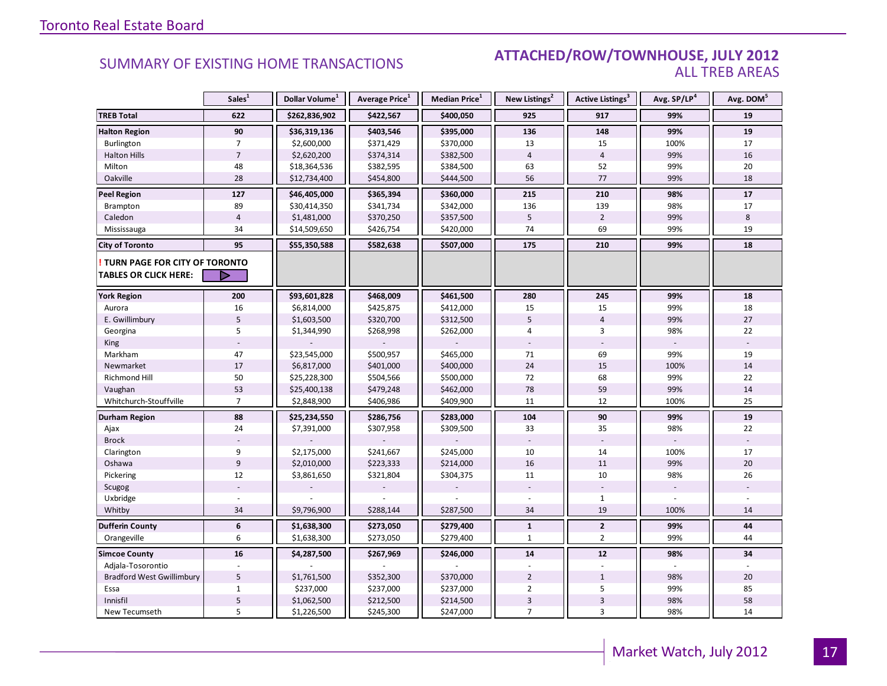#### SUMMARY OF EXISTING HOME TRANSACTIONS **ATTACHED/ROW/TOWNHOUSE, JULY 2012** ALL TREB AREAS

|                                                               | Sales <sup>1</sup> | Dollar Volume <sup>1</sup> | Average Price <sup>1</sup> | Median Price <sup>1</sup> | New Listings <sup>2</sup> | Active Listings <sup>3</sup> | Avg. SP/LP <sup>4</sup> | Avg. DOM <sup>5</sup> |
|---------------------------------------------------------------|--------------------|----------------------------|----------------------------|---------------------------|---------------------------|------------------------------|-------------------------|-----------------------|
| <b>TREB Total</b>                                             | 622                | \$262,836,902              | \$422,567                  | \$400,050                 | 925                       | 917                          | 99%                     | 19                    |
| <b>Halton Region</b>                                          | 90                 | \$36,319,136               | \$403,546                  | \$395,000                 | 136                       | 148                          | 99%                     | 19                    |
| Burlington                                                    | $\overline{7}$     | \$2,600,000                | \$371,429                  | \$370,000                 | 13                        | 15                           | 100%                    | 17                    |
| <b>Halton Hills</b>                                           | $\overline{7}$     | \$2,620,200                | \$374,314                  | \$382,500                 | $\overline{4}$            | $\overline{4}$               | 99%                     | 16                    |
| Milton                                                        | 48                 | \$18,364,536               | \$382,595                  | \$384,500                 | 63                        | 52                           | 99%                     | 20                    |
| Oakville                                                      | 28                 | \$12,734,400               | \$454,800                  | \$444,500                 | 56                        | 77                           | 99%                     | 18                    |
| <b>Peel Region</b>                                            | 127                | \$46,405,000               | \$365,394                  | \$360,000                 | 215                       | 210                          | 98%                     | 17                    |
| Brampton                                                      | 89                 | \$30,414,350               | \$341,734                  | \$342,000                 | 136                       | 139                          | 98%                     | 17                    |
| Caledon                                                       | $\overline{4}$     | \$1,481,000                | \$370,250                  | \$357,500                 | 5                         | $\overline{2}$               | 99%                     | 8                     |
| Mississauga                                                   | 34                 | \$14,509,650               | \$426,754                  | \$420,000                 | 74                        | 69                           | 99%                     | 19                    |
| <b>City of Toronto</b>                                        | 95                 | \$55,350,588               | \$582,638                  | \$507,000                 | 175                       | 210                          | 99%                     | 18                    |
| TURN PAGE FOR CITY OF TORONTO<br><b>TABLES OR CLICK HERE:</b> | ▷                  |                            |                            |                           |                           |                              |                         |                       |
| <b>York Region</b>                                            | 200                | \$93,601,828               | \$468,009                  | \$461,500                 | 280                       | 245                          | 99%                     | 18                    |
| Aurora                                                        | 16                 | \$6,814,000                | \$425,875                  | \$412,000                 | 15                        | 15                           | 99%                     | 18                    |
| E. Gwillimbury                                                | 5                  | \$1,603,500                | \$320,700                  | \$312,500                 | 5                         | $\overline{4}$               | 99%                     | 27                    |
| Georgina                                                      | 5                  | \$1,344,990                | \$268,998                  | \$262,000                 | 4                         | 3                            | 98%                     | 22                    |
| King                                                          |                    |                            |                            |                           |                           |                              |                         |                       |
| Markham                                                       | 47                 | \$23,545,000               | \$500,957                  | \$465,000                 | 71                        | 69                           | 99%                     | 19                    |
| Newmarket                                                     | $17\,$             | \$6,817,000                | \$401,000                  | \$400,000                 | 24                        | 15                           | 100%                    | 14                    |
| Richmond Hill                                                 | 50                 | \$25,228,300               | \$504,566                  | \$500,000                 | 72                        | 68                           | 99%                     | 22                    |
| Vaughan                                                       | 53                 | \$25,400,138               | \$479,248                  | \$462,000                 | 78                        | 59                           | 99%                     | 14                    |
| Whitchurch-Stouffville                                        | $\overline{7}$     | \$2,848,900                | \$406,986                  | \$409,900                 | 11                        | 12                           | 100%                    | 25                    |
| <b>Durham Region</b>                                          | 88                 | \$25,234,550               | \$286,756                  | \$283,000                 | 104                       | 90                           | 99%                     | ${\bf 19}$            |
| Ajax                                                          | 24                 | \$7,391,000                | \$307,958                  | \$309,500                 | 33                        | 35                           | 98%                     | 22                    |
| <b>Brock</b>                                                  |                    |                            |                            |                           |                           |                              |                         |                       |
| Clarington                                                    | 9                  | \$2,175,000                | \$241,667                  | \$245,000                 | 10                        | 14                           | 100%                    | 17                    |
| Oshawa                                                        | $\overline{9}$     | \$2,010,000                | \$223,333                  | \$214,000                 | 16                        | 11                           | 99%                     | 20                    |
| Pickering                                                     | 12                 | \$3,861,650                | \$321,804                  | \$304,375                 | 11                        | 10                           | 98%                     | 26                    |
| Scugog                                                        |                    |                            |                            |                           |                           |                              |                         |                       |
| Uxbridge                                                      |                    |                            |                            |                           |                           | $\mathbf{1}$                 |                         |                       |
| Whitby                                                        | 34                 | \$9,796,900                | \$288,144                  | \$287,500                 | 34                        | 19                           | 100%                    | 14                    |
| <b>Dufferin County</b>                                        | $\boldsymbol{6}$   | \$1,638,300                | \$273,050                  | \$279,400                 | $\mathbf{1}$              | $\overline{2}$               | 99%                     | 44                    |
| Orangeville                                                   | 6                  | \$1,638,300                | \$273,050                  | \$279,400                 | 1                         | $\overline{2}$               | 99%                     | 44                    |
| <b>Simcoe County</b>                                          | 16                 | \$4,287,500                | \$267,969                  | \$246,000                 | 14                        | 12                           | 98%                     | 34                    |
| Adjala-Tosorontio                                             |                    |                            |                            |                           |                           |                              |                         |                       |
| <b>Bradford West Gwillimbury</b>                              | 5                  | \$1,761,500                | \$352,300                  | \$370,000                 | $\overline{2}$            | $\mathbf{1}$                 | 98%                     | 20                    |
| Essa                                                          | $\mathbf{1}$       | \$237,000                  | \$237,000                  | \$237,000                 | $\overline{2}$            | 5                            | 99%                     | 85                    |
| Innisfil                                                      | $\mathsf S$        | \$1,062,500                | \$212,500                  | \$214,500                 | 3                         | $\mathsf 3$                  | 98%                     | 58                    |
| New Tecumseth                                                 | 5                  | \$1,226,500                | \$245,300                  | \$247,000                 | $\overline{7}$            | $\overline{3}$               | 98%                     | 14                    |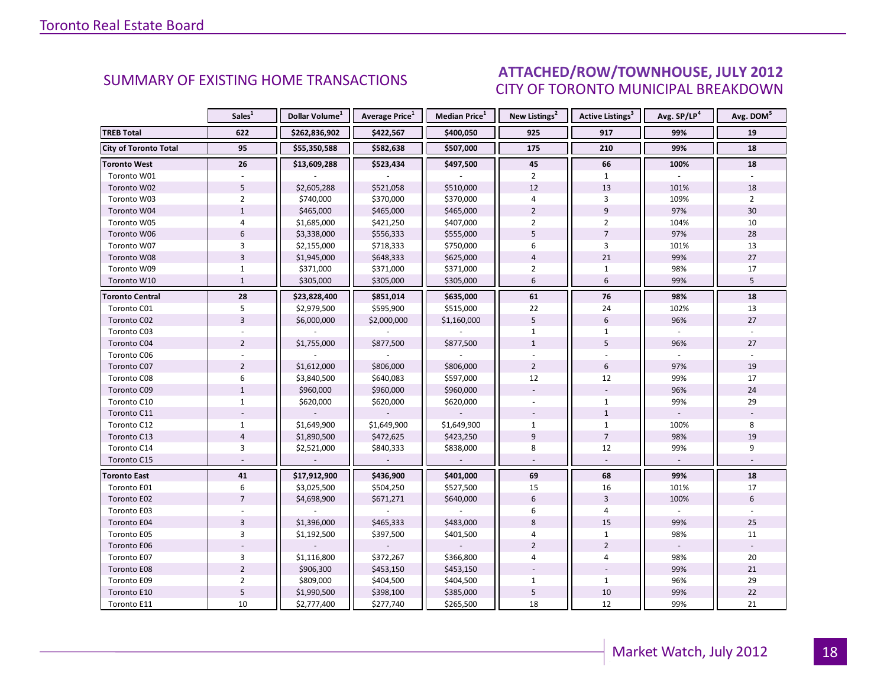#### INDUSTRIAL LEASE IN THE VALUE OF  $\overline{2012}$ CITY OF TORONTO MUNICIPAL BREAKDOWN SUMMARY OF EXISTING HOME TRANSACTIONS **ATTACHED/ROW/TOWNHOUSE, JULY 2012**

<span id="page-17-0"></span>

|                              | Sales <sup>1</sup> | Dollar Volume <sup>1</sup> | <b>Average Price</b> <sup>1</sup> | Median Price <sup>1</sup> | New Listings <sup>2</sup> | Active Listings <sup>3</sup> | Avg. SP/LP <sup>4</sup> | Avg. DOM <sup>5</sup> |
|------------------------------|--------------------|----------------------------|-----------------------------------|---------------------------|---------------------------|------------------------------|-------------------------|-----------------------|
| <b>TREB Total</b>            | 622                | \$262,836,902              | \$422,567                         | \$400,050                 | 925                       | 917                          | 99%                     | 19                    |
| <b>City of Toronto Total</b> | 95                 | \$55,350,588               | \$582,638                         | \$507,000                 | 175                       | 210                          | 99%                     | 18                    |
| <b>Toronto West</b>          | 26                 | \$13,609,288               | \$523,434                         | \$497,500                 | 45                        | 66                           | 100%                    | 18                    |
| Toronto W01                  |                    |                            |                                   |                           | $\overline{2}$            | $\mathbf{1}$                 |                         |                       |
| Toronto W02                  | 5                  | \$2,605,288                | \$521,058                         | \$510,000                 | 12                        | 13                           | 101%                    | 18                    |
| Toronto W03                  | $\overline{2}$     | \$740,000                  | \$370,000                         | \$370,000                 | 4                         | 3                            | 109%                    | $\overline{2}$        |
| Toronto W04                  | $\mathbf{1}$       | \$465,000                  | \$465,000                         | \$465,000                 | $\overline{2}$            | $\overline{9}$               | 97%                     | 30                    |
| Toronto W05                  | $\overline{4}$     | \$1,685,000                | \$421,250                         | \$407,000                 | $\overline{2}$            | $\overline{2}$               | 104%                    | 10                    |
| Toronto W06                  | 6                  | \$3,338,000                | \$556,333                         | \$555,000                 | 5                         | $\overline{7}$               | 97%                     | 28                    |
| Toronto W07                  | 3                  | \$2,155,000                | \$718,333                         | \$750,000                 | 6                         | 3                            | 101%                    | 13                    |
| Toronto W08                  | $\overline{3}$     | \$1,945,000                | \$648,333                         | \$625,000                 | $\overline{4}$            | 21                           | 99%                     | 27                    |
| Toronto W09                  | $\mathbf{1}$       | \$371,000                  | \$371,000                         | \$371,000                 | $\overline{2}$            | $\mathbf{1}$                 | 98%                     | 17                    |
| Toronto W10                  | $\mathbf{1}$       | \$305,000                  | \$305,000                         | \$305,000                 | 6                         | 6                            | 99%                     | 5                     |
| <b>Toronto Central</b>       | 28                 | \$23,828,400               | \$851,014                         | \$635,000                 | $\bf 61$                  | 76                           | 98%                     | 18                    |
| Toronto C01                  | 5                  | \$2,979,500                | \$595,900                         | \$515,000                 | 22                        | 24                           | 102%                    | 13                    |
| Toronto C02                  | $\overline{3}$     | \$6,000,000                | \$2,000,000                       | \$1,160,000               | 5                         | 6                            | 96%                     | 27                    |
| Toronto C03                  |                    |                            |                                   |                           | $\mathbf{1}$              | $\mathbf{1}$                 |                         |                       |
| Toronto C04                  | $\overline{2}$     | \$1,755,000                | \$877,500                         | \$877,500                 | $\mathbf{1}$              | 5                            | 96%                     | 27                    |
| Toronto C06                  |                    |                            |                                   |                           |                           |                              |                         |                       |
| Toronto C07                  | $\overline{2}$     | \$1,612,000                | \$806,000                         | \$806,000                 | $\overline{2}$            | 6                            | 97%                     | 19                    |
| Toronto C08                  | 6                  | \$3,840,500                | \$640,083                         | \$597,000                 | 12                        | 12                           | 99%                     | 17                    |
| Toronto C09                  | $\mathbf{1}$       | \$960,000                  | \$960,000                         | \$960,000                 |                           |                              | 96%                     | 24                    |
| Toronto C10                  | $\mathbf{1}$       | \$620,000                  | \$620,000                         | \$620,000                 |                           | $\mathbf{1}$                 | 99%                     | 29                    |
| Toronto C11                  |                    |                            |                                   |                           |                           | $\mathbf{1}$                 |                         |                       |
| Toronto C12                  | $\mathbf{1}$       | \$1,649,900                | \$1,649,900                       | \$1,649,900               | $\mathbf{1}$              | $\mathbf{1}$                 | 100%                    | 8                     |
| Toronto C13                  | $\overline{4}$     | \$1,890,500                | \$472,625                         | \$423,250                 | $\overline{9}$            | $\overline{7}$               | 98%                     | 19                    |
| Toronto C14                  | $\overline{3}$     | \$2,521,000                | \$840,333                         | \$838,000                 | 8                         | 12                           | 99%                     | 9                     |
| Toronto C15                  |                    |                            |                                   |                           |                           |                              |                         |                       |
| <b>Toronto East</b>          | 41                 | \$17,912,900               | \$436,900                         | \$401,000                 | 69                        | 68                           | 99%                     | 18                    |
| Toronto E01                  | 6                  | \$3,025,500                | \$504,250                         | \$527,500                 | 15                        | 16                           | 101%                    | 17                    |
| Toronto E02                  | $\overline{7}$     | \$4,698,900                | \$671,271                         | \$640,000                 | $6\,$                     | $\overline{3}$               | 100%                    | 6                     |
| Toronto E03                  |                    |                            |                                   |                           | 6                         | 4                            |                         |                       |
| Toronto E04                  | $\overline{3}$     | \$1,396,000                | \$465,333                         | \$483,000                 | 8                         | 15                           | 99%                     | 25                    |
| Toronto E05                  | $\overline{3}$     | \$1,192,500                | \$397,500                         | \$401,500                 | 4                         | $\mathbf{1}$                 | 98%                     | 11                    |
| Toronto E06                  |                    |                            |                                   |                           | $\overline{2}$            | $\overline{2}$               |                         |                       |
| Toronto E07                  | 3                  | \$1,116,800                | \$372,267                         | \$366,800                 | 4                         | 4                            | 98%                     | 20                    |
| <b>Toronto E08</b>           | $\overline{2}$     | \$906,300                  | \$453,150                         | \$453,150                 |                           |                              | 99%                     | 21                    |
| Toronto E09                  | $\overline{2}$     | \$809,000                  | \$404,500                         | \$404,500                 | $\mathbf{1}$              | $\mathbf{1}$                 | 96%                     | 29                    |
| Toronto E10                  | 5                  | \$1,990,500                | \$398,100                         | \$385,000                 | $\overline{5}$            | 10                           | 99%                     | 22                    |
| Toronto E11                  | 10                 | \$2,777,400                | \$277,740                         | \$265,500                 | 18                        | 12                           | 99%                     | 21                    |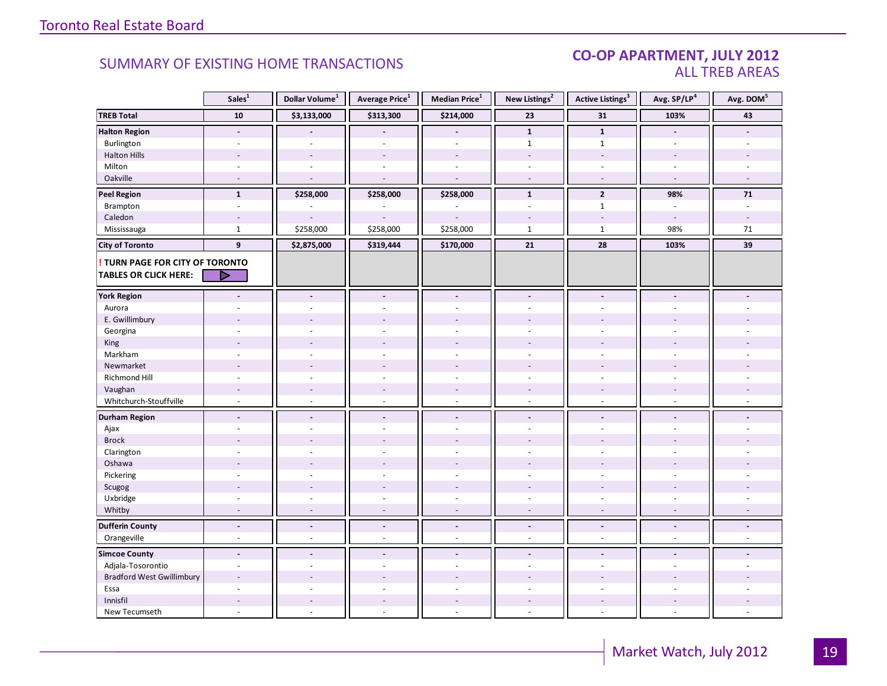#### CO-OP APARTMENT, JULY 2012 ALL TREB AREAS

|                                        | Sales <sup>1</sup>                         | Dollar Volume <sup>1</sup>         | Average Price <sup>1</sup>           | Median Price <sup>1</sup>      | New Listings <sup>2</sup>          | <b>Active Listings<sup>3</sup></b>                   | Avg. SP/LP <sup>4</sup>               | Avg. DOM <sup>5</sup> |
|----------------------------------------|--------------------------------------------|------------------------------------|--------------------------------------|--------------------------------|------------------------------------|------------------------------------------------------|---------------------------------------|-----------------------|
| <b>TREB Total</b>                      | ${\bf 10}$                                 | \$3,133,000                        | \$313,300                            | \$214,000                      | 23                                 | 31                                                   | 103%                                  | 43                    |
| <b>Halton Region</b>                   | $\overline{a}$                             |                                    |                                      |                                | $\mathbf{1}$                       | $\mathbf{1}$                                         | $\blacksquare$                        |                       |
| Burlington                             |                                            |                                    |                                      |                                | $\mathbf{1}$                       | $\mathbf{1}$                                         | $\overline{a}$                        |                       |
| <b>Halton Hills</b>                    | $\overline{a}$                             |                                    | $\overline{a}$                       | $\overline{a}$                 | $\overline{a}$                     | $\sim$                                               | $\overline{a}$                        |                       |
| Milton                                 | $\overline{\phantom{a}}$                   | $\sim$                             | $\bar{a}$                            | $\overline{\phantom{a}}$       | $\overline{\phantom{a}}$           | $\sim$                                               | $\sim$                                |                       |
| Oakville                               | $\sim$                                     | $\sim$                             | $\sim$                               | $\overline{\phantom{a}}$       | $\sim$                             | $\sim$                                               | $\sim$                                |                       |
| <b>Peel Region</b>                     | $\mathbf{1}$                               | \$258,000                          | \$258,000                            | \$258,000                      | $\mathbf{1}$                       | $\overline{2}$                                       | 98%                                   | 71                    |
| Brampton                               | $\mathcal{L}$                              |                                    |                                      |                                | $\sim$                             | $\mathbf{1}$                                         | $\omega$                              |                       |
| Caledon                                |                                            |                                    |                                      |                                |                                    |                                                      | $\overline{\phantom{a}}$              |                       |
| Mississauga                            | $\mathbf{1}$                               | \$258,000                          | \$258,000                            | \$258,000                      | $\mathbf{1}$                       | $\mathbf{1}$                                         | 98%                                   | 71                    |
| <b>City of Toronto</b>                 | 9                                          | \$2,875,000                        | \$319,444                            | \$170,000                      | 21                                 | 28                                                   | 103%                                  | 39                    |
| <b>! TURN PAGE FOR CITY OF TORONTO</b> |                                            |                                    |                                      |                                |                                    |                                                      |                                       |                       |
| <b>TABLES OR CLICK HERE:</b>           | D                                          |                                    |                                      |                                |                                    |                                                      |                                       |                       |
| <b>York Region</b>                     | $\blacksquare$                             | $\blacksquare$                     | $\blacksquare$                       | $\blacksquare$                 | $\blacksquare$                     | $\tilde{\phantom{a}}$                                | $\overline{a}$                        |                       |
| Aurora                                 |                                            |                                    |                                      | ä,                             | $\sim$                             |                                                      |                                       |                       |
| E. Gwillimbury                         |                                            |                                    |                                      |                                |                                    |                                                      |                                       |                       |
| Georgina                               |                                            |                                    |                                      |                                |                                    |                                                      |                                       |                       |
| King                                   |                                            |                                    |                                      |                                |                                    |                                                      |                                       |                       |
| Markham                                | $\overline{\phantom{a}}$                   | $\overline{a}$                     | $\overline{a}$                       | L.                             | $\overline{a}$                     | $\sim$                                               | $\bar{a}$                             |                       |
| Newmarket                              |                                            |                                    |                                      |                                |                                    |                                                      |                                       |                       |
| Richmond Hill                          | ÷,                                         |                                    |                                      |                                |                                    |                                                      |                                       |                       |
| Vaughan                                | $\overline{\phantom{a}}$                   | $\sim$                             | $\overline{\phantom{a}}$             | $\overline{a}$                 | $\overline{\phantom{a}}$           | $\overline{\phantom{a}}$                             | $\overline{\phantom{a}}$              |                       |
| Whitchurch-Stouffville                 | $\omega$                                   | $\sim$                             | $\sim$                               | $\overline{a}$                 | $\sim$                             | $\sim$                                               | $\sim$                                |                       |
| <b>Durham Region</b>                   | $\blacksquare$                             |                                    |                                      |                                |                                    |                                                      | $\blacksquare$                        |                       |
|                                        |                                            | $\overline{\phantom{a}}$           | $\blacksquare$<br>$\overline{a}$     | $\overline{\phantom{a}}$<br>ä, | $\overline{\phantom{a}}$<br>$\sim$ | $\overline{\phantom{a}}$<br>÷.                       | ÷.                                    |                       |
| Ajax<br><b>Brock</b>                   |                                            |                                    |                                      |                                |                                    |                                                      |                                       |                       |
| Clarington                             | $\ddot{\phantom{1}}$                       |                                    |                                      | ÷.                             | $\sim$                             | $\sim$                                               |                                       |                       |
| Oshawa                                 |                                            |                                    |                                      |                                |                                    |                                                      |                                       |                       |
| Pickering                              | ÷                                          |                                    |                                      | ä,                             |                                    | ÷.                                                   |                                       |                       |
| Scugog                                 |                                            |                                    | $\overline{a}$                       | ÷.                             |                                    |                                                      |                                       |                       |
| Uxbridge                               | $\overline{\phantom{a}}$                   | $\sim$                             | ÷,                                   | ä,                             | $\bar{\phantom{a}}$                | $\overline{\phantom{a}}$                             | $\overline{\phantom{a}}$              |                       |
| Whitby                                 | $\overline{\phantom{a}}$                   | $\overline{a}$                     | $\sim$                               | $\sim$                         | $\sim$                             | $\overline{\phantom{a}}$                             | $\sim$                                |                       |
|                                        |                                            |                                    |                                      |                                |                                    |                                                      |                                       |                       |
| <b>Dufferin County</b><br>Orangeville  | $\overline{\phantom{a}}$<br>$\blacksquare$ | $\overline{\phantom{a}}$<br>$\sim$ | $\overline{\phantom{a}}$<br>$\omega$ | $\Box$<br>÷,                   | $\overline{\phantom{a}}$<br>$\sim$ | $\overline{\phantom{a}}$<br>$\overline{\phantom{a}}$ | $\overline{\phantom{a}}$<br>$\bar{a}$ | $\blacksquare$<br>÷.  |
|                                        |                                            |                                    |                                      |                                |                                    |                                                      |                                       |                       |
| <b>Simcoe County</b>                   | $\blacksquare$                             | $\blacksquare$                     | $\blacksquare$                       | $\overline{\phantom{a}}$       | $\blacksquare$                     | $\overline{a}$                                       | $\overline{a}$                        |                       |
| Adjala-Tosorontio                      | $\blacksquare$                             | $\sim$                             | $\sim$                               | $\overline{\phantom{a}}$       | $\sim$                             | $\sim$                                               | ÷.                                    |                       |
| <b>Bradford West Gwillimbury</b>       | $\overline{\phantom{a}}$                   |                                    |                                      |                                |                                    |                                                      |                                       |                       |
| Essa                                   |                                            |                                    |                                      |                                |                                    |                                                      |                                       |                       |
| Innisfil                               | $\overline{a}$                             | $\overline{a}$                     | $\overline{a}$                       | $\overline{a}$                 | $\overline{a}$                     | $\overline{a}$                                       | $\overline{a}$                        |                       |
| New Tecumseth                          | ÷,                                         | $\sim$                             |                                      | ä,                             | $\overline{\phantom{a}}$           | $\overline{\phantom{a}}$                             | $\bar{a}$                             |                       |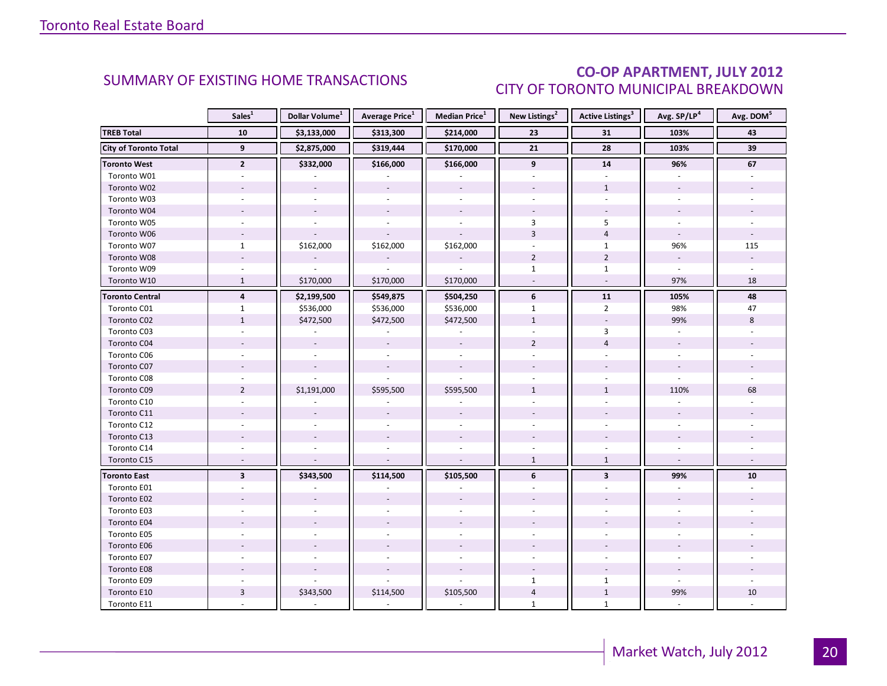### CO-OP APARTMENT, JULY 2012 CITY OF TORONTO MUNICIPAL BREAKDOWN

<span id="page-19-0"></span>

|                              | Sales <sup>1</sup>      | Dollar Volume <sup>1</sup> | <b>Average Price</b> <sup>1</sup> | <b>Median Price</b> <sup>1</sup> | New Listings <sup>2</sup><br><b>Active Listings<sup>3</sup></b> |                 | Avg. SP/LP <sup>4</sup>  | Avg. DOM <sup>5</sup> |
|------------------------------|-------------------------|----------------------------|-----------------------------------|----------------------------------|-----------------------------------------------------------------|-----------------|--------------------------|-----------------------|
| <b>TREB Total</b>            | 10                      | \$3,133,000                | \$313,300                         | \$214,000                        | 23                                                              | 31              | 103%                     | 43                    |
| <b>City of Toronto Total</b> | $\overline{9}$          | \$2,875,000                | \$319,444                         | \$170,000                        | $\overline{21}$                                                 | $\overline{28}$ | 103%                     | 39                    |
| <b>Toronto West</b>          | $\mathbf{2}$            | \$332,000                  | \$166,000                         | \$166,000                        | 9                                                               | 14              | 96%                      | 67                    |
| Toronto W01                  |                         |                            |                                   |                                  |                                                                 |                 |                          |                       |
| Toronto W02                  |                         |                            |                                   |                                  |                                                                 | $\mathbf{1}$    |                          |                       |
| Toronto W03                  | $\sim$                  | $\sim$                     | $\mathbf{r}$                      | $\sim$                           |                                                                 | $\overline{a}$  |                          |                       |
| Toronto W04                  |                         |                            |                                   |                                  |                                                                 |                 |                          |                       |
| Toronto W05                  |                         |                            |                                   |                                  | 3                                                               | 5               |                          |                       |
| Toronto W06                  | $\sim$                  |                            |                                   |                                  | $\overline{3}$                                                  | $\overline{4}$  | $\sim$                   |                       |
| Toronto W07                  | $\mathbf{1}$            | \$162,000                  | \$162,000                         | \$162,000                        |                                                                 | $\mathbf{1}$    | 96%                      | 115                   |
| Toronto W08                  |                         |                            |                                   |                                  | $\overline{2}$                                                  | $\overline{2}$  | $\omega$                 |                       |
| Toronto W09                  |                         |                            |                                   |                                  | $\mathbf{1}$                                                    | $\mathbf{1}$    |                          |                       |
| Toronto W10                  | $\mathbf{1}$            | \$170,000                  | \$170,000                         | \$170,000                        |                                                                 | $\omega$        | 97%                      | 18                    |
| <b>Toronto Central</b>       | $\overline{4}$          | \$2,199,500                | \$549,875                         | \$504,250                        | 6                                                               | 11              | 105%                     | 48                    |
| Toronto C01                  | $\mathbf{1}$            | \$536,000                  | \$536,000                         | \$536,000                        | $\mathbf{1}$                                                    | $\overline{2}$  | 98%                      | 47                    |
| Toronto C02                  | $\mathbf{1}$            | \$472,500                  | \$472,500                         | \$472,500                        | $\mathbf{1}$                                                    | $\omega$        | 99%                      | 8                     |
| Toronto C03                  | $\sim$                  |                            |                                   |                                  |                                                                 | 3               | $\overline{\phantom{a}}$ |                       |
| Toronto C04                  |                         |                            |                                   |                                  | $\overline{2}$                                                  | $\overline{4}$  |                          |                       |
| Toronto C06                  |                         |                            |                                   |                                  |                                                                 |                 |                          |                       |
| Toronto C07                  |                         | $\sim$                     | $\omega$                          | $\sim$                           |                                                                 |                 |                          |                       |
| Toronto C08                  |                         |                            |                                   |                                  |                                                                 |                 |                          |                       |
| Toronto C09                  | $\overline{2}$          | \$1,191,000                | \$595,500                         | \$595,500                        | $\mathbf{1}$                                                    | $\mathbf{1}$    | 110%                     | 68                    |
| Toronto C10                  |                         |                            |                                   |                                  |                                                                 |                 |                          |                       |
| Toronto C11                  |                         |                            |                                   |                                  |                                                                 |                 |                          |                       |
| Toronto C12                  | ÷.                      |                            |                                   |                                  |                                                                 |                 |                          |                       |
| Toronto C13                  |                         |                            |                                   |                                  |                                                                 |                 |                          |                       |
| Toronto C14                  |                         |                            |                                   |                                  |                                                                 |                 |                          |                       |
| Toronto C15                  | $\overline{a}$          |                            |                                   | $\overline{a}$                   | $\mathbf{1}$                                                    | $\mathbf{1}$    | $\overline{\phantom{a}}$ |                       |
| <b>Toronto East</b>          | $\overline{\mathbf{3}}$ | \$343,500                  | \$114,500                         | \$105,500                        | 6                                                               | 3               | 99%                      | 10                    |
| Toronto E01                  |                         |                            |                                   |                                  |                                                                 |                 |                          |                       |
| Toronto E02                  |                         |                            |                                   |                                  |                                                                 |                 |                          |                       |
| Toronto E03                  |                         |                            |                                   |                                  |                                                                 |                 |                          |                       |
| Toronto E04                  |                         |                            |                                   |                                  |                                                                 |                 |                          |                       |
| Toronto E05                  |                         |                            |                                   |                                  |                                                                 |                 |                          |                       |
| Toronto E06                  |                         |                            |                                   |                                  |                                                                 |                 |                          |                       |
| Toronto E07                  |                         |                            |                                   |                                  |                                                                 |                 |                          |                       |
| Toronto E08                  |                         |                            |                                   |                                  |                                                                 |                 |                          |                       |
| Toronto E09                  |                         |                            |                                   |                                  | $\mathbf{1}$                                                    | $\mathbf{1}$    |                          |                       |
| Toronto E10                  | 3                       | \$343,500                  | \$114,500                         | \$105,500                        | $\overline{4}$                                                  | $1\,$           | 99%                      | 10                    |
| Toronto E11                  |                         |                            |                                   | $\sim$                           | $\mathbf{1}$                                                    | $\mathbf{1}$    | ÷                        |                       |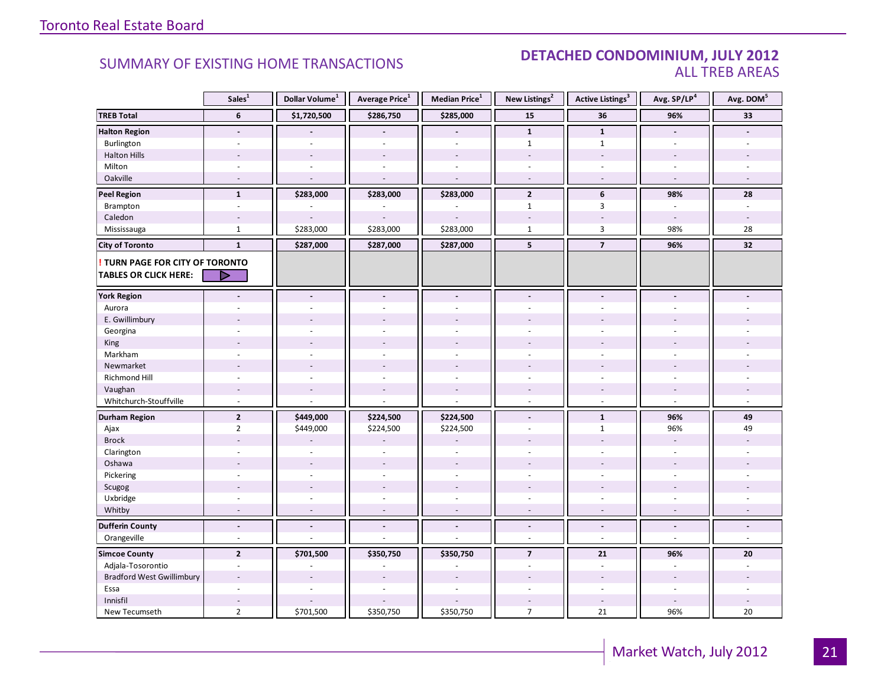#### SUMMARY OF EXISTING HOME TRANSACTIONS **DETACHED CONDOMINIUM, JULY 2012** ALL TREB AREAS

|                                        | Sales <sup>1</sup>       | Dollar Volume <sup>1</sup> | Average Price <sup>1</sup>   | Median Price <sup>1</sup> | New Listings <sup>2</sup> | Active Listings <sup>3</sup> | Avg. SP/LP <sup>4</sup>  | Avg. DOM <sup>5</sup>    |
|----------------------------------------|--------------------------|----------------------------|------------------------------|---------------------------|---------------------------|------------------------------|--------------------------|--------------------------|
| <b>TREB Total</b>                      | 6                        | \$1,720,500                | \$286,750                    | \$285,000                 | 15                        | 36                           | 96%                      | 33                       |
| <b>Halton Region</b>                   | $\overline{\phantom{a}}$ |                            |                              |                           | $\mathbf{1}$              | $\mathbf{1}$                 | $\blacksquare$           |                          |
| Burlington                             |                          |                            |                              |                           | $\mathbf{1}$              | $\mathbf{1}$                 | $\overline{a}$           |                          |
| <b>Halton Hills</b>                    |                          |                            | $\overline{a}$               | $\overline{a}$            | $\sim$                    | $\overline{a}$               | $\overline{a}$           |                          |
| Milton                                 | $\sim$                   | $\overline{\phantom{a}}$   | $\bar{a}$                    | $\sim$                    | $\sim$                    | $\overline{\phantom{a}}$     | $\sim$                   |                          |
| Oakville                               | $\sim$                   | $\sim$                     | $\sim$                       | $\sim$                    | $\sim$                    | $\sim$                       | $\sim$                   | $\sim$                   |
| <b>Peel Region</b>                     | $\mathbf{1}$             | \$283,000                  | \$283,000                    | \$283,000                 | $\overline{2}$            | 6                            | 98%                      | 28                       |
| Brampton                               | $\sim$                   |                            |                              | L.                        | $\mathbf{1}$              | 3                            | $\sim$                   | $\sim$                   |
| Caledon                                |                          |                            |                              |                           |                           |                              |                          |                          |
| Mississauga                            | $\mathbf{1}$             | \$283,000                  | \$283,000                    | \$283,000                 | $\mathbf{1}$              | $\overline{3}$               | 98%                      | 28                       |
| <b>City of Toronto</b>                 | $\mathbf{1}$             | \$287,000                  | \$287,000                    | \$287,000                 | 5                         | $\overline{7}$               | 96%                      | 32                       |
| <b>! TURN PAGE FOR CITY OF TORONTO</b> |                          |                            |                              |                           |                           |                              |                          |                          |
| <b>TABLES OR CLICK HERE:</b>           | D                        |                            |                              |                           |                           |                              |                          |                          |
| <b>York Region</b>                     | $\blacksquare$           | $\blacksquare$             | $\overline{\phantom{a}}$     | $\overline{\phantom{a}}$  | $\blacksquare$            | $\blacksquare$               | $\blacksquare$           |                          |
| Aurora                                 |                          |                            |                              | ÷,                        |                           |                              |                          |                          |
|                                        |                          |                            |                              |                           |                           |                              |                          |                          |
| E. Gwillimbury                         |                          |                            |                              |                           |                           |                              |                          |                          |
| Georgina<br>King                       |                          |                            |                              |                           |                           |                              |                          |                          |
| Markham                                | ÷                        |                            | $\overline{a}$               | $\overline{a}$            | $\sim$                    | ÷                            | $\sim$                   |                          |
| Newmarket                              |                          |                            |                              |                           |                           |                              |                          |                          |
| Richmond Hill                          | $\sim$                   |                            | $\overline{a}$               | $\overline{a}$            |                           | $\sim$                       | $\overline{a}$           |                          |
| Vaughan                                | $\overline{\phantom{a}}$ | $\overline{\phantom{a}}$   | $\overline{\phantom{a}}$     | $\overline{\phantom{a}}$  |                           | $\overline{\phantom{a}}$     | $\overline{\phantom{a}}$ |                          |
| Whitchurch-Stouffville                 | $\sim$                   |                            | L.                           | ÷,                        | $\sim$                    | $\overline{\phantom{a}}$     | $\sim$                   | $\sim$                   |
|                                        |                          |                            |                              |                           |                           |                              |                          |                          |
| <b>Durham Region</b>                   | $\overline{2}$           | \$449,000                  | \$224,500                    | \$224,500                 | $\overline{\phantom{a}}$  | $\mathbf{1}$                 | 96%                      | 49                       |
| Ajax                                   | $\overline{2}$           | \$449,000                  | \$224,500                    | \$224,500                 | $\sim$                    | $\mathbf{1}$                 | 96%                      | 49                       |
| <b>Brock</b>                           |                          |                            |                              |                           |                           |                              |                          |                          |
| Clarington                             | $\overline{\phantom{a}}$ | $\sim$                     | $\blacksquare$               | ÷,                        | ÷.                        | ÷                            | $\sim$                   |                          |
| Oshawa                                 | $\overline{\phantom{a}}$ |                            |                              | $\overline{a}$            |                           |                              |                          |                          |
| Pickering                              | ÷.                       |                            |                              | $\overline{a}$            |                           | L.                           | ÷.                       |                          |
| Scugog                                 |                          | $\sim$                     | $\overline{\phantom{a}}$     | ÷,                        |                           |                              |                          |                          |
| Uxbridge                               | $\sim$                   | $\sim$                     | $\bar{a}$                    | $\overline{\phantom{a}}$  | $\sim$                    | $\overline{\phantom{a}}$     | $\sim$                   |                          |
| Whitby                                 | $\sim$                   | $\sim$                     | $\sim$                       | $\sim$                    | $\overline{a}$            | $\sim$                       | $\sim$                   | $\sim$                   |
| <b>Dufferin County</b>                 | $\overline{\phantom{a}}$ |                            | $\qquad \qquad \blacksquare$ | $\overline{\phantom{a}}$  | $\overline{\phantom{a}}$  | $\overline{\phantom{a}}$     | $\overline{\phantom{a}}$ | $\overline{\phantom{a}}$ |
| Orangeville                            | $\omega$                 | ÷.                         | ÷.                           | ÷,                        | $\omega$                  | $\omega$                     | $\sim$                   | $\omega$                 |
| <b>Simcoe County</b>                   | $\overline{2}$           | \$701,500                  | \$350,750                    | \$350,750                 | $\overline{7}$            | 21                           | 96%                      | 20                       |
| Adjala-Tosorontio                      | $\overline{\phantom{a}}$ |                            |                              | ä,                        | $\overline{\phantom{a}}$  | $\blacksquare$               | $\overline{\phantom{a}}$ | ÷.                       |
| <b>Bradford West Gwillimbury</b>       | $\overline{a}$           |                            | $\overline{\phantom{a}}$     | $\overline{a}$            |                           | $\overline{\phantom{a}}$     | $\sim$                   |                          |
| Essa                                   |                          |                            |                              |                           |                           |                              |                          |                          |
| Innisfil                               |                          |                            |                              |                           |                           | $\overline{\phantom{a}}$     | $\overline{a}$           |                          |
| New Tecumseth                          | $\overline{2}$           | \$701,500                  | \$350,750                    | \$350,750                 | $\overline{7}$            | 21                           | 96%                      | 20                       |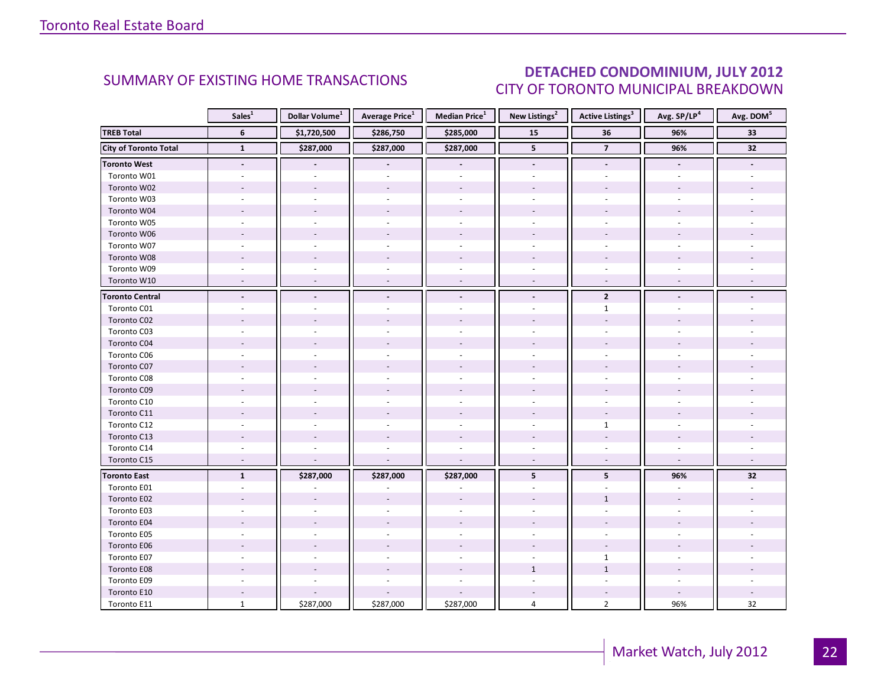### DETACHED CONDOMINIUM, JULY 2012 CITY OF TORONTO MUNICIPAL BREAKDOWN

<span id="page-21-0"></span>

|                        | Sales <sup>1</sup> | Dollar Volume <sup>1</sup> | Average Price <sup>1</sup> | <b>Median Price</b> <sup>1</sup> | New Listings <sup>2</sup> | <b>Active Listings</b> <sup>3</sup> | Avg. SP/LP4    | Avg. DOM <sup>5</sup> |
|------------------------|--------------------|----------------------------|----------------------------|----------------------------------|---------------------------|-------------------------------------|----------------|-----------------------|
| <b>TREB Total</b>      | 6                  | \$1,720,500                | \$286,750                  | \$285,000                        | 15                        | 36                                  | 96%            | 33                    |
| City of Toronto Total  | $\mathbf{1}$       | \$287,000                  | \$287,000                  | \$287,000                        | 5                         | $\overline{7}$                      | 96%            | 32                    |
| <b>Toronto West</b>    | $\blacksquare$     |                            | $\tilde{\phantom{a}}$      | $\blacksquare$                   | $\blacksquare$            | $\blacksquare$                      | $\blacksquare$ |                       |
| Toronto W01            |                    |                            |                            |                                  |                           |                                     |                |                       |
| Toronto W02            |                    |                            |                            |                                  |                           |                                     |                |                       |
| Toronto W03            |                    |                            |                            |                                  |                           |                                     |                |                       |
| Toronto W04            |                    |                            |                            |                                  |                           |                                     |                |                       |
| Toronto W05            |                    |                            |                            |                                  |                           |                                     |                |                       |
| Toronto W06            |                    |                            |                            |                                  |                           |                                     |                |                       |
| Toronto W07            |                    |                            |                            |                                  |                           |                                     |                |                       |
| Toronto W08            |                    |                            |                            |                                  |                           |                                     |                |                       |
| Toronto W09            |                    |                            |                            |                                  |                           |                                     |                |                       |
| Toronto W10            |                    |                            |                            | $\overline{\phantom{a}}$         |                           | $\overline{\phantom{a}}$            |                |                       |
| <b>Toronto Central</b> |                    |                            |                            | $\blacksquare$                   | $\blacksquare$            | $\overline{2}$                      |                |                       |
| Toronto C01            |                    |                            |                            |                                  |                           | $\mathbf{1}$                        |                |                       |
| Toronto C02            |                    |                            |                            |                                  |                           |                                     |                |                       |
| Toronto C03            |                    |                            |                            |                                  |                           | $\overline{\phantom{a}}$            |                |                       |
| Toronto C04            |                    |                            |                            |                                  |                           |                                     |                |                       |
| Toronto C06            |                    |                            |                            |                                  |                           |                                     |                |                       |
| Toronto C07            |                    |                            |                            |                                  |                           |                                     |                |                       |
| Toronto C08            |                    |                            |                            |                                  |                           |                                     |                |                       |
| Toronto C09            |                    |                            |                            |                                  |                           |                                     |                |                       |
| Toronto C10            |                    |                            |                            |                                  |                           |                                     |                |                       |
| Toronto C11            |                    |                            |                            |                                  |                           |                                     |                |                       |
| Toronto C12            |                    |                            |                            |                                  |                           | $\mathbf{1}$                        |                |                       |
| Toronto C13            |                    |                            |                            |                                  |                           |                                     |                |                       |
| Toronto C14            |                    |                            |                            |                                  |                           |                                     |                |                       |
| Toronto C15            | $\overline{a}$     |                            |                            | $\sim$                           | $\sim$                    | $\sim$                              | $\sim$         |                       |
| <b>Toronto East</b>    | $\mathbf{1}$       | \$287,000                  | \$287,000                  | \$287,000                        | 5                         | 5                                   | 96%            | 32                    |
| Toronto E01            |                    |                            |                            |                                  |                           |                                     |                |                       |
| Toronto E02            |                    |                            |                            |                                  |                           | $\mathbf{1}$                        |                |                       |
| Toronto E03            |                    |                            |                            |                                  |                           |                                     |                |                       |
| Toronto E04            |                    |                            |                            |                                  |                           |                                     |                |                       |
| Toronto E05            |                    |                            |                            |                                  |                           |                                     |                |                       |
| Toronto E06            |                    |                            |                            |                                  |                           |                                     |                |                       |
| Toronto E07            |                    |                            |                            |                                  |                           | $\mathbf{1}$                        |                |                       |
| Toronto E08            |                    |                            |                            |                                  | $\mathbf{1}$              | $\mathbf{1}$                        |                |                       |
| Toronto E09            |                    |                            |                            |                                  |                           |                                     |                |                       |
| Toronto E10            |                    |                            |                            |                                  |                           |                                     |                |                       |
| Toronto E11            | $\mathbf{1}$       | \$287,000                  | \$287,000                  | \$287,000                        | 4                         | $\overline{2}$                      | 96%            | 32                    |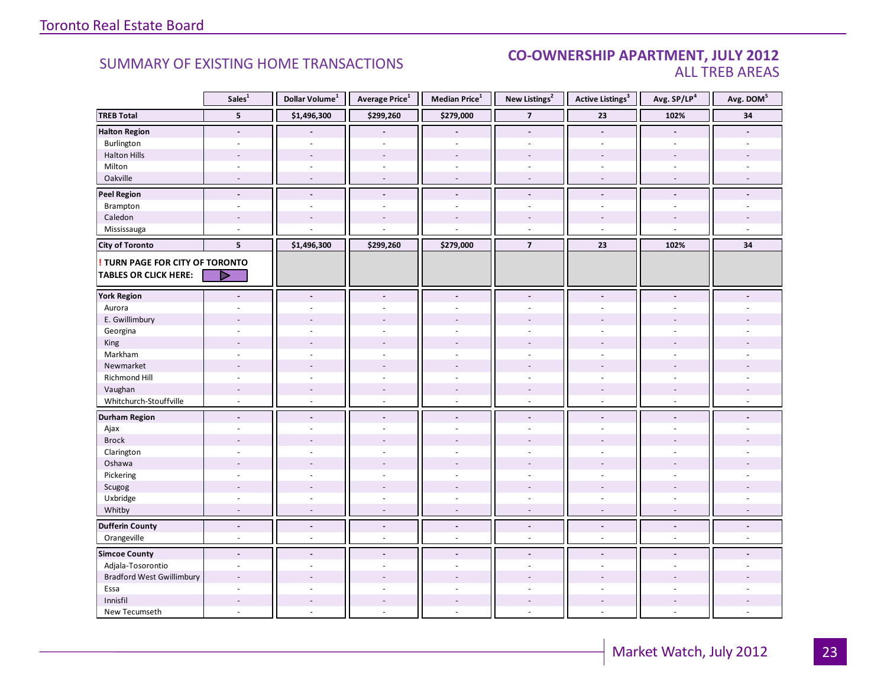#### SUMMARY OF EXISTING HOME TRANSACTIONS **CO-OWNERSHIP APARTMENT, JULY 2012** ALL TREB AREAS

|                                  | Sales <sup>1</sup>       | Dollar Volume <sup>1</sup> | Average Price <sup>1</sup> | Median Price <sup>1</sup> | New Listings <sup>2</sup> | <b>Active Listings<sup>3</sup></b> | Avg. SP/LP <sup>4</sup>  | Avg. DOM <sup>5</sup> |
|----------------------------------|--------------------------|----------------------------|----------------------------|---------------------------|---------------------------|------------------------------------|--------------------------|-----------------------|
| <b>TREB Total</b>                | 5                        | \$1,496,300                | \$299,260                  | \$279,000                 | $\overline{7}$            | 23                                 | 102%                     | 34                    |
| <b>Halton Region</b>             | $\overline{\phantom{a}}$ |                            |                            |                           | $\blacksquare$            | $\overline{\phantom{a}}$           | $\blacksquare$           |                       |
| Burlington                       |                          |                            |                            |                           |                           |                                    | $\overline{a}$           |                       |
| <b>Halton Hills</b>              | $\overline{a}$           | $\overline{a}$             | $\overline{a}$             | $\overline{a}$            | $\sim$                    | $\overline{\phantom{a}}$           | $\overline{a}$           |                       |
| Milton                           | $\overline{\phantom{a}}$ | $\sim$                     | $\sim$                     | $\omega$                  | $\sim$                    | $\overline{\phantom{a}}$           | $\sim$                   |                       |
| Oakville                         | $\sim$                   | $\sim$                     | $\sim$                     | $\sim$                    | $\sim$                    | $\sim$                             | $\sim$                   |                       |
| <b>Peel Region</b>               | $\overline{\phantom{a}}$ | $\blacksquare$             | $\blacksquare$             | $\centerdot$              | $\blacksquare$            | $\overline{\phantom{a}}$           | $\blacksquare$           |                       |
| Brampton                         | $\overline{\phantom{a}}$ | $\overline{a}$             | $\overline{a}$             | $\overline{a}$            | $\sim$                    | $\sim$                             | ÷.                       |                       |
| Caledon                          |                          |                            |                            |                           |                           |                                    |                          |                       |
| Mississauga                      | ÷                        |                            |                            |                           | $\sim$                    | $\sim$                             | $\overline{a}$           |                       |
| <b>City of Toronto</b>           | 5                        | \$1,496,300                | \$299,260                  | \$279,000                 | $\overline{7}$            | 23                                 | 102%                     | 34                    |
| ! TURN PAGE FOR CITY OF TORONTO  |                          |                            |                            |                           |                           |                                    |                          |                       |
| <b>TABLES OR CLICK HERE:</b>     | D                        |                            |                            |                           |                           |                                    |                          |                       |
|                                  |                          |                            |                            |                           |                           |                                    |                          |                       |
| <b>York Region</b>               | $\blacksquare$           | $\blacksquare$             | $\blacksquare$             | $\blacksquare$            | $\blacksquare$            | $\tilde{\phantom{a}}$              | $\overline{a}$           |                       |
| Aurora                           |                          |                            |                            | ä,                        | $\overline{\phantom{a}}$  |                                    |                          |                       |
| E. Gwillimbury                   |                          |                            |                            |                           |                           |                                    |                          |                       |
| Georgina                         |                          |                            |                            |                           |                           |                                    |                          |                       |
| King                             |                          |                            |                            |                           |                           |                                    |                          |                       |
| Markham                          | $\overline{\phantom{a}}$ | $\overline{a}$             | $\overline{a}$             | L.                        | $\overline{a}$            | $\sim$                             | $\bar{a}$                |                       |
| Newmarket                        |                          |                            |                            |                           |                           |                                    |                          |                       |
| Richmond Hill                    | ÷                        |                            |                            | ÷.                        |                           |                                    |                          |                       |
| Vaughan                          | $\overline{\phantom{a}}$ | $\sim$                     | $\overline{\phantom{a}}$   | $\overline{a}$            | $\overline{\phantom{a}}$  | $\overline{\phantom{a}}$           | $\overline{\phantom{a}}$ |                       |
| Whitchurch-Stouffville           | $\omega$                 | $\sim$                     | $\sim$                     | $\overline{a}$            | $\sim$                    | $\sim$                             | $\sim$                   |                       |
| <b>Durham Region</b>             | $\centerdot$             | $\overline{\phantom{a}}$   | $\blacksquare$             | $\overline{\phantom{a}}$  | $\overline{\phantom{a}}$  | $\overline{\phantom{a}}$           | $\blacksquare$           |                       |
| Ajax                             | ÷.                       | $\overline{a}$             | $\overline{a}$             | $\overline{a}$            | $\sim$                    | ÷.                                 | ÷                        |                       |
| <b>Brock</b>                     |                          |                            |                            |                           |                           |                                    |                          |                       |
| Clarington                       | $\ddot{\phantom{1}}$     |                            |                            | ÷.                        | $\sim$                    | $\sim$                             | ÷.                       |                       |
| Oshawa                           |                          |                            |                            |                           |                           |                                    |                          |                       |
| Pickering                        | ÷                        |                            |                            | ä,                        |                           | ÷.                                 | ÷                        |                       |
| Scugog                           |                          | $\overline{a}$             | $\overline{a}$             | $\overline{a}$            |                           | $\overline{a}$                     |                          |                       |
| Uxbridge                         | $\overline{\phantom{a}}$ | $\sim$                     | $\omega$                   | ä,                        | $\bar{a}$                 | ÷,                                 | $\overline{\phantom{a}}$ |                       |
| Whitby                           | $\overline{\phantom{a}}$ | $\overline{a}$             | $\sim$                     | $\sim$                    | $\sim$                    | $\overline{\phantom{a}}$           | $\overline{\phantom{a}}$ |                       |
| <b>Dufferin County</b>           | $\overline{\phantom{a}}$ | $\overline{\phantom{a}}$   | $\overline{\phantom{a}}$   | $\Box$                    | $\overline{\phantom{a}}$  | $\overline{\phantom{a}}$           | $\overline{\phantom{a}}$ | $\blacksquare$        |
| Orangeville                      | $\blacksquare$           | $\sim$                     | $\overline{\phantom{a}}$   | ä,                        | $\sim$                    | $\overline{\phantom{a}}$           | $\bar{a}$                | ÷.                    |
| <b>Simcoe County</b>             | $\blacksquare$           | $\blacksquare$             | $\blacksquare$             | $\overline{\phantom{a}}$  | $\blacksquare$            | $\overline{a}$                     | $\blacksquare$           |                       |
| Adjala-Tosorontio                | $\blacksquare$           | $\sim$                     | $\sim$                     | $\overline{\phantom{a}}$  | $\sim$                    | $\sim$                             | ÷.                       |                       |
| <b>Bradford West Gwillimbury</b> | $\overline{\phantom{a}}$ |                            |                            |                           |                           |                                    |                          |                       |
| Essa                             |                          |                            |                            |                           |                           |                                    |                          |                       |
| Innisfil                         | $\overline{a}$           | $\overline{a}$             | $\overline{a}$             | $\overline{a}$            | $\overline{a}$            | $\overline{\phantom{a}}$           | $\overline{a}$           |                       |
| New Tecumseth                    | ÷,                       | $\overline{\phantom{a}}$   |                            | ä,                        | ä,                        | $\overline{\phantom{a}}$           | $\bar{a}$                |                       |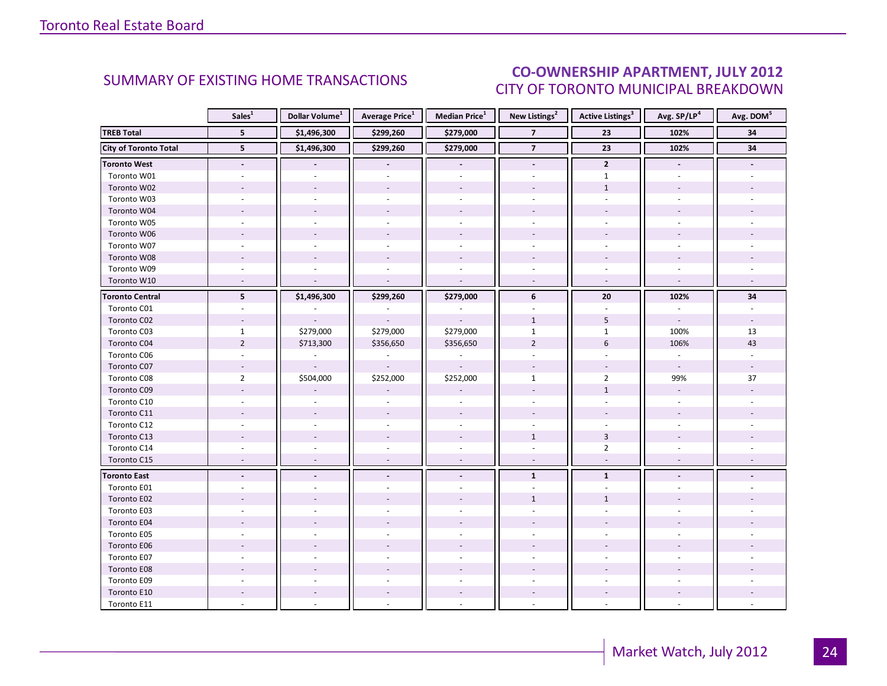#### Industrial Lemma  $\overline{a}$ CITY OF TORONTO MUNICIPAL BREAKDOWN SUMMARY OF EXISTING HOME TRANSACTIONS **CO-OWNERSHIP APARTMENT, JULY 2012**

<span id="page-23-0"></span>

|                              | Sales <sup>1</sup>       | Dollar Volume <sup>1</sup> | <b>Average Price</b> <sup>1</sup> | Median Price <sup>1</sup> | New Listings <sup>2</sup> | <b>Active Listings<sup>3</sup></b> | Avg. SP/LP <sup>4</sup>  | Avg. DOM <sup>5</sup> |
|------------------------------|--------------------------|----------------------------|-----------------------------------|---------------------------|---------------------------|------------------------------------|--------------------------|-----------------------|
| <b>TREB Total</b>            | 5                        | \$1,496,300                | \$299,260                         | \$279,000                 | $\overline{7}$            | 23                                 | 102%                     | 34                    |
| <b>City of Toronto Total</b> | 5 <sup>5</sup>           | \$1,496,300                | \$299,260                         | \$279,000                 | $\overline{7}$            | $\overline{23}$                    | 102%                     | 34                    |
| <b>Toronto West</b>          | $\blacksquare$           |                            | $\overline{\phantom{a}}$          | $\overline{\phantom{a}}$  | $\overline{\phantom{a}}$  | $\mathbf{2}$                       | $\overline{\phantom{a}}$ |                       |
| Toronto W01                  |                          |                            |                                   |                           |                           | $\mathbf{1}$                       |                          |                       |
| Toronto W02                  |                          |                            |                                   |                           |                           | $\mathbf{1}$                       |                          |                       |
| Toronto W03                  | $\sim$                   |                            | $\omega$                          | $\omega$                  | $\sim$                    | ÷.                                 | ÷.                       |                       |
| Toronto W04                  |                          |                            |                                   |                           |                           |                                    |                          |                       |
| Toronto W05                  | $\sim$                   |                            |                                   |                           |                           |                                    |                          |                       |
| Toronto W06                  |                          |                            |                                   |                           |                           |                                    |                          |                       |
| Toronto W07                  |                          |                            |                                   | $\sim$                    |                           |                                    |                          |                       |
| Toronto W08                  |                          |                            |                                   |                           |                           |                                    |                          |                       |
| Toronto W09                  | $\sim$                   |                            |                                   |                           | ÷                         | ÷                                  |                          |                       |
| Toronto W10                  | $\sim$                   |                            | $\sim$                            | $\sim$                    | $\omega$                  | $\omega$                           | $\sim$                   |                       |
| <b>Toronto Central</b>       | 5                        | \$1,496,300                | \$299,260                         | \$279,000                 | 6                         | ${\bf 20}$                         | 102%                     | 34                    |
| Toronto C01                  |                          |                            |                                   |                           |                           |                                    |                          |                       |
| Toronto C02                  | $\overline{\phantom{a}}$ |                            |                                   |                           | $\mathbf{1}$              | 5                                  | $\overline{\phantom{a}}$ |                       |
| Toronto C03                  | $\mathbf{1}$             | \$279,000                  | \$279,000                         | \$279,000                 | $\mathbf{1}$              | $\mathbf{1}$                       | 100%                     | 13                    |
| Toronto C04                  | $\overline{2}$           | \$713,300                  | \$356,650                         | \$356,650                 | $\overline{2}$            | $6\,$                              | 106%                     | 43                    |
| Toronto C06                  |                          |                            |                                   |                           |                           |                                    |                          |                       |
| Toronto C07                  | $\overline{\phantom{a}}$ | $\overline{\phantom{a}}$   | $\overline{\phantom{a}}$          | $\sim$                    |                           |                                    | $\overline{\phantom{a}}$ |                       |
| Toronto C08                  | $\overline{2}$           | \$504,000                  | \$252,000                         | \$252,000                 | $\mathbf{1}$              | $\overline{2}$                     | 99%                      | 37                    |
| Toronto C09                  |                          |                            |                                   |                           |                           | $\mathbf{1}$                       |                          |                       |
| Toronto C10                  |                          |                            |                                   |                           |                           |                                    |                          |                       |
| Toronto C11                  |                          |                            |                                   |                           |                           |                                    |                          |                       |
| Toronto C12                  | $\overline{a}$           |                            | $\overline{\phantom{a}}$          | $\sim$                    |                           |                                    |                          |                       |
| Toronto C13                  |                          |                            |                                   |                           | $\mathbf{1}$              | $\overline{3}$                     |                          |                       |
| Toronto C14                  |                          |                            |                                   |                           |                           | $\overline{2}$                     |                          |                       |
| Toronto C15                  | $\overline{\phantom{a}}$ |                            | $\blacksquare$                    | $\sim$                    | $\overline{\phantom{a}}$  | $\overline{\phantom{a}}$           |                          |                       |
| <b>Toronto East</b>          |                          |                            |                                   |                           | $\mathbf{1}$              | $\mathbf{1}$                       |                          |                       |
| Toronto E01                  |                          |                            |                                   |                           |                           |                                    |                          |                       |
| Toronto E02                  |                          |                            |                                   |                           | $\mathbf{1}$              | $\mathbf{1}$                       |                          |                       |
| Toronto E03                  |                          |                            |                                   |                           |                           |                                    |                          |                       |
| Toronto E04                  |                          |                            |                                   |                           |                           |                                    |                          |                       |
| Toronto E05                  |                          |                            |                                   |                           |                           |                                    |                          |                       |
| Toronto E06                  |                          |                            |                                   |                           |                           |                                    |                          |                       |
| Toronto E07                  |                          |                            |                                   | $\sim$                    |                           |                                    |                          |                       |
| Toronto E08                  |                          |                            |                                   |                           |                           |                                    |                          |                       |
| Toronto E09                  |                          |                            |                                   |                           |                           |                                    |                          |                       |
| Toronto E10                  |                          |                            |                                   |                           |                           |                                    |                          |                       |
| Toronto E11                  |                          |                            |                                   |                           |                           |                                    |                          |                       |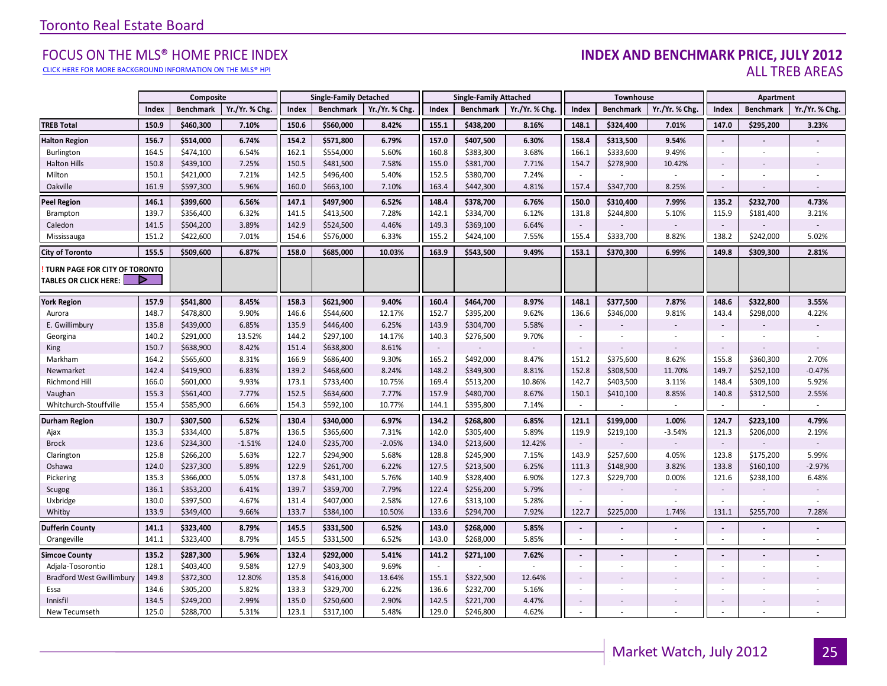#### [CLICK HERE FOR MORE BACKGROUND INFORMATION ON THE MLS® HPI](http://www.torontorealestateboard.com/market_news/home_price_index/index.htm)

#### Industrial Leasing FOCUS ON THE MLS® HOME PRICE INDEX **INDEX AND BENCHMARK PRICE, JULY 2012** ALL TREB AREAS

|                                                               |       | Composite        |                |       | <b>Single-Family Detached</b> |               |        | <b>Single-Family Attached</b> |                | Townhouse                |                  |               | Apartment                   |                  |                |
|---------------------------------------------------------------|-------|------------------|----------------|-------|-------------------------------|---------------|--------|-------------------------------|----------------|--------------------------|------------------|---------------|-----------------------------|------------------|----------------|
|                                                               | Index | <b>Benchmark</b> | Yr./Yr. % Chg. | Index | <b>Benchmark</b>              | Yr./Yr. % Chg | Index  | <b>Benchmark</b>              | Yr./Yr. % Chg. | Index                    | <b>Benchmark</b> | Yr./Yr. % Chg | Index                       | <b>Benchmark</b> | Yr./Yr. % Chg. |
| <b>TREB Total</b>                                             | 150.9 | \$460,300        | 7.10%          | 150.6 | \$560,000                     | 8.42%         | 155.1  | \$438,200                     | 8.16%          | 148.1                    | \$324,400        | 7.01%         | 147.0                       | \$295,200        | 3.23%          |
| <b>Halton Region</b>                                          | 156.7 | \$514,000        | 6.74%          | 154.2 | \$571,800                     | 6.79%         | 157.0  | \$407,500                     | 6.30%          | 158.4                    | \$313,500        | 9.54%         | $\overline{\phantom{a}}$    |                  |                |
| Burlington                                                    | 164.5 | \$474,100        | 6.54%          | 162.1 | \$554,000                     | 5.60%         | 160.8  | \$383,300                     | 3.68%          | 166.1                    | \$333,600        | 9.49%         | $\sim$                      | $\sim$           |                |
| <b>Halton Hills</b>                                           | 150.8 | \$439,100        | 7.25%          | 150.5 | \$481,500                     | 7.58%         | 155.0  | \$381,700                     | 7.71%          | 154.7                    | \$278,900        | 10.42%        | $\overline{\phantom{a}}$    |                  |                |
| Milton                                                        | 150.1 | \$421,000        | 7.21%          | 142.5 | \$496,400                     | 5.40%         | 152.5  | \$380,700                     | 7.24%          | $\sim$                   |                  |               |                             |                  |                |
| Oakville                                                      | 161.9 | \$597,300        | 5.96%          | 160.0 | \$663,100                     | 7.10%         | 163.4  | \$442,300                     | 4.81%          | 157.4                    | \$347,700        | 8.25%         | $\sim$                      | ÷.               |                |
| <b>Peel Region</b>                                            | 146.1 | \$399,600        | 6.56%          | 147.1 | \$497,900                     | 6.52%         | 148.4  | \$378,700                     | 6.76%          | 150.0                    | \$310,400        | 7.99%         | 135.2                       | \$232,700        | 4.73%          |
| Brampton                                                      | 139.7 | \$356,400        | 6.32%          | 141.5 | \$413,500                     | 7.28%         | 142.1  | \$334,700                     | 6.12%          | 131.8                    | \$244,800        | 5.10%         | 115.9                       | \$181,400        | 3.21%          |
| Caledon                                                       | 141.5 | \$504,200        | 3.89%          | 142.9 | \$524,500                     | 4.46%         | 149.3  | \$369,100                     | 6.64%          | $\sim$                   |                  |               |                             |                  |                |
| Mississauga                                                   | 151.2 | \$422,600        | 7.01%          | 154.6 | \$576,000                     | 6.33%         | 155.2  | \$424,100                     | 7.55%          | 155.4                    | \$333,700        | 8.82%         | 138.2                       | \$242,000        | 5.02%          |
| <b>City of Toronto</b>                                        | 155.5 | \$509,600        | 6.87%          | 158.0 | \$685,000                     | 10.03%        | 163.9  | \$543,500                     | 9.49%          | 153.1                    | \$370,300        | 6.99%         | 149.8                       | \$309,300        | 2.81%          |
| TURN PAGE FOR CITY OF TORONTO<br><b>TABLES OR CLICK HERE:</b> |       |                  |                |       |                               |               |        |                               |                |                          |                  |               |                             |                  |                |
| <b>York Region</b>                                            | 157.9 | \$541,800        | 8.45%          | 158.3 | \$621,900                     | 9.40%         | 160.4  | \$464,700                     | 8.97%          | 148.1                    | \$377,500        | 7.87%         | 148.6                       | \$322,800        | 3.55%          |
| Aurora                                                        | 148.7 | \$478,800        | 9.90%          | 146.6 | \$544,600                     | 12.17%        | 152.7  | \$395,200                     | 9.62%          | 136.6                    | \$346,000        | 9.81%         | 143.4                       | \$298,000        | 4.22%          |
| E. Gwillimbury                                                | 135.8 | \$439,000        | 6.85%          | 135.9 | \$446,400                     | 6.25%         | 143.9  | \$304,700                     | 5.58%          | $\sim$                   |                  |               | $\sim$                      |                  |                |
| Georgina                                                      | 140.2 | \$291,000        | 13.52%         | 144.2 | \$297,100                     | 14.17%        | 140.3  | \$276,500                     | 9.70%          | $\sim$                   |                  |               | $\sim$                      |                  |                |
| King                                                          | 150.7 | \$638,900        | 8.42%          | 151.4 | \$638,800                     | 8.61%         | $\sim$ |                               |                | $\overline{\phantom{a}}$ |                  |               | $\sim$                      |                  |                |
| Markham                                                       | 164.2 | \$565,600        | 8.31%          | 166.9 | \$686,400                     | 9.30%         | 165.2  | \$492,000                     | 8.47%          | 151.2                    | \$375,600        | 8.62%         | 155.8                       | \$360,300        | 2.70%          |
| Newmarket                                                     | 142.4 | \$419,900        | 6.83%          | 139.2 | \$468,600                     | 8.24%         | 148.2  | \$349,300                     | 8.81%          | 152.8                    | \$308,500        | 11.70%        | 149.7                       | \$252,100        | $-0.47%$       |
| Richmond Hill                                                 | 166.0 | \$601,000        | 9.93%          | 173.1 | \$733,400                     | 10.75%        | 169.4  | \$513,200                     | 10.86%         | 142.7                    | \$403,500        | 3.11%         | 148.4                       | \$309,100        | 5.92%          |
| Vaughan                                                       | 155.3 | \$561,400        | 7.77%          | 152.5 | \$634,600                     | 7.77%         | 157.9  | \$480,700                     | 8.67%          | 150.1                    | \$410,100        | 8.85%         | 140.8                       | \$312,500        | 2.55%          |
| Whitchurch-Stouffville                                        | 155.4 | \$585,900        | 6.66%          | 154.3 | \$592,100                     | 10.77%        | 144.1  | \$395,800                     | 7.14%          |                          |                  |               | $\sim$                      |                  |                |
| Durham Region                                                 | 130.7 | \$307,500        | 6.52%          | 130.4 | \$340,000                     | 6.97%         | 134.2  | \$268,800                     | 6.85%          | 121.1                    | \$199,000        | 1.00%         | 124.7                       | \$223,100        | 4.79%          |
| Ajax                                                          | 135.3 | \$334,400        | 5.87%          | 136.5 | \$365,600                     | 7.31%         | 142.0  | \$305,400                     | 5.89%          | 119.9                    | \$219,100        | $-3.54%$      | 121.3                       | \$206,000        | 2.19%          |
| <b>Brock</b>                                                  | 123.6 | \$234,300        | $-1.51%$       | 124.0 | \$235,700                     | $-2.05%$      | 134.0  | \$213,600                     | 12.42%         | $\sim$                   |                  |               | $\mathcal{L}_{\mathcal{A}}$ |                  |                |
| Clarington                                                    | 125.8 | \$266,200        | 5.63%          | 122.7 | \$294,900                     | 5.68%         | 128.8  | \$245,900                     | 7.15%          | 143.9                    | \$257,600        | 4.05%         | 123.8                       | \$175,200        | 5.99%          |
| Oshawa                                                        | 124.0 | \$237,300        | 5.89%          | 122.9 | \$261,700                     | 6.22%         | 127.5  | \$213,500                     | 6.25%          | 111.3                    | \$148,900        | 3.82%         | 133.8                       | \$160,100        | $-2.97%$       |
| Pickering                                                     | 135.3 | \$366,000        | 5.05%          | 137.8 | \$431,100                     | 5.76%         | 140.9  | \$328,400                     | 6.90%          | 127.3                    | \$229,700        | 0.00%         | 121.6                       | \$238,100        | 6.48%          |
| Scugog                                                        | 136.1 | \$353,200        | 6.41%          | 139.7 | \$359,700                     | 7.79%         | 122.4  | \$256,200                     | 5.79%          | $\overline{\phantom{a}}$ |                  |               |                             |                  |                |
| Uxbridge                                                      | 130.0 | \$397,500        | 4.67%          | 131.4 | \$407,000                     | 2.58%         | 127.6  | \$313,100                     | 5.28%          | $\sim$                   |                  | ×.            | $\sim$                      |                  | ×.             |
| Whitby                                                        | 133.9 | \$349,400        | 9.66%          | 133.7 | \$384,100                     | 10.50%        | 133.6  | \$294,700                     | 7.92%          | 122.7                    | \$225,000        | 1.74%         | 131.1                       | \$255,700        | 7.28%          |
| <b>Dufferin County</b>                                        | 141.1 | \$323,400        | 8.79%          | 145.5 | \$331,500                     | 6.52%         | 143.0  | \$268,000                     | 5.85%          | $\blacksquare$           |                  |               | $\blacksquare$              |                  |                |
| Orangeville                                                   | 141.1 | \$323,400        | 8.79%          | 145.5 | \$331,500                     | 6.52%         | 143.0  | \$268,000                     | 5.85%          | $\sim$                   |                  |               |                             | $\sim$           |                |
| <b>Simcoe County</b>                                          | 135.2 | \$287,300        | 5.96%          | 132.4 | \$292,000                     | 5.41%         | 141.2  | \$271,100                     | 7.62%          | $\overline{\phantom{a}}$ |                  |               | $\overline{\phantom{a}}$    |                  |                |
| Adjala-Tosorontio                                             | 128.1 | \$403,400        | 9.58%          | 127.9 | \$403,300                     | 9.69%         | ÷      |                               |                | $\sim$                   |                  |               |                             |                  |                |
| <b>Bradford West Gwillimbury</b>                              | 149.8 | \$372,300        | 12.80%         | 135.8 | \$416,000                     | 13.64%        | 155.1  | \$322,500                     | 12.64%         | $\sim$                   |                  |               | $\sim$                      |                  |                |
| Essa                                                          | 134.6 | \$305,200        | 5.82%          | 133.3 | \$329,700                     | 6.22%         | 136.6  | \$232,700                     | 5.16%          | $\blacksquare$           |                  | ×.            |                             | ×                |                |
| Innisfil                                                      | 134.5 | \$249,200        | 2.99%          | 135.0 | \$250,600                     | 2.90%         | 142.5  | \$221,700                     | 4.47%          | $\overline{\phantom{a}}$ |                  |               | $\sim$                      |                  |                |
| New Tecumseth                                                 | 125.0 | \$288,700        | 5.31%          | 123.1 | \$317,100                     | 5.48%         | 129.0  | \$246,800                     | 4.62%          |                          |                  |               |                             |                  |                |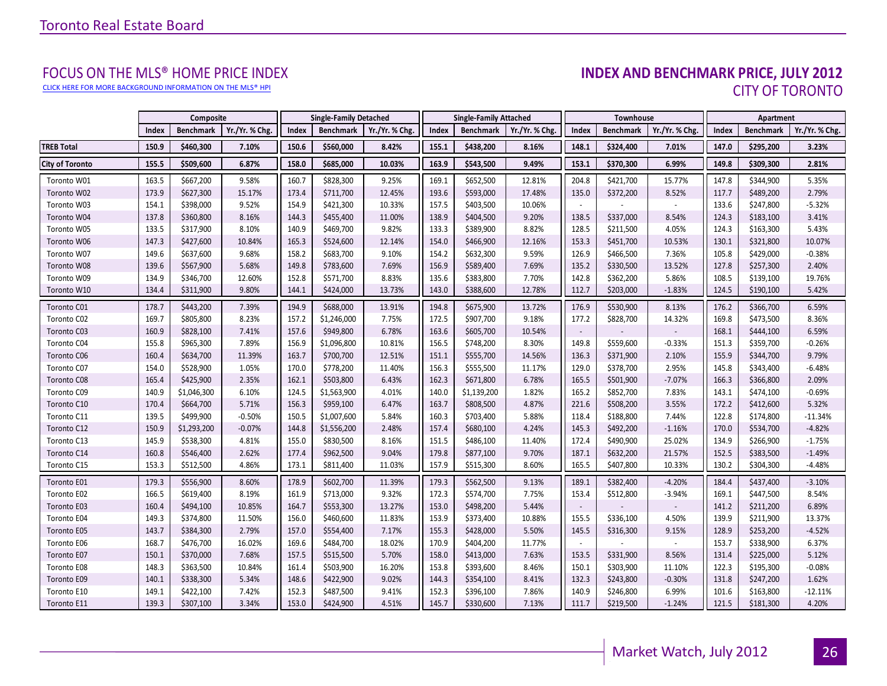[CLICK HERE FOR MORE BACKGROUND INFORMATION ON THE MLS® HPI](http://www.torontorealestateboard.com/market_news/home_price_index/index.htm)

# FOCUS ON THE MLS® HOME PRICE INDEX<br>INDEX AND BENCHMARK PRICE, JULY 2012 CITY OF TORONTO

<span id="page-25-0"></span>

|                        |       | Composite        |                |       | <b>Single-Family Detached</b> |                            |       | <b>Single-Family Attached</b> |                | Townhouse                |                  |                | Apartment |                  |                |
|------------------------|-------|------------------|----------------|-------|-------------------------------|----------------------------|-------|-------------------------------|----------------|--------------------------|------------------|----------------|-----------|------------------|----------------|
|                        | Index | <b>Benchmark</b> | Yr./Yr. % Chg. | Index |                               | Benchmark   Yr./Yr. % Chg. | Index | <b>Benchmark</b>              | Yr./Yr. % Chg. | Index                    | <b>Benchmark</b> | Yr./Yr. % Chg. | Index     | <b>Benchmark</b> | Yr./Yr. % Chg. |
| <b>TREB Total</b>      | 150.9 | \$460,300        | 7.10%          | 150.6 | \$560,000                     | 8.42%                      | 155.1 | \$438,200                     | 8.16%          | 148.1                    | \$324,400        | 7.01%          | 147.0     | \$295,200        | 3.23%          |
| <b>City of Toronto</b> | 155.5 | \$509,600        | 6.87%          | 158.0 | \$685,000                     | 10.03%                     | 163.9 | \$543,500                     | 9.49%          | 153.1                    | \$370,300        | 6.99%          | 149.8     | \$309,300        | 2.81%          |
| Toronto W01            | 163.5 | \$667,200        | 9.58%          | 160.7 | \$828,300                     | 9.25%                      | 169.1 | \$652,500                     | 12.81%         | 204.8                    | \$421,700        | 15.77%         | 147.8     | \$344,900        | 5.35%          |
| Toronto W02            | 173.9 | \$627,300        | 15.17%         | 173.4 | \$711,700                     | 12.45%                     | 193.6 | \$593,000                     | 17.48%         | 135.0                    | \$372,200        | 8.52%          | 117.7     | \$489,200        | 2.79%          |
| Toronto W03            | 154.1 | \$398,000        | 9.52%          | 154.9 | \$421,300                     | 10.33%                     | 157.5 | \$403,500                     | 10.06%         |                          |                  |                | 133.6     | \$247,800        | $-5.32%$       |
| Toronto W04            | 137.8 | \$360,800        | 8.16%          | 144.3 | \$455,400                     | 11.00%                     | 138.9 | \$404,500                     | 9.20%          | 138.5                    | \$337,000        | 8.54%          | 124.3     | \$183,100        | 3.41%          |
| Toronto W05            | 133.5 | \$317,900        | 8.10%          | 140.9 | \$469,700                     | 9.82%                      | 133.3 | \$389,900                     | 8.82%          | 128.5                    | \$211,500        | 4.05%          | 124.3     | \$163,300        | 5.43%          |
| Toronto W06            | 147.3 | \$427,600        | 10.84%         | 165.3 | \$524,600                     | 12.14%                     | 154.0 | \$466,900                     | 12.16%         | 153.3                    | \$451,700        | 10.53%         | 130.1     | \$321,800        | 10.07%         |
| Toronto W07            | 149.6 | \$637,600        | 9.68%          | 158.2 | \$683,700                     | 9.10%                      | 154.2 | \$632,300                     | 9.59%          | 126.9                    | \$466,500        | 7.36%          | 105.8     | \$429,000        | $-0.38%$       |
| Toronto W08            | 139.6 | \$567,900        | 5.68%          | 149.8 | \$783,600                     | 7.69%                      | 156.9 | \$589,400                     | 7.69%          | 135.2                    | \$330,500        | 13.52%         | 127.8     | \$257,300        | 2.40%          |
| Toronto W09            | 134.9 | \$346,700        | 12.60%         | 152.8 | \$571,700                     | 8.83%                      | 135.6 | \$383,800                     | 7.70%          | 142.8                    | \$362,200        | 5.86%          | 108.5     | \$139,100        | 19.76%         |
| Toronto W10            | 134.4 | \$311,900        | 9.80%          | 144.1 | \$424,000                     | 13.73%                     | 143.0 | \$388,600                     | 12.78%         | 112.7                    | \$203,000        | $-1.83%$       | 124.5     | \$190,100        | 5.42%          |
| Toronto C01            | 178.7 | \$443,200        | 7.39%          | 194.9 | \$688,000                     | 13.91%                     | 194.8 | \$675,900                     | 13.72%         | 176.9                    | \$530,900        | 8.13%          | 176.2     | \$366,700        | 6.59%          |
| Toronto C02            | 169.7 | \$805,800        | 8.23%          | 157.2 | \$1,246,000                   | 7.75%                      | 172.5 | \$907,700                     | 9.18%          | 177.2                    | \$828,700        | 14.32%         | 169.8     | \$473,500        | 8.36%          |
| Toronto C03            | 160.9 | \$828,100        | 7.41%          | 157.6 | \$949,800                     | 6.78%                      | 163.6 | \$605,700                     | 10.54%         | $\overline{\phantom{a}}$ |                  |                | 168.1     | \$444,100        | 6.59%          |
| Toronto C04            | 155.8 | \$965,300        | 7.89%          | 156.9 | \$1,096,800                   | 10.81%                     | 156.5 | \$748,200                     | 8.30%          | 149.8                    | \$559,600        | $-0.33%$       | 151.3     | \$359,700        | $-0.26%$       |
| Toronto C06            | 160.4 | \$634,700        | 11.39%         | 163.7 | \$700,700                     | 12.51%                     | 151.1 | \$555,700                     | 14.56%         | 136.3                    | \$371,900        | 2.10%          | 155.9     | \$344,700        | 9.79%          |
| Toronto C07            | 154.0 | \$528,900        | 1.05%          | 170.0 | \$778,200                     | 11.40%                     | 156.3 | \$555,500                     | 11.17%         | 129.0                    | \$378,700        | 2.95%          | 145.8     | \$343,400        | $-6.48%$       |
| Toronto C08            | 165.4 | \$425,900        | 2.35%          | 162.1 | \$503,800                     | 6.43%                      | 162.3 | \$671,800                     | 6.78%          | 165.5                    | \$501,900        | $-7.07%$       | 166.3     | \$366,800        | 2.09%          |
| Toronto C09            | 140.9 | \$1,046,300      | 6.10%          | 124.5 | \$1,563,900                   | 4.01%                      | 140.0 | \$1,139,200                   | 1.82%          | 165.2                    | \$852,700        | 7.83%          | 143.1     | \$474,100        | $-0.69%$       |
| Toronto C10            | 170.4 | \$664,700        | 5.71%          | 156.3 | \$959,100                     | 6.47%                      | 163.7 | \$808,500                     | 4.87%          | 221.6                    | \$508,200        | 3.55%          | 172.2     | \$412,600        | 5.32%          |
| Toronto C11            | 139.5 | \$499,900        | $-0.50%$       | 150.5 | \$1,007,600                   | 5.84%                      | 160.3 | \$703,400                     | 5.88%          | 118.4                    | \$188,800        | 7.44%          | 122.8     | \$174,800        | $-11.34%$      |
| Toronto C12            | 150.9 | \$1,293,200      | $-0.07%$       | 144.8 | \$1,556,200                   | 2.48%                      | 157.4 | \$680,100                     | 4.24%          | 145.3                    | \$492,200        | $-1.16%$       | 170.0     | \$534,700        | $-4.82%$       |
| Toronto C13            | 145.9 | \$538,300        | 4.81%          | 155.0 | \$830,500                     | 8.16%                      | 151.5 | \$486,100                     | 11.40%         | 172.4                    | \$490,900        | 25.02%         | 134.9     | \$266,900        | $-1.75%$       |
| Toronto C14            | 160.8 | \$546,400        | 2.62%          | 177.4 | \$962,500                     | 9.04%                      | 179.8 | \$877,100                     | 9.70%          | 187.1                    | \$632,200        | 21.57%         | 152.5     | \$383,500        | $-1.49%$       |
| Toronto C15            | 153.3 | \$512,500        | 4.86%          | 173.1 | \$811,400                     | 11.03%                     | 157.9 | \$515,300                     | 8.60%          | 165.5                    | \$407,800        | 10.33%         | 130.2     | \$304,300        | $-4.48%$       |
| Toronto E01            | 179.3 | \$556,900        | 8.60%          | 178.9 | \$602,700                     | 11.39%                     | 179.3 | \$562,500                     | 9.13%          | 189.1                    | \$382,400        | $-4.20%$       | 184.4     | \$437,400        | $-3.10%$       |
| Toronto E02            | 166.5 | \$619,400        | 8.19%          | 161.9 | \$713,000                     | 9.32%                      | 172.3 | \$574,700                     | 7.75%          | 153.4                    | \$512,800        | $-3.94%$       | 169.1     | \$447,500        | 8.54%          |
| Toronto E03            | 160.4 | \$494,100        | 10.85%         | 164.7 | \$553,300                     | 13.27%                     | 153.0 | \$498,200                     | 5.44%          |                          |                  |                | 141.2     | \$211,200        | 6.89%          |
| Toronto E04            | 149.3 | \$374,800        | 11.50%         | 156.0 | \$460,600                     | 11.83%                     | 153.9 | \$373,400                     | 10.88%         | 155.5                    | \$336,100        | 4.50%          | 139.9     | \$211,900        | 13.37%         |
| Toronto E05            | 143.7 | \$384,300        | 2.79%          | 157.0 | \$554,400                     | 7.17%                      | 155.3 | \$428,000                     | 5.50%          | 145.5                    | \$316,300        | 9.15%          | 128.9     | \$253,200        | $-4.52%$       |
| Toronto E06            | 168.7 | \$476,700        | 16.02%         | 169.6 | \$484,700                     | 18.02%                     | 170.9 | \$404,200                     | 11.77%         |                          |                  |                | 153.7     | \$338,900        | 6.37%          |
| Toronto E07            | 150.1 | \$370,000        | 7.68%          | 157.5 | \$515,500                     | 5.70%                      | 158.0 | \$413,000                     | 7.63%          | 153.5                    | \$331,900        | 8.56%          | 131.4     | \$225,000        | 5.12%          |
| Toronto E08            | 148.3 | \$363,500        | 10.84%         | 161.4 | \$503,900                     | 16.20%                     | 153.8 | \$393,600                     | 8.46%          | 150.1                    | \$303,900        | 11.10%         | 122.3     | \$195,300        | $-0.08%$       |
| Toronto E09            | 140.1 | \$338,300        | 5.34%          | 148.6 | \$422,900                     | 9.02%                      | 144.3 | \$354,100                     | 8.41%          | 132.3                    | \$243,800        | $-0.30%$       | 131.8     | \$247,200        | 1.62%          |
| Toronto E10            | 149.1 | \$422,100        | 7.42%          | 152.3 | \$487,500                     | 9.41%                      | 152.3 | \$396,100                     | 7.86%          | 140.9                    | \$246,800        | 6.99%          | 101.6     | \$163,800        | $-12.11%$      |
| Toronto E11            | 139.3 | \$307,100        | 3.34%          | 153.0 | \$424,900                     | 4.51%                      | 145.7 | \$330,600                     | 7.13%          | 111.7                    | \$219,500        | $-1.24%$       | 121.5     | \$181,300        | 4.20%          |